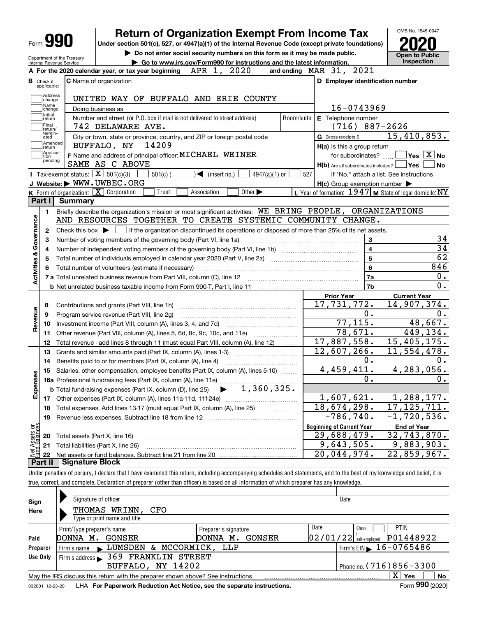| Form |
|------|
|------|

# **Return of Organization Exempt From Income Tax**

**Under section 501(c), 527, or 4947(a)(1) of the Internal Revenue Code (except private foundations) 2020**

Department of the Treasury

**| Do not enter social security numbers on this form as it may be made public. | Go to www.irs.gov/Form990 for instructions and the latest information. Inspection**

**Open to Public** 

OMB No. 1545-0047

|                                | Internal Revenue Service<br>$\blacktriangleright$ Go to www.irs.gov/Form990 for instructions and the latest information.<br>2020<br>APR 1,<br>A For the 2020 calendar year, or tax year beginning | and ending MAR 31, 2021                                   |                                          |
|--------------------------------|---------------------------------------------------------------------------------------------------------------------------------------------------------------------------------------------------|-----------------------------------------------------------|------------------------------------------|
| <b>B</b> Check if              | <b>C</b> Name of organization<br>applicable:                                                                                                                                                      | D Employer identification number                          |                                          |
|                                | Address<br>]change<br>UNITED WAY OF BUFFALO AND ERIE COUNTY                                                                                                                                       |                                                           |                                          |
|                                | Name<br>Doing business as<br>change                                                                                                                                                               | 16-0743969                                                |                                          |
|                                | Initial<br>Number and street (or P.O. box if mail is not delivered to street address)<br>Room/suite<br>return<br>Final                                                                            | E Telephone number<br>$(716) 887 - 2626$                  |                                          |
|                                | 742 DELAWARE AVE.<br>return/<br>termin-                                                                                                                                                           |                                                           | 15,410,853.                              |
|                                | City or town, state or province, country, and ZIP or foreign postal code<br>ated<br>Amended<br> return<br>BUFFALO, NY<br>14209                                                                    | G Gross receipts \$<br>H(a) Is this a group return        |                                          |
|                                | Applica-<br> tion<br>F Name and address of principal officer: MICHAEL WEINER                                                                                                                      | for subordinates? $\ldots$                                | $\exists$ Yes $\boxed{\text{X}}$ No      |
|                                | pending<br>SAME AS C ABOVE                                                                                                                                                                        | $H(b)$ Are all subordinates included? $\Box$ Yes $\Box$   | ⊿No                                      |
|                                | Tax-exempt status: $\boxed{\mathbf{X}}$ 501(c)(3)<br>$\sqrt{\frac{1}{1}}$ (insert no.)<br>$501(c)$ (<br>$4947(a)(1)$ or                                                                           | 527                                                       | If "No," attach a list. See instructions |
|                                | J Website: WWW.UWBEC.ORG                                                                                                                                                                          | $H(c)$ Group exemption number $\blacktriangleright$       |                                          |
|                                | K Form of organization: $X$ Corporation<br>Trust<br>Association<br>Other $\blacktriangleright$                                                                                                    | L Year of formation: $1947$ M State of legal domicile: NY |                                          |
|                                | <b>Summary</b><br>Part I                                                                                                                                                                          |                                                           |                                          |
|                                | Briefly describe the organization's mission or most significant activities: WE BRING PEOPLE, ORGANIZATIONS<br>1.                                                                                  |                                                           |                                          |
|                                | AND RESOURCES TOGETHER TO CREATE SYSTEMIC COMMUNITY CHANGE.                                                                                                                                       |                                                           |                                          |
|                                | Check this box $\blacktriangleright$ $\blacksquare$ if the organization discontinued its operations or disposed of more than 25% of its net assets.<br>2                                          |                                                           |                                          |
| Activities & Governance        | Number of voting members of the governing body (Part VI, line 1a)<br>З                                                                                                                            | 3                                                         | 34                                       |
|                                | 4                                                                                                                                                                                                 | $\overline{\mathbf{4}}$                                   | $\overline{34}$                          |
|                                | 5                                                                                                                                                                                                 | 5                                                         | 62                                       |
|                                |                                                                                                                                                                                                   | 6                                                         | 846                                      |
|                                | 7 a Total unrelated business revenue from Part VIII, column (C), line 12                                                                                                                          | 7a                                                        | 0.                                       |
|                                |                                                                                                                                                                                                   | 7b                                                        | 0.                                       |
|                                |                                                                                                                                                                                                   | <b>Prior Year</b>                                         | <b>Current Year</b>                      |
|                                | Contributions and grants (Part VIII, line 1h)<br>8                                                                                                                                                | 17,731,772.                                               | 14,907,374.                              |
|                                | Program service revenue (Part VIII, line 2g)<br>9                                                                                                                                                 | 0.                                                        | 0.                                       |
| Revenue                        | 10                                                                                                                                                                                                | 77, 115.                                                  | 48,667.                                  |
|                                | Other revenue (Part VIII, column (A), lines 5, 6d, 8c, 9c, 10c, and 11e)<br>11                                                                                                                    | 78,671.                                                   | 449, 134.                                |
|                                | Total revenue - add lines 8 through 11 (must equal Part VIII, column (A), line 12)<br>12                                                                                                          | 17,887,558.                                               | 15,405,175.                              |
|                                | Grants and similar amounts paid (Part IX, column (A), lines 1-3)<br>13                                                                                                                            | 12,607,266.                                               | 11,554,478.                              |
|                                | Benefits paid to or for members (Part IX, column (A), line 4)<br>14                                                                                                                               | 0.                                                        | υ.                                       |
|                                | Salaries, other compensation, employee benefits (Part IX, column (A), lines 5-10)<br>15                                                                                                           | 4,459,411.                                                | 4,283,056.                               |
| Expenses                       |                                                                                                                                                                                                   | 0.                                                        | 0.                                       |
|                                | <b>16a</b> Professional fundraising fees (Part IX, column (A), line 11e)<br><b>b</b> Total fundraising expenses (Part IX, column (D), line 25) $\rightarrow$ $\boxed{1,360,325}$                  |                                                           |                                          |
|                                |                                                                                                                                                                                                   | 1,607,621.                                                | 1,288,177.                               |
|                                | Total expenses. Add lines 13-17 (must equal Part IX, column (A), line 25)<br>18                                                                                                                   | 18,674,298.                                               | 17, 125, 711.                            |
|                                | 19                                                                                                                                                                                                | $-786,740.$                                               | $-1,720,536.$                            |
|                                |                                                                                                                                                                                                   | <b>Beginning of Current Year</b>                          | <b>End of Year</b>                       |
|                                | Total assets (Part X, line 16)<br>20                                                                                                                                                              | 29,688,479.                                               | 32, 743, 870.                            |
|                                | Total liabilities (Part X, line 26)<br>21                                                                                                                                                         | 9,643,505.                                                | 9,883,903.                               |
| Net Assets or<br>Eund Balances | 22                                                                                                                                                                                                | 20,044,974.                                               | 22,859,967.                              |
|                                | <b>Signature Block</b><br>Part II                                                                                                                                                                 |                                                           |                                          |

true, correct, and complete. Declaration of preparer (other than officer) is based on all information of which preparer has any knowledge.

| Sign     | Signature of officer                                                                                         |                       | Date                                             |  |  |  |  |  |  |  |
|----------|--------------------------------------------------------------------------------------------------------------|-----------------------|--------------------------------------------------|--|--|--|--|--|--|--|
| Here     | THOMAS WRINN,<br>CFO                                                                                         |                       |                                                  |  |  |  |  |  |  |  |
|          | Type or print name and title                                                                                 |                       |                                                  |  |  |  |  |  |  |  |
|          | Print/Type preparer's name                                                                                   | Preparer's signature  | Date<br>PTIN<br>Check                            |  |  |  |  |  |  |  |
| Paid     | DONNA M.<br>GONSER                                                                                           | GONSER<br>DONNA<br>м. | P01448922<br>$02/01/22$ self-employed            |  |  |  |  |  |  |  |
| Preparer | Firm's name LUMSDEN & MCCORMICK, LLP                                                                         |                       | $^1$ Firm's EIN $\blacktriangleright$ 16-0765486 |  |  |  |  |  |  |  |
| Use Only | Firm's address > 369 FRANKLIN STREET                                                                         |                       |                                                  |  |  |  |  |  |  |  |
|          | BUFFALO, NY 14202                                                                                            |                       | Phone no. $(716)856 - 3300$                      |  |  |  |  |  |  |  |
|          | May the IRS discuss this return with the preparer shown above? See instructions                              |                       | $\mathbf{x}$<br>No<br>Yes                        |  |  |  |  |  |  |  |
|          | Form 990 (2020)<br>LHA For Paperwork Reduction Act Notice, see the separate instructions.<br>032001 12-23-20 |                       |                                                  |  |  |  |  |  |  |  |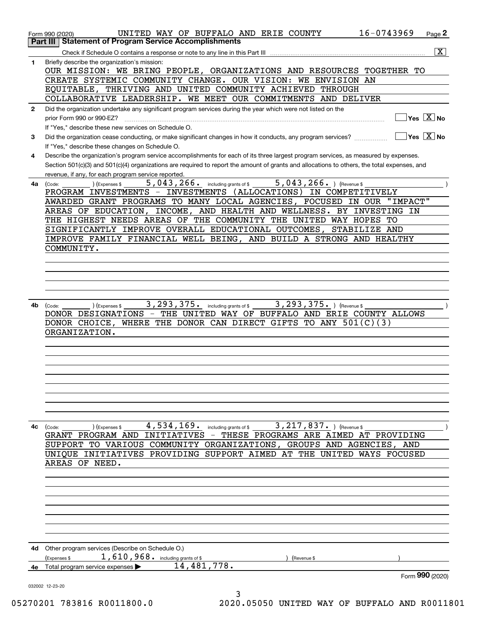|              | 16-0743969<br>UNITED WAY OF BUFFALO AND ERIE COUNTY<br>Page 2<br>Form 990 (2020)                                                             |
|--------------|----------------------------------------------------------------------------------------------------------------------------------------------|
| ∣ Part III ∣ | <b>Statement of Program Service Accomplishments</b>                                                                                          |
|              | $\overline{\mathbf{x}}$                                                                                                                      |
| 1            | Briefly describe the organization's mission:<br>OUR MISSION: WE BRING PEOPLE, ORGANIZATIONS AND RESOURCES TOGETHER TO                        |
|              | CREATE SYSTEMIC COMMUNITY CHANGE. OUR VISION: WE ENVISION AN                                                                                 |
|              | THRIVING AND UNITED COMMUNITY ACHIEVED THROUGH<br>EQUITABLE,                                                                                 |
|              | COLLABORATIVE LEADERSHIP. WE MEET OUR COMMITMENTS AND DELIVER                                                                                |
| $\mathbf{2}$ | Did the organization undertake any significant program services during the year which were not listed on the                                 |
|              | Yes $X$ No<br>prior Form 990 or 990-EZ?                                                                                                      |
|              | If "Yes," describe these new services on Schedule O.                                                                                         |
| 3            | $Yes \ \boxed{X}$ No                                                                                                                         |
|              | If "Yes," describe these changes on Schedule O.                                                                                              |
| 4            | Describe the organization's program service accomplishments for each of its three largest program services, as measured by expenses.         |
|              | Section 501(c)(3) and 501(c)(4) organizations are required to report the amount of grants and allocations to others, the total expenses, and |
| 4a           | revenue, if any, for each program service reported.<br>$5,043,266.$ ) (Revenue \$<br>$5,043,266$ . including grants of \$<br>(Expenses \$    |
|              | (Code:<br>PROGRAM INVESTMENTS - INVESTMENTS (ALLOCATIONS) IN COMPETITIVELY                                                                   |
|              | AWARDED GRANT PROGRAMS TO MANY LOCAL AGENCIES, FOCUSED IN OUR "IMPACT"                                                                       |
|              | AREAS OF EDUCATION, INCOME, AND HEALTH AND WELLNESS. BY INVESTING IN                                                                         |
|              | THE HIGHEST NEEDS AREAS OF THE COMMUNITY THE UNITED WAY HOPES TO                                                                             |
|              | SIGNIFICANTLY IMPROVE OVERALL EDUCATIONAL OUTCOMES, STABILIZE AND                                                                            |
|              | IMPROVE FAMILY FINANCIAL WELL BEING, AND BUILD A STRONG AND HEALTHY                                                                          |
|              | COMMUNITY.                                                                                                                                   |
|              |                                                                                                                                              |
|              |                                                                                                                                              |
|              |                                                                                                                                              |
|              |                                                                                                                                              |
|              |                                                                                                                                              |
| 4b           | 3, 293, 375. including grants of \$<br>3, 293, 375. ) (Revenue \$<br>(Code:<br>(Expenses \$                                                  |
|              | DONOR DESIGNATIONS - THE UNITED WAY OF BUFFALO AND ERIE COUNTY ALLOWS                                                                        |
|              | DONOR CHOICE, WHERE THE DONOR CAN DIRECT GIFTS TO ANY $501(C)(3)$                                                                            |
|              | ORGANIZATION.                                                                                                                                |
|              |                                                                                                                                              |
|              |                                                                                                                                              |
|              |                                                                                                                                              |
|              |                                                                                                                                              |
|              |                                                                                                                                              |
|              |                                                                                                                                              |
|              |                                                                                                                                              |
|              |                                                                                                                                              |
|              |                                                                                                                                              |
| 4с           | 4,534,169. including grants of \$<br>$3,217,837.$ (Revenue \$<br>(Expenses \$<br>(Code:                                                      |
|              | GRANT PROGRAM AND INITIATIVES - THESE PROGRAMS ARE AIMED AT PROVIDING                                                                        |
|              | SUPPORT TO VARIOUS COMMUNITY ORGANIZATIONS, GROUPS AND AGENCIES, AND                                                                         |
|              | UNIOUE INITIATIVES PROVIDING SUPPORT AIMED AT THE UNITED WAYS FOCUSED                                                                        |
|              | AREAS OF NEED.                                                                                                                               |
|              |                                                                                                                                              |
|              |                                                                                                                                              |
|              |                                                                                                                                              |
|              |                                                                                                                                              |
|              |                                                                                                                                              |
|              |                                                                                                                                              |
|              |                                                                                                                                              |
|              | 4d Other program services (Describe on Schedule O.)                                                                                          |
|              | $1,610,968$ $\cdot$ including grants of \$<br>Expenses \$<br>(Revenue \$                                                                     |
| 4е           | 14,481,778.<br>Total program service expenses                                                                                                |
|              | Form 990 (2020)                                                                                                                              |
|              | 032002 12-23-20                                                                                                                              |
|              | 3                                                                                                                                            |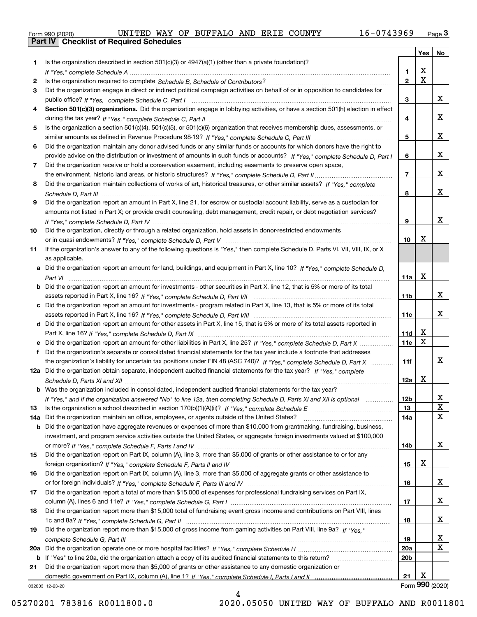|  | Form 990 (2020) |
|--|-----------------|
|  |                 |

|     |                                                                                                                                                                                                                                                           |                        | Yes                     | No              |
|-----|-----------------------------------------------------------------------------------------------------------------------------------------------------------------------------------------------------------------------------------------------------------|------------------------|-------------------------|-----------------|
| 1.  | Is the organization described in section $501(c)(3)$ or $4947(a)(1)$ (other than a private foundation)?                                                                                                                                                   |                        |                         |                 |
|     |                                                                                                                                                                                                                                                           | 1.                     | X                       |                 |
| 2   |                                                                                                                                                                                                                                                           | $\overline{2}$         | $\overline{\mathbf{x}}$ |                 |
| 3   | Did the organization engage in direct or indirect political campaign activities on behalf of or in opposition to candidates for                                                                                                                           |                        |                         |                 |
|     |                                                                                                                                                                                                                                                           | 3                      |                         | x               |
| 4   | Section 501(c)(3) organizations. Did the organization engage in lobbying activities, or have a section 501(h) election in effect                                                                                                                          |                        |                         |                 |
|     |                                                                                                                                                                                                                                                           | 4                      |                         | x               |
| 5.  | Is the organization a section 501(c)(4), 501(c)(5), or 501(c)(6) organization that receives membership dues, assessments, or                                                                                                                              |                        |                         | x               |
|     |                                                                                                                                                                                                                                                           | 5                      |                         |                 |
| 6   | Did the organization maintain any donor advised funds or any similar funds or accounts for which donors have the right to<br>provide advice on the distribution or investment of amounts in such funds or accounts? If "Yes," complete Schedule D, Part I | 6                      |                         | x               |
| 7   | Did the organization receive or hold a conservation easement, including easements to preserve open space,                                                                                                                                                 |                        |                         |                 |
|     |                                                                                                                                                                                                                                                           | $\overline{7}$         |                         | x               |
| 8   | Did the organization maintain collections of works of art, historical treasures, or other similar assets? If "Yes," complete                                                                                                                              |                        |                         |                 |
|     |                                                                                                                                                                                                                                                           | 8                      |                         | x               |
| 9   | Did the organization report an amount in Part X, line 21, for escrow or custodial account liability, serve as a custodian for                                                                                                                             |                        |                         |                 |
|     | amounts not listed in Part X; or provide credit counseling, debt management, credit repair, or debt negotiation services?                                                                                                                                 |                        |                         |                 |
|     |                                                                                                                                                                                                                                                           | 9                      |                         | X               |
| 10  | Did the organization, directly or through a related organization, hold assets in donor-restricted endowments                                                                                                                                              |                        |                         |                 |
|     |                                                                                                                                                                                                                                                           | 10                     | Х                       |                 |
| 11  | If the organization's answer to any of the following questions is "Yes," then complete Schedule D, Parts VI, VII, VIII, IX, or X                                                                                                                          |                        |                         |                 |
|     | as applicable.                                                                                                                                                                                                                                            |                        |                         |                 |
| a   | Did the organization report an amount for land, buildings, and equipment in Part X, line 10? If "Yes." complete Schedule D.                                                                                                                               |                        |                         |                 |
|     |                                                                                                                                                                                                                                                           | 11a                    | $\mathbf X$             |                 |
| b   | Did the organization report an amount for investments - other securities in Part X, line 12, that is 5% or more of its total                                                                                                                              |                        |                         |                 |
|     |                                                                                                                                                                                                                                                           | 11 <sub>b</sub>        |                         | x               |
| c   | Did the organization report an amount for investments - program related in Part X, line 13, that is 5% or more of its total                                                                                                                               |                        |                         |                 |
|     |                                                                                                                                                                                                                                                           | 11c                    |                         | x               |
|     | d Did the organization report an amount for other assets in Part X, line 15, that is 5% or more of its total assets reported in                                                                                                                           |                        |                         |                 |
|     |                                                                                                                                                                                                                                                           | 11d                    | X<br>$\mathbf X$        |                 |
|     | Did the organization report an amount for other liabilities in Part X, line 25? If "Yes," complete Schedule D, Part X                                                                                                                                     | 11e                    |                         |                 |
| f   | Did the organization's separate or consolidated financial statements for the tax year include a footnote that addresses                                                                                                                                   |                        |                         | x               |
|     | the organization's liability for uncertain tax positions under FIN 48 (ASC 740)? If "Yes," complete Schedule D, Part X<br>12a Did the organization obtain separate, independent audited financial statements for the tax year? If "Yes," complete         | 11f                    |                         |                 |
|     |                                                                                                                                                                                                                                                           | 12a                    | X                       |                 |
|     | <b>b</b> Was the organization included in consolidated, independent audited financial statements for the tax year?                                                                                                                                        |                        |                         |                 |
|     | If "Yes," and if the organization answered "No" to line 12a, then completing Schedule D, Parts XI and XII is optional                                                                                                                                     | 12D                    |                         | ᅀ               |
| 13  | Is the organization a school described in section $170(b)(1)(A)(ii)?$ If "Yes," complete Schedule E                                                                                                                                                       | 13                     |                         | $\mathbf X$     |
| 14a | Did the organization maintain an office, employees, or agents outside of the United States?                                                                                                                                                               | 14a                    |                         | X               |
| b   | Did the organization have aggregate revenues or expenses of more than \$10,000 from grantmaking, fundraising, business,                                                                                                                                   |                        |                         |                 |
|     | investment, and program service activities outside the United States, or aggregate foreign investments valued at \$100,000                                                                                                                                |                        |                         |                 |
|     |                                                                                                                                                                                                                                                           | 14b                    |                         | X               |
| 15  | Did the organization report on Part IX, column (A), line 3, more than \$5,000 of grants or other assistance to or for any                                                                                                                                 |                        |                         |                 |
|     |                                                                                                                                                                                                                                                           | 15                     | X                       |                 |
| 16  | Did the organization report on Part IX, column (A), line 3, more than \$5,000 of aggregate grants or other assistance to                                                                                                                                  |                        |                         |                 |
|     |                                                                                                                                                                                                                                                           | 16                     |                         | x               |
| 17  | Did the organization report a total of more than \$15,000 of expenses for professional fundraising services on Part IX,                                                                                                                                   |                        |                         |                 |
|     |                                                                                                                                                                                                                                                           | 17                     |                         | X               |
| 18  | Did the organization report more than \$15,000 total of fundraising event gross income and contributions on Part VIII, lines                                                                                                                              |                        |                         |                 |
|     |                                                                                                                                                                                                                                                           | 18                     |                         | x               |
| 19  | Did the organization report more than \$15,000 of gross income from gaming activities on Part VIII, line 9a? If "Yes."                                                                                                                                    |                        |                         |                 |
|     |                                                                                                                                                                                                                                                           | 19                     |                         | x<br>X          |
|     |                                                                                                                                                                                                                                                           | 20a<br>20 <sub>b</sub> |                         |                 |
| 21  | b If "Yes" to line 20a, did the organization attach a copy of its audited financial statements to this return?<br>Did the organization report more than \$5,000 of grants or other assistance to any domestic organization or                             |                        |                         |                 |
|     |                                                                                                                                                                                                                                                           | 21                     | X                       |                 |
|     | 032003 12-23-20                                                                                                                                                                                                                                           |                        |                         | Form 990 (2020) |

4

032003 12-23-20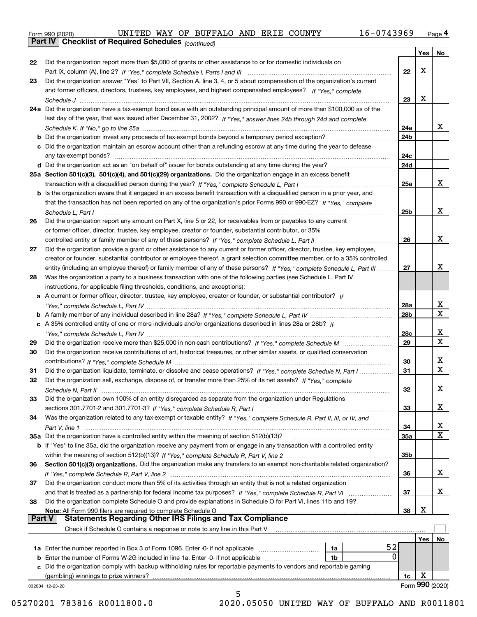|  | Form 990 (2020) |
|--|-----------------|
|  |                 |

*(continued)*

|               |                                                                                                                                   |                 |      | Yes   No                     |
|---------------|-----------------------------------------------------------------------------------------------------------------------------------|-----------------|------|------------------------------|
| 22            | Did the organization report more than \$5,000 of grants or other assistance to or for domestic individuals on                     |                 |      |                              |
|               |                                                                                                                                   | 22              | X    |                              |
| 23            | Did the organization answer "Yes" to Part VII, Section A, line 3, 4, or 5 about compensation of the organization's current        |                 |      |                              |
|               | and former officers, directors, trustees, key employees, and highest compensated employees? If "Yes," complete                    |                 |      |                              |
|               |                                                                                                                                   | 23              | X    |                              |
|               | 24a Did the organization have a tax-exempt bond issue with an outstanding principal amount of more than \$100,000 as of the       |                 |      |                              |
|               | last day of the year, that was issued after December 31, 2002? If "Yes," answer lines 24b through 24d and complete                |                 |      |                              |
|               |                                                                                                                                   | 24a             |      | x                            |
|               | <b>b</b> Did the organization invest any proceeds of tax-exempt bonds beyond a temporary period exception?                        | 24b             |      |                              |
|               | c Did the organization maintain an escrow account other than a refunding escrow at any time during the year to defease            |                 |      |                              |
|               | any tax-exempt bonds?                                                                                                             | 24c             |      |                              |
|               |                                                                                                                                   | 24d             |      |                              |
|               | 25a Section 501(c)(3), 501(c)(4), and 501(c)(29) organizations. Did the organization engage in an excess benefit                  |                 |      |                              |
|               |                                                                                                                                   | 25a             |      | x                            |
|               | b Is the organization aware that it engaged in an excess benefit transaction with a disqualified person in a prior year, and      |                 |      |                              |
|               | that the transaction has not been reported on any of the organization's prior Forms 990 or 990-EZ? If "Yes." complete             |                 |      |                              |
|               | Schedule L. Part I                                                                                                                | 25b             |      | x                            |
| 26            | Did the organization report any amount on Part X, line 5 or 22, for receivables from or payables to any current                   |                 |      |                              |
|               | or former officer, director, trustee, key employee, creator or founder, substantial contributor, or 35%                           |                 |      |                              |
|               |                                                                                                                                   | 26              |      | x                            |
| 27            | Did the organization provide a grant or other assistance to any current or former officer, director, trustee, key employee,       |                 |      |                              |
|               | creator or founder, substantial contributor or employee thereof, a grant selection committee member, or to a 35% controlled       |                 |      |                              |
|               | entity (including an employee thereof) or family member of any of these persons? If "Yes," complete Schedule L, Part III          | 27              |      | x                            |
| 28            | Was the organization a party to a business transaction with one of the following parties (see Schedule L, Part IV                 |                 |      |                              |
|               | instructions, for applicable filing thresholds, conditions, and exceptions):                                                      |                 |      |                              |
|               | a A current or former officer, director, trustee, key employee, creator or founder, or substantial contributor? If                |                 |      |                              |
|               |                                                                                                                                   | 28a             |      | x                            |
|               |                                                                                                                                   | 28 <sub>b</sub> |      | $\overline{\mathbf{X}}$      |
|               | c A 35% controlled entity of one or more individuals and/or organizations described in lines 28a or 28b? If                       |                 |      |                              |
|               |                                                                                                                                   | 28c             |      | x                            |
|               |                                                                                                                                   | 29              |      | $\overline{\mathbf{x}}$      |
| 29            |                                                                                                                                   |                 |      |                              |
| 30            | Did the organization receive contributions of art, historical treasures, or other similar assets, or qualified conservation       |                 |      | x                            |
|               |                                                                                                                                   | 30<br>31        |      | $\overline{\mathbf{x}}$      |
| 31            | Did the organization liquidate, terminate, or dissolve and cease operations? If "Yes," complete Schedule N, Part I                |                 |      |                              |
| 32            | Did the organization sell, exchange, dispose of, or transfer more than 25% of its net assets? If "Yes," complete                  |                 |      | X                            |
|               | Schedule N, Part II                                                                                                               | 32              |      |                              |
| 33            | Did the organization own 100% of an entity disregarded as separate from the organization under Regulations                        |                 |      | х                            |
|               |                                                                                                                                   | 33              |      |                              |
| 34            | Was the organization related to any tax-exempt or taxable entity? If "Yes," complete Schedule R, Part II, III, or IV, and         |                 |      |                              |
|               |                                                                                                                                   | 34              |      | х<br>$\overline{\mathbf{X}}$ |
|               | 35a Did the organization have a controlled entity within the meaning of section 512(b)(13)?                                       | <b>35a</b>      |      |                              |
|               | b If "Yes" to line 35a, did the organization receive any payment from or engage in any transaction with a controlled entity       |                 |      |                              |
|               |                                                                                                                                   | 35b             |      |                              |
| 36            | Section 501(c)(3) organizations. Did the organization make any transfers to an exempt non-charitable related organization?        |                 |      |                              |
|               |                                                                                                                                   | 36              |      | x                            |
| 37            | Did the organization conduct more than 5% of its activities through an entity that is not a related organization                  |                 |      |                              |
|               | and that is treated as a partnership for federal income tax purposes? If "Yes," complete Schedule R, Part VI                      | 37              |      | X                            |
| 38            | Did the organization complete Schedule O and provide explanations in Schedule O for Part VI, lines 11b and 19?                    |                 |      |                              |
| <b>Part V</b> | Note: All Form 990 filers are required to complete Schedule O<br><b>Statements Regarding Other IRS Filings and Tax Compliance</b> | 38              | X    |                              |
|               |                                                                                                                                   |                 |      |                              |
|               | Check if Schedule O contains a response or note to any line in this Part V                                                        |                 |      |                              |
|               |                                                                                                                                   |                 | Yes∣ | No                           |
|               | 52<br><b>1a</b> Enter the number reported in Box 3 of Form 1096. Enter -0- if not applicable<br>1a                                |                 |      |                              |
|               | $\Omega$<br>1b                                                                                                                    |                 |      |                              |
|               | c Did the organization comply with backup withholding rules for reportable payments to vendors and reportable gaming              |                 |      |                              |
|               | (gambling) winnings to prize winners?                                                                                             | 1c              | X    |                              |
|               | 032004 12-23-20<br>5                                                                                                              |                 |      | Form 990 (2020)              |
|               |                                                                                                                                   |                 |      |                              |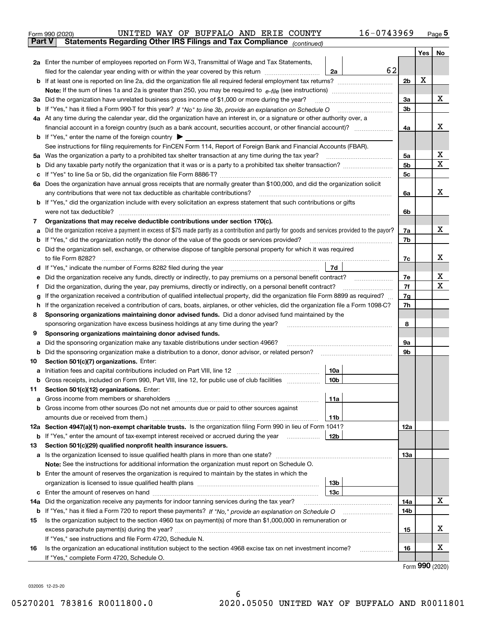|        | 16-0743969<br>UNITED WAY OF BUFFALO AND ERIE COUNTY<br>Form 990 (2020)                                                                                                                    |                |     | Page $5$ |
|--------|-------------------------------------------------------------------------------------------------------------------------------------------------------------------------------------------|----------------|-----|----------|
| Part V | Statements Regarding Other IRS Filings and Tax Compliance (continued)                                                                                                                     |                |     |          |
|        |                                                                                                                                                                                           |                | Yes | No       |
|        | 2a Enter the number of employees reported on Form W-3, Transmittal of Wage and Tax Statements,                                                                                            |                |     |          |
|        | 62<br>filed for the calendar year ending with or within the year covered by this return [11] [11] filed for the calendar year ending with or within the year covered by this return<br>2a |                |     |          |
|        |                                                                                                                                                                                           | 2 <sub>b</sub> | X   |          |
|        |                                                                                                                                                                                           |                |     |          |
| За     | Did the organization have unrelated business gross income of \$1,000 or more during the year?                                                                                             | 3a             |     | х        |
|        |                                                                                                                                                                                           | 3b             |     |          |
|        | 4a At any time during the calendar year, did the organization have an interest in, or a signature or other authority over, a                                                              |                |     |          |
|        | financial account in a foreign country (such as a bank account, securities account, or other financial account)?                                                                          | 4a             |     | x        |
|        | <b>b</b> If "Yes," enter the name of the foreign country $\blacktriangleright$                                                                                                            |                |     |          |
|        | See instructions for filing requirements for FinCEN Form 114, Report of Foreign Bank and Financial Accounts (FBAR).                                                                       |                |     |          |
| 5a     | Was the organization a party to a prohibited tax shelter transaction at any time during the tax year?                                                                                     | 5a             |     | х        |
|        |                                                                                                                                                                                           | 5b             |     | х        |
|        |                                                                                                                                                                                           | 5c             |     |          |
|        | 6a Does the organization have annual gross receipts that are normally greater than \$100,000, and did the organization solicit                                                            |                |     |          |
|        | any contributions that were not tax deductible as charitable contributions?                                                                                                               | 6a             |     | х        |
|        | b If "Yes," did the organization include with every solicitation an express statement that such contributions or gifts                                                                    |                |     |          |
|        | were not tax deductible?                                                                                                                                                                  | 6b             |     |          |
| 7      | Organizations that may receive deductible contributions under section 170(c).                                                                                                             |                |     |          |
| a      | Did the organization receive a payment in excess of \$75 made partly as a contribution and partly for goods and services provided to the payor?                                           | 7a             |     | х        |
|        | If "Yes," did the organization notify the donor of the value of the goods or services provided?                                                                                           | 7b             |     |          |
|        | Did the organization sell, exchange, or otherwise dispose of tangible personal property for which it was required                                                                         |                |     |          |
|        | to file Form 8282?                                                                                                                                                                        | 7c             |     | х        |
| d      | 7d                                                                                                                                                                                        |                |     |          |
|        | Did the organization receive any funds, directly or indirectly, to pay premiums on a personal benefit contract?                                                                           | 7e             |     | x        |
| f      | Did the organization, during the year, pay premiums, directly or indirectly, on a personal benefit contract?                                                                              | 7f             |     | Χ        |
| g      | If the organization received a contribution of qualified intellectual property, did the organization file Form 8899 as required?                                                          | 7g             |     |          |
| h      | If the organization received a contribution of cars, boats, airplanes, or other vehicles, did the organization file a Form 1098-C?                                                        | 7h             |     |          |
| 8      | Sponsoring organizations maintaining donor advised funds. Did a donor advised fund maintained by the                                                                                      |                |     |          |
|        | sponsoring organization have excess business holdings at any time during the year?                                                                                                        | 8              |     |          |
| 9      | Sponsoring organizations maintaining donor advised funds.                                                                                                                                 |                |     |          |
| а      | Did the sponsoring organization make any taxable distributions under section 4966?                                                                                                        | <b>9a</b>      |     |          |
| b      | Did the sponsoring organization make a distribution to a donor, donor advisor, or related person?                                                                                         | 9b             |     |          |
| 10     | Section 501(c)(7) organizations. Enter:                                                                                                                                                   |                |     |          |
| а      | 10a<br>Initiation fees and capital contributions included on Part VIII, line 12 [111] [11] [12] [11] [12] [11] [12] [                                                                     |                |     |          |
| b      | Gross receipts, included on Form 990, Part VIII, line 12, for public use of club facilities<br> 10b                                                                                       |                |     |          |
| 11     | Section 501(c)(12) organizations. Enter:                                                                                                                                                  |                |     |          |
| a      | 11a<br>Gross income from members or shareholders<br>Gross income from other sources (Do not net amounts due or paid to other sources against                                              |                |     |          |
| b      | amounts due or received from them.)<br>11b                                                                                                                                                |                |     |          |
|        | 12a Section 4947(a)(1) non-exempt charitable trusts. Is the organization filing Form 990 in lieu of Form 1041?                                                                            | 12a            |     |          |
|        | 12 <sub>b</sub><br><b>b</b> If "Yes," enter the amount of tax-exempt interest received or accrued during the year <i>manument</i>                                                         |                |     |          |
| 13     | Section 501(c)(29) qualified nonprofit health insurance issuers.                                                                                                                          |                |     |          |
|        | <b>a</b> Is the organization licensed to issue qualified health plans in more than one state?                                                                                             | 13a            |     |          |
|        | Note: See the instructions for additional information the organization must report on Schedule O.                                                                                         |                |     |          |
|        | <b>b</b> Enter the amount of reserves the organization is required to maintain by the states in which the                                                                                 |                |     |          |
|        | 13 <sub>b</sub>                                                                                                                                                                           |                |     |          |
|        | 13 <sub>c</sub>                                                                                                                                                                           |                |     |          |
|        | 14a Did the organization receive any payments for indoor tanning services during the tax year?                                                                                            | 14a            |     | x        |
|        | <b>b</b> If "Yes," has it filed a Form 720 to report these payments? If "No," provide an explanation on Schedule O                                                                        | 14b            |     |          |
| 15     | Is the organization subject to the section 4960 tax on payment(s) of more than \$1,000,000 in remuneration or                                                                             |                |     |          |
|        |                                                                                                                                                                                           | 15             |     | х        |
|        | If "Yes," see instructions and file Form 4720, Schedule N.                                                                                                                                |                |     |          |
| 16     | Is the organization an educational institution subject to the section 4968 excise tax on net investment income?                                                                           | 16             |     | х        |
|        | If "Yes," complete Form 4720, Schedule O.                                                                                                                                                 |                |     |          |

Form (2020) **990**

032005 12-23-20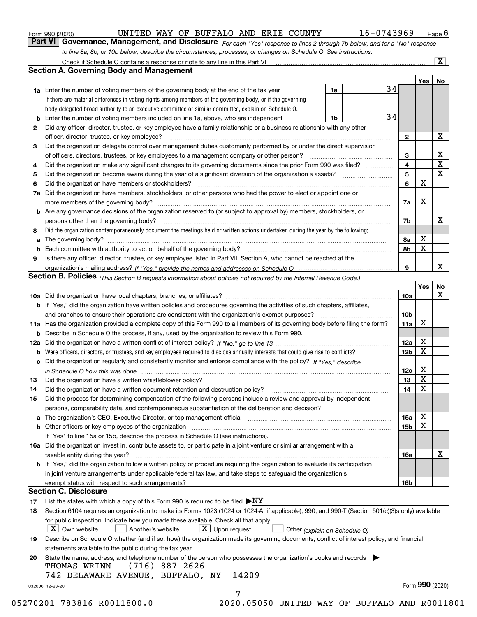|  | Form 990 (2020) |
|--|-----------------|
|  |                 |

*For each "Yes" response to lines 2 through 7b below, and for a "No" response to line 8a, 8b, or 10b below, describe the circumstances, processes, or changes on Schedule O. See instructions.* Form 990 (2020) **CONCONTY EXECUTED VAY OF BUFFALO AND ERIE COUNTY** 16-0743969 Page 6<br>**Part VI Governance, Management, and Disclosure** For each "Yes" response to lines 2 through 7b below, and for a "No" response

|              |                                                                                                                                                                               |    |    |                 | Yes   No    |                 |
|--------------|-------------------------------------------------------------------------------------------------------------------------------------------------------------------------------|----|----|-----------------|-------------|-----------------|
|              | <b>1a</b> Enter the number of voting members of the governing body at the end of the tax year                                                                                 | 1a | 34 |                 |             |                 |
|              | If there are material differences in voting rights among members of the governing body, or if the governing                                                                   |    |    |                 |             |                 |
|              | body delegated broad authority to an executive committee or similar committee, explain on Schedule O.                                                                         |    |    |                 |             |                 |
|              | <b>b</b> Enter the number of voting members included on line 1a, above, who are independent <i>manumum</i>                                                                    | 1b | 34 |                 |             |                 |
| $\mathbf{2}$ | Did any officer, director, trustee, or key employee have a family relationship or a business relationship with any other                                                      |    |    |                 |             |                 |
|              | officer, director, trustee, or key employee?                                                                                                                                  |    |    | $\mathbf{2}$    |             | X               |
| 3            | Did the organization delegate control over management duties customarily performed by or under the direct supervision                                                         |    |    |                 |             |                 |
|              |                                                                                                                                                                               |    |    | 3               |             | X               |
| 4            | Did the organization make any significant changes to its governing documents since the prior Form 990 was filed?                                                              |    |    | $\overline{4}$  |             | $\mathbf X$     |
| 5            |                                                                                                                                                                               |    |    | 5               |             | $\mathbf{x}$    |
| 6            |                                                                                                                                                                               |    |    | 6               | $\mathbf X$ |                 |
| 7a           | Did the organization have members, stockholders, or other persons who had the power to elect or appoint one or                                                                |    |    |                 |             |                 |
|              |                                                                                                                                                                               |    |    | 7a              | Х           |                 |
|              | <b>b</b> Are any governance decisions of the organization reserved to (or subject to approval by) members, stockholders, or                                                   |    |    |                 |             |                 |
|              | persons other than the governing body?                                                                                                                                        |    |    | 7b              |             | x               |
| 8            | Did the organization contemporaneously document the meetings held or written actions undertaken during the year by the following:                                             |    |    |                 |             |                 |
| a            |                                                                                                                                                                               |    |    | 8a              | X           |                 |
|              |                                                                                                                                                                               |    |    | 8b              | X           |                 |
| 9            | Is there any officer, director, trustee, or key employee listed in Part VII, Section A, who cannot be reached at the                                                          |    |    |                 |             |                 |
|              |                                                                                                                                                                               |    |    | 9               |             | x               |
|              | Section B. Policies (This Section B requests information about policies not required by the Internal Revenue Code.)                                                           |    |    |                 |             |                 |
|              |                                                                                                                                                                               |    |    |                 | Yes         | No              |
|              |                                                                                                                                                                               |    |    | 10a             |             | X               |
|              | <b>b</b> If "Yes," did the organization have written policies and procedures governing the activities of such chapters, affiliates,                                           |    |    |                 |             |                 |
|              |                                                                                                                                                                               |    |    |                 |             |                 |
|              |                                                                                                                                                                               |    |    | 10 <sub>b</sub> | X           |                 |
|              | 11a Has the organization provided a complete copy of this Form 990 to all members of its governing body before filing the form?                                               |    |    | 11a             |             |                 |
|              | <b>b</b> Describe in Schedule O the process, if any, used by the organization to review this Form 990.                                                                        |    |    |                 | X           |                 |
|              |                                                                                                                                                                               |    |    | 12a             |             |                 |
| b            |                                                                                                                                                                               |    |    | 12 <sub>b</sub> | X           |                 |
|              | c Did the organization regularly and consistently monitor and enforce compliance with the policy? If "Yes." describe                                                          |    |    |                 |             |                 |
|              | in Schedule O how this was done manufactured and continuum control of the Schedule O how this was done manufactured and continuum control of the Schedule O how this was done |    |    | 12c             | X           |                 |
| 13           |                                                                                                                                                                               |    |    | 13              | X           |                 |
| 14           | Did the organization have a written document retention and destruction policy? manufactured and the organization have a written document retention and destruction policy?    |    |    | 14              | X           |                 |
| 15           | Did the process for determining compensation of the following persons include a review and approval by independent                                                            |    |    |                 |             |                 |
|              | persons, comparability data, and contemporaneous substantiation of the deliberation and decision?                                                                             |    |    |                 |             |                 |
|              |                                                                                                                                                                               |    |    | 15a             | X           |                 |
|              |                                                                                                                                                                               |    |    | 15 <sub>b</sub> | X           |                 |
|              | If "Yes" to line 15a or 15b, describe the process in Schedule O (see instructions).                                                                                           |    |    |                 |             |                 |
|              | 16a Did the organization invest in, contribute assets to, or participate in a joint venture or similar arrangement with a                                                     |    |    |                 |             |                 |
|              | taxable entity during the year?                                                                                                                                               |    |    | 16a             |             | X               |
|              | b If "Yes," did the organization follow a written policy or procedure requiring the organization to evaluate its participation                                                |    |    |                 |             |                 |
|              | in joint venture arrangements under applicable federal tax law, and take steps to safeguard the organization's                                                                |    |    |                 |             |                 |
|              | exempt status with respect to such arrangements?                                                                                                                              |    |    | 16 <sub>b</sub> |             |                 |
|              | <b>Section C. Disclosure</b>                                                                                                                                                  |    |    |                 |             |                 |
| 17           | List the states with which a copy of this Form 990 is required to be filed $\blacktriangleright$ NY                                                                           |    |    |                 |             |                 |
| 18           | Section 6104 requires an organization to make its Forms 1023 (1024 or 1024-A, if applicable), 990, and 990-T (Section 501(c)(3)s only) available                              |    |    |                 |             |                 |
|              | for public inspection. Indicate how you made these available. Check all that apply.                                                                                           |    |    |                 |             |                 |
|              | $ X $ Own website<br>$\lfloor x \rfloor$ Upon request<br>Another's website<br>Other (explain on Schedule O)                                                                   |    |    |                 |             |                 |
| 19           | Describe on Schedule O whether (and if so, how) the organization made its governing documents, conflict of interest policy, and financial                                     |    |    |                 |             |                 |
|              | statements available to the public during the tax year.                                                                                                                       |    |    |                 |             |                 |
| 20           | State the name, address, and telephone number of the person who possesses the organization's books and records                                                                |    |    |                 |             |                 |
|              | THOMAS WRINN - (716)-887-2626                                                                                                                                                 |    |    |                 |             |                 |
|              | 14209<br>742 DELAWARE AVENUE, BUFFALO, NY                                                                                                                                     |    |    |                 |             |                 |
|              |                                                                                                                                                                               |    |    |                 |             | Form 990 (2020) |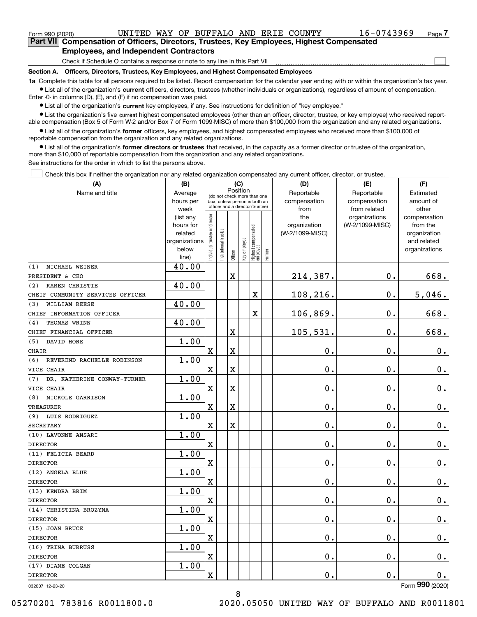$\mathcal{L}^{\text{max}}$ 

| Form 990 (2020) |                                                                                            |  | UNITED WAY OF BUFFALO AND ERIE COUNTY |  | 16-0743969 | Page $7$ |
|-----------------|--------------------------------------------------------------------------------------------|--|---------------------------------------|--|------------|----------|
|                 | Part VII Compensation of Officers, Directors, Trustees, Key Employees, Highest Compensated |  |                                       |  |            |          |
|                 | <b>Employees, and Independent Contractors</b>                                              |  |                                       |  |            |          |

Check if Schedule O contains a response or note to any line in this Part VII

**Section A. Officers, Directors, Trustees, Key Employees, and Highest Compensated Employees**

**1a**  Complete this table for all persons required to be listed. Report compensation for the calendar year ending with or within the organization's tax year. **•** List all of the organization's current officers, directors, trustees (whether individuals or organizations), regardless of amount of compensation.

Enter -0- in columns (D), (E), and (F) if no compensation was paid.

 $\bullet$  List all of the organization's  $\,$ current key employees, if any. See instructions for definition of "key employee."

**•** List the organization's five current highest compensated employees (other than an officer, director, trustee, or key employee) who received reportable compensation (Box 5 of Form W-2 and/or Box 7 of Form 1099-MISC) of more than \$100,000 from the organization and any related organizations.

**•** List all of the organization's former officers, key employees, and highest compensated employees who received more than \$100,000 of reportable compensation from the organization and any related organizations.

**former directors or trustees**  ¥ List all of the organization's that received, in the capacity as a former director or trustee of the organization, more than \$10,000 of reportable compensation from the organization and any related organizations.

See instructions for the order in which to list the persons above.

Check this box if neither the organization nor any related organization compensated any current officer, director, or trustee.  $\mathcal{L}^{\text{max}}$ 

| (A)                                | (B)                      |                               |                                                                  |             | (C)          |                                 |           | (D)             | (E)                | (F)                         |
|------------------------------------|--------------------------|-------------------------------|------------------------------------------------------------------|-------------|--------------|---------------------------------|-----------|-----------------|--------------------|-----------------------------|
| Name and title                     | Average                  |                               | Position<br>(do not check more than one                          |             |              |                                 |           | Reportable      | Reportable         | Estimated                   |
|                                    | hours per                |                               | box, unless person is both an<br>officer and a director/trustee) |             | compensation | compensation                    | amount of |                 |                    |                             |
|                                    | week                     |                               |                                                                  |             |              |                                 |           | from            | from related       | other                       |
|                                    | (list any                |                               |                                                                  |             |              |                                 |           | the             | organizations      | compensation                |
|                                    | hours for                |                               |                                                                  |             |              |                                 |           | organization    | (W-2/1099-MISC)    | from the                    |
|                                    | related<br>organizations |                               |                                                                  |             |              |                                 |           | (W-2/1099-MISC) |                    | organization<br>and related |
|                                    | below                    |                               |                                                                  |             |              |                                 |           |                 |                    | organizations               |
|                                    | line)                    | ndividual trustee or director | nstitutional trustee                                             | Officer     | Key employee | Highest compensated<br>employee | Former    |                 |                    |                             |
| MICHAEL WEINER<br>(1)              | 40.00                    |                               |                                                                  |             |              |                                 |           |                 |                    |                             |
| PRESIDENT & CEO                    |                          |                               |                                                                  | $\mathbf X$ |              |                                 |           | 214,387.        | $\mathbf 0$ .      | 668.                        |
| KAREN CHRISTIE<br>(2)              | 40.00                    |                               |                                                                  |             |              |                                 |           |                 |                    |                             |
| CHEIF COMMUNITY SERVICES OFFICER   |                          |                               |                                                                  |             |              | X                               |           | 108,216.        | $\mathbf 0$ .      | 5,046.                      |
| WILLIAM REESE<br>(3)               | 40.00                    |                               |                                                                  |             |              |                                 |           |                 |                    |                             |
| CHIEF INFORMATION OFFICER          |                          |                               |                                                                  |             |              | X                               |           | 106,869.        | $\mathbf 0$ .      | 668.                        |
| THOMAS WRINN<br>(4)                | 40.00                    |                               |                                                                  |             |              |                                 |           |                 |                    |                             |
| CHIEF FINANCIAL OFFICER            |                          |                               |                                                                  | $\mathbf X$ |              |                                 |           | 105,531.        | $\mathbf 0$ .      | 668.                        |
| DAVID HORE<br>(5)                  | 1.00                     |                               |                                                                  |             |              |                                 |           |                 |                    |                             |
| <b>CHAIR</b>                       |                          | $\mathbf X$                   |                                                                  | $\mathbf X$ |              |                                 |           | $\mathbf 0$ .   | 0.                 | $0_{.}$                     |
| (6)<br>REVEREND RACHELLE ROBINSON  | 1.00                     |                               |                                                                  |             |              |                                 |           |                 |                    |                             |
| VICE CHAIR                         |                          | $\mathbf X$                   |                                                                  | $\mathbf X$ |              |                                 |           | $\mathbf 0$ .   | 0.                 | $0_{.}$                     |
| DR. KATHERINE CONWAY-TURNER<br>(7) | 1.00                     |                               |                                                                  |             |              |                                 |           |                 |                    |                             |
| VICE CHAIR                         |                          | $\mathbf X$                   |                                                                  | $\mathbf X$ |              |                                 |           | $\mathbf 0$ .   | 0.                 | $0_{.}$                     |
| NICKOLE GARRISON<br>(8)            | 1.00                     |                               |                                                                  |             |              |                                 |           |                 |                    |                             |
| <b>TREASURER</b>                   |                          | $\mathbf X$                   |                                                                  | $\mathbf X$ |              |                                 |           | $\mathbf 0$ .   | 0.                 | $0_{.}$                     |
| (9) LUIS RODRIGUEZ                 | 1.00                     |                               |                                                                  |             |              |                                 |           |                 |                    |                             |
| <b>SECRETARY</b>                   |                          | $\mathbf X$                   |                                                                  | $\mathbf X$ |              |                                 |           | $\mathbf 0$ .   | 0.                 | $0_{.}$                     |
| (10) LAVONNE ANSARI                | 1.00                     |                               |                                                                  |             |              |                                 |           |                 |                    |                             |
| <b>DIRECTOR</b>                    |                          | $\mathbf X$                   |                                                                  |             |              |                                 |           | $\mathbf 0$ .   | 0.                 | 0.                          |
| (11) FELICIA BEARD                 | 1.00                     |                               |                                                                  |             |              |                                 |           |                 |                    |                             |
| <b>DIRECTOR</b>                    |                          | $\mathbf X$                   |                                                                  |             |              |                                 |           | $\mathbf 0$ .   | 0.                 | $0$ .                       |
| (12) ANGELA BLUE                   | 1.00                     |                               |                                                                  |             |              |                                 |           |                 |                    |                             |
| <b>DIRECTOR</b>                    |                          | $\mathbf X$                   |                                                                  |             |              |                                 |           | $\mathbf 0$ .   | 0.                 | 0.                          |
| (13) KENDRA BRIM                   | 1.00                     |                               |                                                                  |             |              |                                 |           |                 |                    |                             |
| <b>DIRECTOR</b>                    |                          | $\mathbf X$                   |                                                                  |             |              |                                 |           | $\mathbf 0$ .   | 0.                 | $0_{.}$                     |
| (14) CHRISTINA BROZYNA             | 1.00                     |                               |                                                                  |             |              |                                 |           |                 |                    |                             |
| <b>DIRECTOR</b>                    |                          | $\mathbf X$                   |                                                                  |             |              |                                 |           | $\mathbf 0$ .   | $\mathbf 0$ .      | $0_{.}$                     |
| (15) JOAN BRUCE                    | 1.00                     |                               |                                                                  |             |              |                                 |           |                 |                    |                             |
| <b>DIRECTOR</b>                    |                          | X                             |                                                                  |             |              |                                 |           | $\mathbf 0$ .   | $\mathbf 0$ .      | 0.                          |
| (16) TRINA BURRUSS                 | 1.00                     |                               |                                                                  |             |              |                                 |           |                 |                    |                             |
| DIRECTOR                           |                          | $\mathbf X$                   |                                                                  |             |              |                                 |           | $\mathbf 0$ .   | $\boldsymbol{0}$ . | $0_{.}$                     |
| (17) DIANE COLGAN                  | 1.00                     |                               |                                                                  |             |              |                                 |           |                 |                    |                             |
| <b>DIRECTOR</b>                    |                          | X                             |                                                                  |             |              |                                 |           | 0.              | $\boldsymbol{0}$ . | $0$ .                       |
| 032007 12-23-20                    |                          |                               |                                                                  |             |              |                                 |           |                 |                    | Form 990 (2020)             |

032007 12-23-20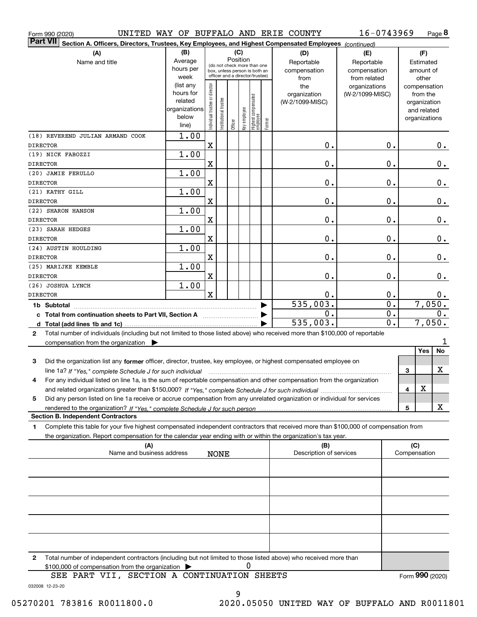|                         | Form 990 (2020)                                                                                                                                                                                                                                                     |                          |                                |                                                              |          |              |                                 |        | UNITED WAY OF BUFFALO AND ERIE COUNTY | 16-0743969       |   |     |                 | Page 8        |
|-------------------------|---------------------------------------------------------------------------------------------------------------------------------------------------------------------------------------------------------------------------------------------------------------------|--------------------------|--------------------------------|--------------------------------------------------------------|----------|--------------|---------------------------------|--------|---------------------------------------|------------------|---|-----|-----------------|---------------|
|                         | <b>Part VII</b><br>Section A. Officers, Directors, Trustees, Key Employees, and Highest Compensated Employees (continued)                                                                                                                                           |                          |                                |                                                              |          |              |                                 |        |                                       |                  |   |     |                 |               |
|                         | (A)                                                                                                                                                                                                                                                                 | (B)                      |                                |                                                              | (C)      |              |                                 |        | (D)                                   | (E)              |   |     | (F)             |               |
|                         | Name and title                                                                                                                                                                                                                                                      | Average                  |                                |                                                              | Position |              |                                 |        | Reportable                            | Reportable       |   |     | Estimated       |               |
|                         |                                                                                                                                                                                                                                                                     | hours per                |                                | (do not check more than one<br>box, unless person is both an |          |              |                                 |        | compensation                          | compensation     |   |     | amount of       |               |
|                         |                                                                                                                                                                                                                                                                     | week                     |                                | officer and a director/trustee)                              |          |              |                                 |        | from                                  | from related     |   |     | other           |               |
|                         |                                                                                                                                                                                                                                                                     | (list any                |                                |                                                              |          |              |                                 |        | the                                   | organizations    |   |     | compensation    |               |
|                         |                                                                                                                                                                                                                                                                     | hours for                |                                |                                                              |          |              |                                 |        | organization                          | (W-2/1099-MISC)  |   |     | from the        |               |
|                         |                                                                                                                                                                                                                                                                     | related<br>organizations |                                |                                                              |          |              |                                 |        | (W-2/1099-MISC)                       |                  |   |     | organization    |               |
|                         |                                                                                                                                                                                                                                                                     | below                    |                                |                                                              |          |              |                                 |        |                                       |                  |   |     | and related     |               |
|                         |                                                                                                                                                                                                                                                                     | line)                    | Individual trustee or director | nstitutional trustee                                         | Officer  | key employee | Highest compensated<br>employee | Former |                                       |                  |   |     | organizations   |               |
|                         | (18) REVEREND JULIAN ARMAND COOK                                                                                                                                                                                                                                    | 1.00                     |                                |                                                              |          |              |                                 |        |                                       |                  |   |     |                 |               |
| <b>DIRECTOR</b>         |                                                                                                                                                                                                                                                                     |                          | $\mathbf X$                    |                                                              |          |              |                                 |        | 0.                                    | 0.               |   |     |                 | $0_{.}$       |
|                         | (19) NICK FABOZZI                                                                                                                                                                                                                                                   | 1.00                     |                                |                                                              |          |              |                                 |        |                                       |                  |   |     |                 |               |
| <b>DIRECTOR</b>         |                                                                                                                                                                                                                                                                     |                          | X                              |                                                              |          |              |                                 |        | 0.                                    | 0.               |   |     |                 | 0.            |
|                         | (20) JAMIE FERULLO                                                                                                                                                                                                                                                  | 1.00                     |                                |                                                              |          |              |                                 |        |                                       |                  |   |     |                 |               |
| <b>DIRECTOR</b>         |                                                                                                                                                                                                                                                                     |                          | X                              |                                                              |          |              |                                 |        | 0.                                    | 0.               |   |     |                 | $0_{.}$       |
|                         | (21) KATHY GILL                                                                                                                                                                                                                                                     | 1.00                     |                                |                                                              |          |              |                                 |        |                                       |                  |   |     |                 |               |
| <b>DIRECTOR</b>         |                                                                                                                                                                                                                                                                     |                          | $\mathbf X$                    |                                                              |          |              |                                 |        | 0.                                    | 0.               |   |     |                 | $0_{.}$       |
|                         | (22) SHARON HANSON                                                                                                                                                                                                                                                  | 1.00                     |                                |                                                              |          |              |                                 |        |                                       |                  |   |     |                 |               |
| <b>DIRECTOR</b>         |                                                                                                                                                                                                                                                                     |                          | $\mathbf X$                    |                                                              |          |              |                                 |        | 0.                                    | 0.               |   |     |                 | 0.            |
|                         | (23) SARAH HEDGES                                                                                                                                                                                                                                                   | 1.00                     |                                |                                                              |          |              |                                 |        |                                       |                  |   |     |                 |               |
| <b>DIRECTOR</b>         |                                                                                                                                                                                                                                                                     |                          | $\mathbf X$                    |                                                              |          |              |                                 |        | 0.                                    | 0.               |   |     |                 | 0.            |
|                         | (24) AUSTIN HOULDING                                                                                                                                                                                                                                                | 1.00                     |                                |                                                              |          |              |                                 |        |                                       |                  |   |     |                 |               |
| <b>DIRECTOR</b>         |                                                                                                                                                                                                                                                                     |                          | $\mathbf X$                    |                                                              |          |              |                                 |        | 0.                                    | 0.               |   |     |                 | $\mathbf 0$ . |
|                         | (25) MARIJKE KEMBLE                                                                                                                                                                                                                                                 | 1.00                     |                                |                                                              |          |              |                                 |        |                                       |                  |   |     |                 |               |
| <b>DIRECTOR</b>         |                                                                                                                                                                                                                                                                     |                          | $\mathbf X$                    |                                                              |          |              |                                 |        | 0.                                    | 0.               |   |     |                 | 0.            |
|                         | (26) JOSHUA LYNCH                                                                                                                                                                                                                                                   | 1.00                     |                                |                                                              |          |              |                                 |        |                                       |                  |   |     |                 |               |
| <b>DIRECTOR</b>         |                                                                                                                                                                                                                                                                     |                          | $\mathbf X$                    |                                                              |          |              |                                 |        | 0.                                    | 0.               |   |     |                 | 0.            |
|                         |                                                                                                                                                                                                                                                                     |                          |                                |                                                              |          |              |                                 |        | 535,003.                              | $\overline{0}$ . |   |     | 7,050.          |               |
| 1b Subtotal<br>0.<br>0. |                                                                                                                                                                                                                                                                     |                          |                                |                                                              |          |              |                                 |        |                                       | $0$ .            |   |     |                 |               |
|                         |                                                                                                                                                                                                                                                                     |                          |                                |                                                              |          |              |                                 |        | 535,003.                              | 0.               |   |     | 7,050.          |               |
| 2                       | Total number of individuals (including but not limited to those listed above) who received more than \$100,000 of reportable                                                                                                                                        |                          |                                |                                                              |          |              |                                 |        |                                       |                  |   |     |                 |               |
|                         | compensation from the organization $\blacktriangleright$                                                                                                                                                                                                            |                          |                                |                                                              |          |              |                                 |        |                                       |                  |   |     |                 | 1             |
|                         |                                                                                                                                                                                                                                                                     |                          |                                |                                                              |          |              |                                 |        |                                       |                  |   |     | Yes             | No            |
| 3                       | Did the organization list any former officer, director, trustee, key employee, or highest compensated employee on                                                                                                                                                   |                          |                                |                                                              |          |              |                                 |        |                                       |                  |   |     |                 |               |
|                         |                                                                                                                                                                                                                                                                     |                          |                                |                                                              |          |              |                                 |        |                                       |                  |   | 3   |                 | х             |
| 4                       | line 1a? If "Yes," complete Schedule J for such individual manufactured contained and the Ves," complete Schedule J for such individual<br>For any individual listed on line 1a, is the sum of reportable compensation and other compensation from the organization |                          |                                |                                                              |          |              |                                 |        |                                       |                  |   |     |                 |               |
|                         |                                                                                                                                                                                                                                                                     |                          |                                |                                                              |          |              |                                 |        |                                       |                  |   | 4   | X               |               |
| 5                       | Did any person listed on line 1a receive or accrue compensation from any unrelated organization or individual for services                                                                                                                                          |                          |                                |                                                              |          |              |                                 |        |                                       |                  |   |     |                 |               |
|                         |                                                                                                                                                                                                                                                                     |                          |                                |                                                              |          |              |                                 |        |                                       |                  | 5 |     |                 | х             |
|                         | <b>Section B. Independent Contractors</b>                                                                                                                                                                                                                           |                          |                                |                                                              |          |              |                                 |        |                                       |                  |   |     |                 |               |
| 1                       | Complete this table for your five highest compensated independent contractors that received more than \$100,000 of compensation from                                                                                                                                |                          |                                |                                                              |          |              |                                 |        |                                       |                  |   |     |                 |               |
|                         | the organization. Report compensation for the calendar year ending with or within the organization's tax year.                                                                                                                                                      |                          |                                |                                                              |          |              |                                 |        |                                       |                  |   |     |                 |               |
|                         | (A)                                                                                                                                                                                                                                                                 |                          |                                |                                                              |          |              |                                 |        | (B)                                   |                  |   | (C) |                 |               |
|                         | Name and business address                                                                                                                                                                                                                                           |                          |                                | <b>NONE</b>                                                  |          |              |                                 |        | Description of services               |                  |   |     | Compensation    |               |
|                         |                                                                                                                                                                                                                                                                     |                          |                                |                                                              |          |              |                                 |        |                                       |                  |   |     |                 |               |
|                         |                                                                                                                                                                                                                                                                     |                          |                                |                                                              |          |              |                                 |        |                                       |                  |   |     |                 |               |
|                         |                                                                                                                                                                                                                                                                     |                          |                                |                                                              |          |              |                                 |        |                                       |                  |   |     |                 |               |
|                         |                                                                                                                                                                                                                                                                     |                          |                                |                                                              |          |              |                                 |        |                                       |                  |   |     |                 |               |
|                         |                                                                                                                                                                                                                                                                     |                          |                                |                                                              |          |              |                                 |        |                                       |                  |   |     |                 |               |
|                         |                                                                                                                                                                                                                                                                     |                          |                                |                                                              |          |              |                                 |        |                                       |                  |   |     |                 |               |
|                         |                                                                                                                                                                                                                                                                     |                          |                                |                                                              |          |              |                                 |        |                                       |                  |   |     |                 |               |
|                         |                                                                                                                                                                                                                                                                     |                          |                                |                                                              |          |              |                                 |        |                                       |                  |   |     |                 |               |
|                         |                                                                                                                                                                                                                                                                     |                          |                                |                                                              |          |              |                                 |        |                                       |                  |   |     |                 |               |
|                         |                                                                                                                                                                                                                                                                     |                          |                                |                                                              |          |              |                                 |        |                                       |                  |   |     |                 |               |
| 2                       | Total number of independent contractors (including but not limited to those listed above) who received more than                                                                                                                                                    |                          |                                |                                                              |          |              |                                 |        |                                       |                  |   |     |                 |               |
|                         | \$100,000 of compensation from the organization                                                                                                                                                                                                                     |                          |                                |                                                              |          | 0            |                                 |        |                                       |                  |   |     |                 |               |
|                         | SEE PART VII, SECTION A CONTINUATION SHEETS                                                                                                                                                                                                                         |                          |                                |                                                              |          |              |                                 |        |                                       |                  |   |     | Form 990 (2020) |               |

032008 12-23-20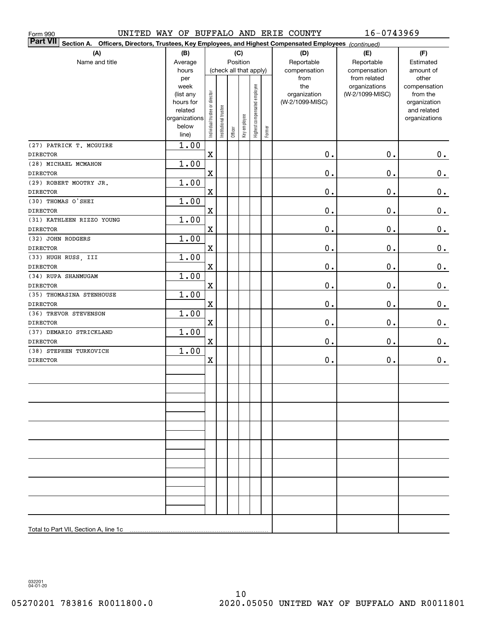| Form 990                                                                                                                     |                        |                                |                       |         |              |                              |        | UNITED WAY OF BUFFALO AND ERIE COUNTY | 16-0743969                    |                       |  |
|------------------------------------------------------------------------------------------------------------------------------|------------------------|--------------------------------|-----------------------|---------|--------------|------------------------------|--------|---------------------------------------|-------------------------------|-----------------------|--|
| <b>Part VII</b><br>Officers, Directors, Trustees, Key Employees, and Highest Compensated Employees (continued)<br>Section A. |                        |                                |                       |         |              |                              |        |                                       |                               |                       |  |
| (A)                                                                                                                          | (B)                    |                                |                       |         | (C)          |                              |        | (D)                                   | (E)                           | (F)                   |  |
| Name and title                                                                                                               | Average                |                                |                       |         | Position     |                              |        | Reportable                            | Reportable                    | Estimated             |  |
|                                                                                                                              | hours                  | (check all that apply)         |                       |         |              |                              |        | compensation                          | compensation                  | amount of             |  |
|                                                                                                                              | per<br>week            |                                |                       |         |              |                              |        | from<br>the                           | from related<br>organizations | other<br>compensation |  |
|                                                                                                                              | (list any              |                                |                       |         |              |                              |        | organization                          | (W-2/1099-MISC)               | from the              |  |
|                                                                                                                              | hours for              |                                |                       |         |              |                              |        | (W-2/1099-MISC)                       |                               | organization          |  |
|                                                                                                                              | related                |                                |                       |         |              |                              |        |                                       |                               | and related           |  |
|                                                                                                                              | organizations<br>below |                                |                       |         |              |                              |        |                                       |                               | organizations         |  |
|                                                                                                                              | line)                  | Individual trustee or director | Institutional trustee | Officer | Key employee | Highest compensated employee | Former |                                       |                               |                       |  |
| (27) PATRICK T. MCGUIRE                                                                                                      | $\overline{1.00}$      |                                |                       |         |              |                              |        |                                       |                               |                       |  |
| <b>DIRECTOR</b>                                                                                                              |                        | $\mathbf X$                    |                       |         |              |                              |        | 0.                                    | 0.                            | 0.                    |  |
| (28) MICHAEL MCMAHON                                                                                                         | 1.00                   |                                |                       |         |              |                              |        |                                       |                               |                       |  |
| <b>DIRECTOR</b>                                                                                                              |                        | $\mathbf X$                    |                       |         |              |                              |        | 0.                                    | 0.                            | 0.                    |  |
| (29) ROBERT MOOTRY JR.                                                                                                       | 1.00                   |                                |                       |         |              |                              |        |                                       |                               |                       |  |
| <b>DIRECTOR</b>                                                                                                              |                        | $\mathbf X$                    |                       |         |              |                              |        | 0.                                    | 0.                            | 0.                    |  |
| (30) THOMAS O'SHEI                                                                                                           | 1.00                   |                                |                       |         |              |                              |        |                                       |                               |                       |  |
| <b>DIRECTOR</b>                                                                                                              |                        | $\overline{\textbf{X}}$        |                       |         |              |                              |        | 0.                                    | 0.                            | 0.                    |  |
| (31) KATHLEEN RIZZO YOUNG                                                                                                    | 1.00                   |                                |                       |         |              |                              |        |                                       |                               |                       |  |
| <b>DIRECTOR</b>                                                                                                              |                        | $\overline{\textbf{X}}$        |                       |         |              |                              |        | 0.                                    | 0.                            | 0.                    |  |
| (32) JOHN RODGERS                                                                                                            | 1.00                   |                                |                       |         |              |                              |        |                                       |                               |                       |  |
| <b>DIRECTOR</b>                                                                                                              |                        | $\overline{\textbf{X}}$        |                       |         |              |                              |        | 0.                                    | 0.                            | 0.                    |  |
| (33) HUGH RUSS, III                                                                                                          | 1.00                   |                                |                       |         |              |                              |        |                                       |                               |                       |  |
| <b>DIRECTOR</b>                                                                                                              |                        | $\overline{\textbf{X}}$        |                       |         |              |                              |        | 0.                                    | 0.                            | 0.                    |  |
| (34) RUPA SHANMUGAM                                                                                                          | 1.00                   |                                |                       |         |              |                              |        |                                       |                               |                       |  |
| <b>DIRECTOR</b>                                                                                                              |                        | $\overline{\textbf{X}}$        |                       |         |              |                              |        | 0.                                    | 0.                            | $0_{.}$               |  |
| (35) THOMASINA STENHOUSE                                                                                                     | 1.00                   |                                |                       |         |              |                              |        |                                       |                               |                       |  |
| <b>DIRECTOR</b>                                                                                                              |                        | $\mathbf X$                    |                       |         |              |                              |        | 0.                                    | 0.                            | 0.                    |  |
| (36) TREVOR STEVENSON                                                                                                        | 1.00                   |                                |                       |         |              |                              |        |                                       |                               |                       |  |
| <b>DIRECTOR</b><br>(37) DEMARIO STRICKLAND                                                                                   | 1.00                   | $\mathbf X$                    |                       |         |              |                              |        | 0.                                    | 0.                            | 0.                    |  |
| <b>DIRECTOR</b>                                                                                                              |                        | $\mathbf X$                    |                       |         |              |                              |        | 0.                                    | 0.                            | 0.                    |  |
| (38) STEPHEN TURKOVICH                                                                                                       | 1.00                   |                                |                       |         |              |                              |        |                                       |                               |                       |  |
| <b>DIRECTOR</b>                                                                                                              |                        | $\overline{\mathbf{X}}$        |                       |         |              |                              |        | 0.                                    | 0.                            | 0.                    |  |
|                                                                                                                              |                        |                                |                       |         |              |                              |        |                                       |                               |                       |  |
|                                                                                                                              |                        |                                |                       |         |              |                              |        |                                       |                               |                       |  |
|                                                                                                                              |                        |                                |                       |         |              |                              |        |                                       |                               |                       |  |
|                                                                                                                              |                        |                                |                       |         |              |                              |        |                                       |                               |                       |  |
|                                                                                                                              |                        |                                |                       |         |              |                              |        |                                       |                               |                       |  |
|                                                                                                                              |                        |                                |                       |         |              |                              |        |                                       |                               |                       |  |
|                                                                                                                              |                        |                                |                       |         |              |                              |        |                                       |                               |                       |  |
|                                                                                                                              |                        |                                |                       |         |              |                              |        |                                       |                               |                       |  |
|                                                                                                                              |                        |                                |                       |         |              |                              |        |                                       |                               |                       |  |
|                                                                                                                              |                        |                                |                       |         |              |                              |        |                                       |                               |                       |  |
|                                                                                                                              |                        |                                |                       |         |              |                              |        |                                       |                               |                       |  |
|                                                                                                                              |                        |                                |                       |         |              |                              |        |                                       |                               |                       |  |
|                                                                                                                              |                        |                                |                       |         |              |                              |        |                                       |                               |                       |  |
|                                                                                                                              |                        |                                |                       |         |              |                              |        |                                       |                               |                       |  |
|                                                                                                                              |                        |                                |                       |         |              |                              |        |                                       |                               |                       |  |
|                                                                                                                              |                        |                                |                       |         |              |                              |        |                                       |                               |                       |  |
|                                                                                                                              |                        |                                |                       |         |              |                              |        |                                       |                               |                       |  |
| Total to Part VII, Section A, line 1c                                                                                        |                        |                                |                       |         |              |                              |        |                                       |                               |                       |  |

032201 04-01-20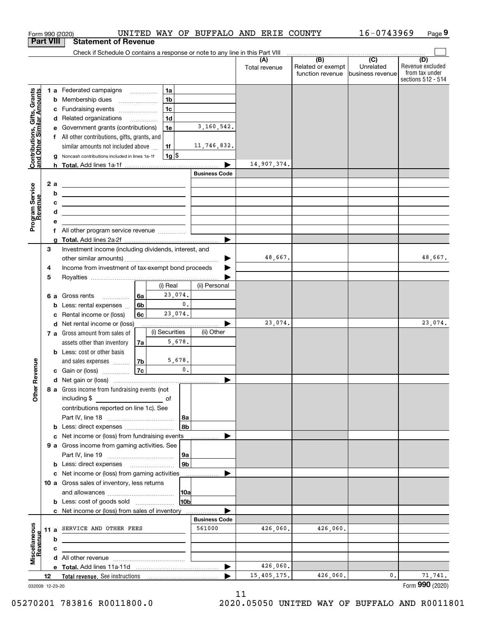|                                                           |                  |        | Form 990 (2020)                                                                                                                                                                                                                              |          |                     |                      | UNITED WAY OF BUFFALO AND ERIE COUNTY |                                       | 16-0743969                    | Page 9                                                          |
|-----------------------------------------------------------|------------------|--------|----------------------------------------------------------------------------------------------------------------------------------------------------------------------------------------------------------------------------------------------|----------|---------------------|----------------------|---------------------------------------|---------------------------------------|-------------------------------|-----------------------------------------------------------------|
|                                                           | <b>Part VIII</b> |        | <b>Statement of Revenue</b>                                                                                                                                                                                                                  |          |                     |                      |                                       |                                       |                               |                                                                 |
|                                                           |                  |        | Check if Schedule O contains a response or note to any line in this Part VIII                                                                                                                                                                |          |                     |                      |                                       | $\overbrace{ }$ (B) (C)               |                               |                                                                 |
|                                                           |                  |        |                                                                                                                                                                                                                                              |          |                     |                      | (A)<br>Total revenue                  | Related or exempt<br>function revenue | Unrelated<br>business revenue | (D)<br>Revenue excluded<br>from tax under<br>sections 512 - 514 |
|                                                           |                  |        | 1 a Federated campaigns                                                                                                                                                                                                                      |          | 1a                  |                      |                                       |                                       |                               |                                                                 |
|                                                           |                  | b      | Membership dues                                                                                                                                                                                                                              |          | 1 <sub>b</sub>      |                      |                                       |                                       |                               |                                                                 |
|                                                           |                  |        | c Fundraising events                                                                                                                                                                                                                         |          | 1 <sub>c</sub>      |                      |                                       |                                       |                               |                                                                 |
|                                                           |                  |        | d Related organizations                                                                                                                                                                                                                      |          | 1 <sub>d</sub>      |                      |                                       |                                       |                               |                                                                 |
|                                                           |                  |        | e Government grants (contributions)                                                                                                                                                                                                          |          | 1e                  | 3,160,542.           |                                       |                                       |                               |                                                                 |
|                                                           |                  |        | f All other contributions, gifts, grants, and                                                                                                                                                                                                |          |                     |                      |                                       |                                       |                               |                                                                 |
|                                                           |                  |        | similar amounts not included above                                                                                                                                                                                                           |          | 1f                  | 11,746,832.          |                                       |                                       |                               |                                                                 |
| Contributions, Gifts, Grants<br>and Other Similar Amounts |                  | g      | Noncash contributions included in lines 1a-1f                                                                                                                                                                                                |          | $1g$ \$             |                      |                                       |                                       |                               |                                                                 |
|                                                           |                  |        |                                                                                                                                                                                                                                              |          |                     | <b>Business Code</b> | 14,907,374.                           |                                       |                               |                                                                 |
|                                                           | 2 a              |        |                                                                                                                                                                                                                                              |          |                     |                      |                                       |                                       |                               |                                                                 |
|                                                           |                  | b      | <u>experience</u> and the contract of the contract of the contract of the contract of the contract of the contract of                                                                                                                        |          |                     |                      |                                       |                                       |                               |                                                                 |
|                                                           |                  | с      | <u> 1989 - Johann Stein, marwolaethau a bhann an t-Amhair an t-Amhair an t-Amhair an t-Amhair an t-Amhair an t-A</u><br><u> Alexandria de la contrada de la contrada de la contrada de la contrada de la contrada de la contrada de la c</u> |          |                     |                      |                                       |                                       |                               |                                                                 |
|                                                           |                  | d      | <u> 1980 - Johann Barn, mars ann an t-Amhair ann an t-Amhair an t-Amhair ann an t-Amhair an t-Amhair ann an t-A</u>                                                                                                                          |          |                     |                      |                                       |                                       |                               |                                                                 |
| Program Service<br>Revenue                                |                  | е      |                                                                                                                                                                                                                                              |          |                     |                      |                                       |                                       |                               |                                                                 |
|                                                           |                  |        | f All other program service revenue                                                                                                                                                                                                          |          |                     |                      |                                       |                                       |                               |                                                                 |
|                                                           |                  | a      |                                                                                                                                                                                                                                              |          |                     |                      |                                       |                                       |                               |                                                                 |
|                                                           | 3                |        | Investment income (including dividends, interest, and                                                                                                                                                                                        |          |                     |                      |                                       |                                       |                               |                                                                 |
|                                                           |                  |        |                                                                                                                                                                                                                                              |          |                     |                      | 48,667.                               |                                       |                               | 48,667.                                                         |
|                                                           | 4                |        | Income from investment of tax-exempt bond proceeds                                                                                                                                                                                           |          |                     |                      |                                       |                                       |                               |                                                                 |
|                                                           | 5                |        |                                                                                                                                                                                                                                              |          |                     |                      |                                       |                                       |                               |                                                                 |
|                                                           |                  |        |                                                                                                                                                                                                                                              |          | (i) Real<br>23,074. | (ii) Personal        |                                       |                                       |                               |                                                                 |
|                                                           |                  |        | 6 a Gross rents                                                                                                                                                                                                                              | 6a<br>6b | $\mathbf{0}$ .      |                      |                                       |                                       |                               |                                                                 |
|                                                           |                  | b<br>c | Less: rental expenses<br>Rental income or (loss)                                                                                                                                                                                             | 6с       | 23,074.             |                      |                                       |                                       |                               |                                                                 |
|                                                           |                  |        | d Net rental income or (loss)                                                                                                                                                                                                                |          |                     |                      | 23,074.                               |                                       |                               | 23,074.                                                         |
|                                                           |                  |        | 7 a Gross amount from sales of                                                                                                                                                                                                               |          | (i) Securities      | (ii) Other           |                                       |                                       |                               |                                                                 |
|                                                           |                  |        | assets other than inventory                                                                                                                                                                                                                  | 7a       | 5.678.              |                      |                                       |                                       |                               |                                                                 |
|                                                           |                  |        | <b>b</b> Less: cost or other basis                                                                                                                                                                                                           |          |                     |                      |                                       |                                       |                               |                                                                 |
|                                                           |                  |        | and sales expenses                                                                                                                                                                                                                           | 7b       | 5,678.              |                      |                                       |                                       |                               |                                                                 |
| evenue                                                    |                  |        | c Gain or (loss)                                                                                                                                                                                                                             | 7c       | $\mathbf 0$ .       |                      |                                       |                                       |                               |                                                                 |
| Œ                                                         |                  |        |                                                                                                                                                                                                                                              |          |                     |                      |                                       |                                       |                               |                                                                 |
| Other                                                     |                  |        | 8 a Gross income from fundraising events (not<br>including \$<br><u>and the state of</u>                                                                                                                                                     |          |                     |                      |                                       |                                       |                               |                                                                 |
|                                                           |                  |        | contributions reported on line 1c). See                                                                                                                                                                                                      |          |                     |                      |                                       |                                       |                               |                                                                 |
|                                                           |                  |        |                                                                                                                                                                                                                                              |          | 8a                  |                      |                                       |                                       |                               |                                                                 |
|                                                           |                  |        | c Net income or (loss) from fundraising events ____________                                                                                                                                                                                  |          | 8b                  |                      |                                       |                                       |                               |                                                                 |
|                                                           |                  |        | 9 a Gross income from gaming activities. See                                                                                                                                                                                                 |          |                     |                      |                                       |                                       |                               |                                                                 |
|                                                           |                  |        |                                                                                                                                                                                                                                              |          | 9a                  |                      |                                       |                                       |                               |                                                                 |
|                                                           |                  |        | <b>b</b> Less: direct expenses <b>manually</b>                                                                                                                                                                                               |          | 9b                  |                      |                                       |                                       |                               |                                                                 |
|                                                           |                  |        | c Net income or (loss) from gaming activities                                                                                                                                                                                                |          |                     | .                    |                                       |                                       |                               |                                                                 |
|                                                           |                  |        | 10 a Gross sales of inventory, less returns                                                                                                                                                                                                  |          |                     |                      |                                       |                                       |                               |                                                                 |
|                                                           |                  |        |                                                                                                                                                                                                                                              |          | 10a                 |                      |                                       |                                       |                               |                                                                 |
|                                                           |                  |        | <b>b</b> Less: cost of goods sold                                                                                                                                                                                                            |          | 10b                 |                      |                                       |                                       |                               |                                                                 |
|                                                           |                  |        | c Net income or (loss) from sales of inventory                                                                                                                                                                                               |          |                     |                      |                                       |                                       |                               |                                                                 |
|                                                           |                  |        |                                                                                                                                                                                                                                              |          |                     | <b>Business Code</b> |                                       |                                       |                               |                                                                 |
|                                                           |                  |        | 11 a SERVICE AND OTHER FEES                                                                                                                                                                                                                  |          |                     | 561000               | 426,060.                              | 426,060.                              |                               |                                                                 |
|                                                           |                  | b      |                                                                                                                                                                                                                                              |          |                     |                      |                                       |                                       |                               |                                                                 |
| Miscellaneous<br>Revenue                                  |                  | с      |                                                                                                                                                                                                                                              |          |                     |                      |                                       |                                       |                               |                                                                 |
|                                                           |                  |        |                                                                                                                                                                                                                                              |          |                     |                      | 426,060.                              |                                       |                               |                                                                 |
|                                                           | 12               |        |                                                                                                                                                                                                                                              |          |                     |                      | 15,405,175.                           | 426,060.                              | 0.                            | 71,741.                                                         |
| 032009 12-23-20                                           |                  |        |                                                                                                                                                                                                                                              |          |                     |                      |                                       |                                       |                               | Form 990 (2020)                                                 |

11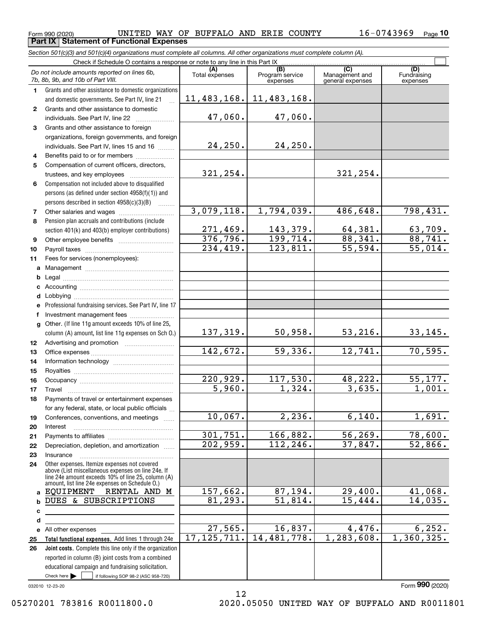**Part IX Statement of Functional Expenses**

*Section 501(c)(3) and 501(c)(4) organizations must complete all columns. All other organizations must complete column (A).*

|              | Check if Schedule O contains a response or note to any line in this Part IX                                                   |                       |                                    |                                           |                         |  |  |  |  |
|--------------|-------------------------------------------------------------------------------------------------------------------------------|-----------------------|------------------------------------|-------------------------------------------|-------------------------|--|--|--|--|
|              | Do not include amounts reported on lines 6b,<br>7b, 8b, 9b, and 10b of Part VIII.                                             | (A)<br>Total expenses | (B)<br>Program service<br>expenses | (C)<br>Management and<br>general expenses | Fundraising<br>expenses |  |  |  |  |
| $\mathbf{1}$ | Grants and other assistance to domestic organizations                                                                         |                       |                                    |                                           |                         |  |  |  |  |
|              | and domestic governments. See Part IV, line 21                                                                                | 11,483,168.           | 11,483,168.                        |                                           |                         |  |  |  |  |
| $\mathbf{2}$ | Grants and other assistance to domestic                                                                                       |                       |                                    |                                           |                         |  |  |  |  |
|              | individuals. See Part IV, line 22                                                                                             | 47,060.               | 47,060.                            |                                           |                         |  |  |  |  |
| 3            | Grants and other assistance to foreign                                                                                        |                       |                                    |                                           |                         |  |  |  |  |
|              | organizations, foreign governments, and foreign                                                                               |                       |                                    |                                           |                         |  |  |  |  |
|              | individuals. See Part IV, lines 15 and 16                                                                                     | 24, 250.              | 24,250.                            |                                           |                         |  |  |  |  |
| 4            | Benefits paid to or for members                                                                                               |                       |                                    |                                           |                         |  |  |  |  |
| 5            | Compensation of current officers, directors,                                                                                  |                       |                                    |                                           |                         |  |  |  |  |
|              |                                                                                                                               | 321,254.              |                                    | 321,254.                                  |                         |  |  |  |  |
| 6            | Compensation not included above to disqualified                                                                               |                       |                                    |                                           |                         |  |  |  |  |
|              | persons (as defined under section 4958(f)(1)) and                                                                             |                       |                                    |                                           |                         |  |  |  |  |
|              | persons described in section 4958(c)(3)(B)                                                                                    |                       | 1,794,039.                         |                                           |                         |  |  |  |  |
| 7            | Other salaries and wages                                                                                                      | 3,079,118.            |                                    | 486,648.                                  | 798,431.                |  |  |  |  |
| 8            | Pension plan accruals and contributions (include                                                                              | 271,469.              | 143,379.                           | 64,381.                                   | 63,709.                 |  |  |  |  |
| 9            | section 401(k) and 403(b) employer contributions)                                                                             | 376, 796.             | 199,714.                           | 88,341.                                   | 88,741.                 |  |  |  |  |
| 10           |                                                                                                                               | 234,419.              | 123,811.                           | 55,594.                                   | 55,014.                 |  |  |  |  |
| 11           | Fees for services (nonemployees):                                                                                             |                       |                                    |                                           |                         |  |  |  |  |
|              |                                                                                                                               |                       |                                    |                                           |                         |  |  |  |  |
| b            |                                                                                                                               |                       |                                    |                                           |                         |  |  |  |  |
|              |                                                                                                                               |                       |                                    |                                           |                         |  |  |  |  |
|              |                                                                                                                               |                       |                                    |                                           |                         |  |  |  |  |
|              | e Professional fundraising services. See Part IV, line 17                                                                     |                       |                                    |                                           |                         |  |  |  |  |
|              | f Investment management fees                                                                                                  |                       |                                    |                                           |                         |  |  |  |  |
|              | g Other. (If line 11g amount exceeds 10% of line 25,                                                                          |                       |                                    |                                           |                         |  |  |  |  |
|              | column (A) amount, list line 11g expenses on Sch O.)                                                                          | 137,319.              | 50,958.                            | 53, 216.                                  | 33,145.                 |  |  |  |  |
| 12           |                                                                                                                               |                       |                                    |                                           |                         |  |  |  |  |
| 13           |                                                                                                                               | 142,672.              | 59,336.                            | 12,741.                                   | 70, 595.                |  |  |  |  |
| 14           |                                                                                                                               |                       |                                    |                                           |                         |  |  |  |  |
| 15           |                                                                                                                               |                       |                                    |                                           |                         |  |  |  |  |
| 16           |                                                                                                                               | 220,929.<br>5,960.    | 117,530.<br>1,324.                 | 48,222.<br>3,635.                         | 55, 177.<br>1,001.      |  |  |  |  |
| 17           | Travel                                                                                                                        |                       |                                    |                                           |                         |  |  |  |  |
| 18           | Payments of travel or entertainment expenses<br>for any federal, state, or local public officials                             |                       |                                    |                                           |                         |  |  |  |  |
| 19           | Conferences, conventions, and meetings                                                                                        | $10,067$ .            | 2,236.                             | 6,140.                                    | 1,691.                  |  |  |  |  |
| 20           | Interest                                                                                                                      |                       |                                    |                                           |                         |  |  |  |  |
| 21           |                                                                                                                               | 301,751.              | 166,882.                           | 56, 269.                                  | 78,600.                 |  |  |  |  |
| 22           | Depreciation, depletion, and amortization                                                                                     | 202,959.              | 112,246.                           | 37,847.                                   | 52,866.                 |  |  |  |  |
| 23           | Insurance                                                                                                                     |                       |                                    |                                           |                         |  |  |  |  |
| 24           | Other expenses. Itemize expenses not covered<br>above (List miscellaneous expenses on line 24e. If                            |                       |                                    |                                           |                         |  |  |  |  |
|              | line 24e amount exceeds 10% of line 25, column (A)<br>amount, list line 24e expenses on Schedule O.)                          |                       |                                    |                                           |                         |  |  |  |  |
| a            | RENTAL AND M<br>EOUIPMENT                                                                                                     | 157,662.              | 87,194.                            | 29,400.                                   | 41,068.                 |  |  |  |  |
| b            | DUES & SUBSCRIPTIONS                                                                                                          | 81,293.               | 51,814.                            | 15,444.                                   | 14,035.                 |  |  |  |  |
| с            |                                                                                                                               |                       |                                    |                                           |                         |  |  |  |  |
| d            |                                                                                                                               |                       |                                    |                                           |                         |  |  |  |  |
| е            | All other expenses                                                                                                            | 27,565.               | 16,837.                            | 4,476.                                    | 6, 252.                 |  |  |  |  |
| 25           | Total functional expenses. Add lines 1 through 24e                                                                            | 17, 125, 711.         | 14,481,778.                        | 1,283,608.                                | 1,360,325.              |  |  |  |  |
| 26           | Joint costs. Complete this line only if the organization                                                                      |                       |                                    |                                           |                         |  |  |  |  |
|              | reported in column (B) joint costs from a combined                                                                            |                       |                                    |                                           |                         |  |  |  |  |
|              | educational campaign and fundraising solicitation.<br>Check here $\blacktriangleright$<br>if following SOP 98-2 (ASC 958-720) |                       |                                    |                                           |                         |  |  |  |  |
|              |                                                                                                                               |                       |                                    |                                           |                         |  |  |  |  |

032010 12-23-20

12

Form (2020) **990**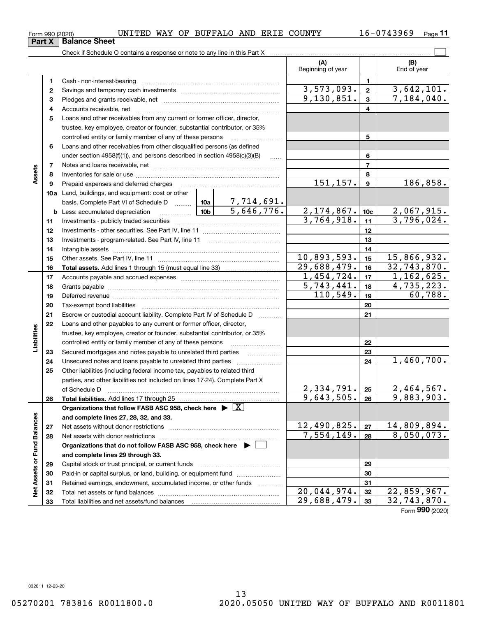$_{\rm Form}$   $_{990}$  (2020) UNITED WAY OF BUFFALO AND ERIE COUNTY  $_{\rm 16-0743969}$   $_{\rm Page}$ **Part X Balance Sheet**

**11**

|                             |          | Check if Schedule O contains a response or note to any line in this Part X                                                                                                                                                     |  |                          |                           |                 |                             |  |  |  |
|-----------------------------|----------|--------------------------------------------------------------------------------------------------------------------------------------------------------------------------------------------------------------------------------|--|--------------------------|---------------------------|-----------------|-----------------------------|--|--|--|
|                             |          |                                                                                                                                                                                                                                |  |                          | (A)<br>Beginning of year  |                 | (B)<br>End of year          |  |  |  |
|                             | 1        |                                                                                                                                                                                                                                |  |                          |                           | 1               |                             |  |  |  |
|                             | 2        |                                                                                                                                                                                                                                |  |                          | 3, 573, 093.              | $\mathbf 2$     | 3,642,101.                  |  |  |  |
|                             | 3        |                                                                                                                                                                                                                                |  | 9,130,851.               | $\mathbf{3}$              | 7,184,040.      |                             |  |  |  |
|                             | 4        |                                                                                                                                                                                                                                |  |                          |                           | 4               |                             |  |  |  |
|                             | 5        | Loans and other receivables from any current or former officer, director,                                                                                                                                                      |  |                          |                           |                 |                             |  |  |  |
|                             |          | trustee, key employee, creator or founder, substantial contributor, or 35%                                                                                                                                                     |  |                          |                           |                 |                             |  |  |  |
|                             |          | controlled entity or family member of any of these persons                                                                                                                                                                     |  |                          |                           | 5               |                             |  |  |  |
|                             | 6        | Loans and other receivables from other disqualified persons (as defined                                                                                                                                                        |  |                          |                           |                 |                             |  |  |  |
|                             |          | under section $4958(f)(1)$ , and persons described in section $4958(c)(3)(B)$                                                                                                                                                  |  | $\ldots$                 |                           | 6               |                             |  |  |  |
|                             | 7        |                                                                                                                                                                                                                                |  |                          |                           | $\overline{7}$  |                             |  |  |  |
| Assets                      | 8        |                                                                                                                                                                                                                                |  |                          |                           | 8               |                             |  |  |  |
|                             | 9        | Prepaid expenses and deferred charges                                                                                                                                                                                          |  |                          | 151, 157.                 | $\mathbf{9}$    | 186,858.                    |  |  |  |
|                             |          | 10a Land, buildings, and equipment: cost or other                                                                                                                                                                              |  |                          |                           |                 |                             |  |  |  |
|                             |          | basis. Complete Part VI of Schedule D  10a                                                                                                                                                                                     |  | 7,714,691.<br>5,646,776. |                           |                 |                             |  |  |  |
|                             |          | <u>  1</u> 0b<br><b>b</b> Less: accumulated depreciation                                                                                                                                                                       |  |                          | 2,174,867.                | 10 <sub>c</sub> | 2,067,915.                  |  |  |  |
|                             | 11       |                                                                                                                                                                                                                                |  | 3,764,918.               | 11<br>12                  | 3,796,024.      |                             |  |  |  |
|                             | 12       |                                                                                                                                                                                                                                |  |                          |                           |                 |                             |  |  |  |
|                             | 13       |                                                                                                                                                                                                                                |  |                          | 13                        |                 |                             |  |  |  |
|                             | 14       |                                                                                                                                                                                                                                |  | 14                       |                           |                 |                             |  |  |  |
|                             | 15       |                                                                                                                                                                                                                                |  | 10,893,593.              | 15                        | 15,866,932.     |                             |  |  |  |
|                             | 16       |                                                                                                                                                                                                                                |  |                          | 29,688,479.               | 16              | 32,743,870.                 |  |  |  |
|                             | 17       |                                                                                                                                                                                                                                |  |                          | 1,454,724.                | 17              | 1, 162, 625.                |  |  |  |
|                             | 18       |                                                                                                                                                                                                                                |  |                          | 5,743,441.                | 18              | 4,735,223.                  |  |  |  |
|                             | 19       | Deferred revenue manual contracts and contracts are contracted and contract and contract are contracted and contract are contracted and contract are contracted and contract are contracted and contract are contracted and co |  |                          | 110,549.                  | 19              | 60,788.                     |  |  |  |
|                             | 20       |                                                                                                                                                                                                                                |  |                          |                           | 20              |                             |  |  |  |
|                             | 21       | Escrow or custodial account liability. Complete Part IV of Schedule D                                                                                                                                                          |  |                          |                           | 21              |                             |  |  |  |
|                             | 22       | Loans and other payables to any current or former officer, director,                                                                                                                                                           |  |                          |                           |                 |                             |  |  |  |
| Liabilities                 |          | trustee, key employee, creator or founder, substantial contributor, or 35%                                                                                                                                                     |  |                          |                           |                 |                             |  |  |  |
|                             |          | controlled entity or family member of any of these persons                                                                                                                                                                     |  |                          |                           | 22              |                             |  |  |  |
|                             | 23       | Secured mortgages and notes payable to unrelated third parties                                                                                                                                                                 |  |                          |                           | 23              |                             |  |  |  |
|                             | 24       |                                                                                                                                                                                                                                |  |                          |                           | 24              | $\overline{1,460}$ , 700.   |  |  |  |
|                             | 25       | Other liabilities (including federal income tax, payables to related third                                                                                                                                                     |  |                          |                           |                 |                             |  |  |  |
|                             |          | parties, and other liabilities not included on lines 17-24). Complete Part X                                                                                                                                                   |  |                          |                           |                 |                             |  |  |  |
|                             |          | of Schedule D                                                                                                                                                                                                                  |  |                          | 2,334,791.                | 25              | 2,464,567.                  |  |  |  |
|                             | 26       | Total liabilities. Add lines 17 through 25                                                                                                                                                                                     |  |                          | 9,643,505.                | 26              | 9,883,903.                  |  |  |  |
|                             |          | Organizations that follow FASB ASC 958, check here $\triangleright \lfloor X \rfloor$                                                                                                                                          |  |                          |                           |                 |                             |  |  |  |
|                             |          | and complete lines 27, 28, 32, and 33.                                                                                                                                                                                         |  |                          | 12,490,825.               |                 | 14,809,894.                 |  |  |  |
|                             | 27       |                                                                                                                                                                                                                                |  |                          | $\overline{7,554,149}$ .  | 27              | 8,050,073.                  |  |  |  |
|                             | 28       |                                                                                                                                                                                                                                |  |                          |                           | 28              |                             |  |  |  |
|                             |          | Organizations that do not follow FASB ASC 958, check here $\blacktriangleright$                                                                                                                                                |  |                          |                           |                 |                             |  |  |  |
| Net Assets or Fund Balances |          | and complete lines 29 through 33.                                                                                                                                                                                              |  |                          |                           |                 |                             |  |  |  |
|                             | 29       |                                                                                                                                                                                                                                |  |                          |                           | 29              |                             |  |  |  |
|                             | 30       | Paid-in or capital surplus, or land, building, or equipment fund                                                                                                                                                               |  |                          |                           | 30<br>31        |                             |  |  |  |
|                             | 31       | Retained earnings, endowment, accumulated income, or other funds                                                                                                                                                               |  |                          | $\overline{20,044,974}$ . | 32              | $\overline{22}$ , 859, 967. |  |  |  |
|                             | 32<br>33 |                                                                                                                                                                                                                                |  |                          | 29,688,479.               | 33              | 32,743,870.                 |  |  |  |
|                             |          |                                                                                                                                                                                                                                |  |                          |                           |                 |                             |  |  |  |

Form (2020) **990**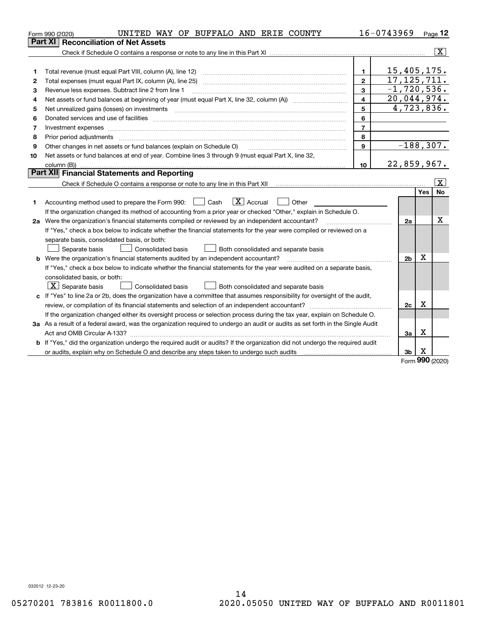|                | UNITED WAY OF BUFFALO AND ERIE COUNTY<br>Form 990 (2020)                                                                        |                         | 16-0743969     |             | Page 12                 |  |  |  |
|----------------|---------------------------------------------------------------------------------------------------------------------------------|-------------------------|----------------|-------------|-------------------------|--|--|--|
|                | <b>Reconciliation of Net Assets</b><br>Part XI                                                                                  |                         |                |             |                         |  |  |  |
|                |                                                                                                                                 |                         |                |             | $\overline{\mathbf{X}}$ |  |  |  |
|                |                                                                                                                                 |                         |                |             |                         |  |  |  |
| 1              |                                                                                                                                 | $\mathbf{1}$            | 15,405,175.    |             |                         |  |  |  |
| $\overline{2}$ |                                                                                                                                 | $\overline{2}$          | 17, 125, 711.  |             |                         |  |  |  |
| 3              | Revenue less expenses. Subtract line 2 from line 1                                                                              | 3                       | $-1,720,536.$  |             |                         |  |  |  |
| 4              |                                                                                                                                 | $\overline{\mathbf{A}}$ | 20,044,974.    |             |                         |  |  |  |
| 5              |                                                                                                                                 | 5                       | 4,723,836.     |             |                         |  |  |  |
| 6              |                                                                                                                                 | 6                       |                |             |                         |  |  |  |
| 7              | Investment expenses www.communication.com/www.communication.com/www.communication.com/www.communication.com                     | $\overline{7}$          |                |             |                         |  |  |  |
| 8              | 8<br>Prior period adjustments                                                                                                   |                         |                |             |                         |  |  |  |
| 9              | Other changes in net assets or fund balances (explain on Schedule O)                                                            | 9                       | $-188, 307.$   |             |                         |  |  |  |
| 10             | Net assets or fund balances at end of year. Combine lines 3 through 9 (must equal Part X, line 32,                              |                         |                |             |                         |  |  |  |
|                | 22,859,967.<br>10                                                                                                               |                         |                |             |                         |  |  |  |
|                | Part XII Financial Statements and Reporting                                                                                     |                         |                |             |                         |  |  |  |
|                |                                                                                                                                 |                         |                |             | $\mathbf{X}$            |  |  |  |
|                |                                                                                                                                 |                         |                | Yes         | <b>No</b>               |  |  |  |
| 1              | $\boxed{\mathbf{X}}$ Accrual<br>Accounting method used to prepare the Form 990: <u>June</u> Cash<br>Other                       |                         |                |             |                         |  |  |  |
|                | If the organization changed its method of accounting from a prior year or checked "Other," explain in Schedule O.               |                         |                |             |                         |  |  |  |
|                | x<br>2a Were the organization's financial statements compiled or reviewed by an independent accountant?<br>2a                   |                         |                |             |                         |  |  |  |
|                | If "Yes," check a box below to indicate whether the financial statements for the year were compiled or reviewed on a            |                         |                |             |                         |  |  |  |
|                | separate basis, consolidated basis, or both:                                                                                    |                         |                |             |                         |  |  |  |
|                | Separate basis<br><b>Consolidated basis</b><br>Both consolidated and separate basis                                             |                         |                |             |                         |  |  |  |
|                | <b>b</b> Were the organization's financial statements audited by an independent accountant?                                     |                         | 2 <sub>b</sub> | x           |                         |  |  |  |
|                | If "Yes," check a box below to indicate whether the financial statements for the year were audited on a separate basis,         |                         |                |             |                         |  |  |  |
|                | consolidated basis, or both:                                                                                                    |                         |                |             |                         |  |  |  |
|                | $ \mathbf{X} $ Separate basis<br><b>Consolidated basis</b><br>Both consolidated and separate basis                              |                         |                |             |                         |  |  |  |
|                | c If "Yes" to line 2a or 2b, does the organization have a committee that assumes responsibility for oversight of the audit,     |                         |                |             |                         |  |  |  |
|                | x<br>2c                                                                                                                         |                         |                |             |                         |  |  |  |
|                | If the organization changed either its oversight process or selection process during the tax year, explain on Schedule O.       |                         |                |             |                         |  |  |  |
|                | 3a As a result of a federal award, was the organization required to undergo an audit or audits as set forth in the Single Audit |                         |                |             |                         |  |  |  |
|                |                                                                                                                                 |                         | За             | X           |                         |  |  |  |
|                | b If "Yes," did the organization undergo the required audit or audits? If the organization did not undergo the required audit   |                         |                |             |                         |  |  |  |
|                |                                                                                                                                 |                         | 3 <sub>b</sub> | х<br>$\sim$ |                         |  |  |  |

Form (2020) **990**

032012 12-23-20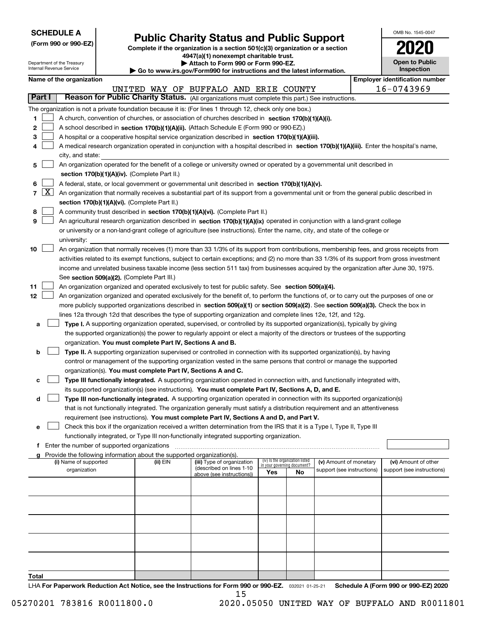Department of the Treasury Internal Revenue Service

|  |  | (Form 990 or 990-EZ) |  |
|--|--|----------------------|--|
|  |  |                      |  |

## **Public Charity Status and Public Support**

**Complete if the organization is a section 501(c)(3) organization or a section 4947(a)(1) nonexempt charitable trust.**

| Attach to Form 990 or Form 990-EZ. |  |  |  |
|------------------------------------|--|--|--|
|                                    |  |  |  |

**| Go to www.irs.gov/Form990 for instructions and the latest information.**

| OMB No 1545-0047                    |
|-------------------------------------|
| U                                   |
| <b>Open to Public</b><br>Inspection |

| Name of the organization |
|--------------------------|

|               |                     | Name of the organization                                                                                                                                                                   |          |                                                       |                             |                                 |                            | <b>Employer identification number</b> |
|---------------|---------------------|--------------------------------------------------------------------------------------------------------------------------------------------------------------------------------------------|----------|-------------------------------------------------------|-----------------------------|---------------------------------|----------------------------|---------------------------------------|
| <b>Part I</b> |                     | Reason for Public Charity Status. (All organizations must complete this part.) See instructions.                                                                                           |          | UNITED WAY OF BUFFALO AND ERIE COUNTY                 |                             |                                 |                            | 16-0743969                            |
|               |                     |                                                                                                                                                                                            |          |                                                       |                             |                                 |                            |                                       |
| 1             |                     | The organization is not a private foundation because it is: (For lines 1 through 12, check only one box.)                                                                                  |          |                                                       |                             |                                 |                            |                                       |
|               |                     | A church, convention of churches, or association of churches described in section 170(b)(1)(A)(i).                                                                                         |          |                                                       |                             |                                 |                            |                                       |
| 2             |                     | A school described in section 170(b)(1)(A)(ii). (Attach Schedule E (Form 990 or 990-EZ).)                                                                                                  |          |                                                       |                             |                                 |                            |                                       |
| з             |                     | A hospital or a cooperative hospital service organization described in section 170(b)(1)(A)(iii).                                                                                          |          |                                                       |                             |                                 |                            |                                       |
| 4             |                     | A medical research organization operated in conjunction with a hospital described in section 170(b)(1)(A)(iii). Enter the hospital's name,<br>city, and state:                             |          |                                                       |                             |                                 |                            |                                       |
| 5             |                     | An organization operated for the benefit of a college or university owned or operated by a governmental unit described in                                                                  |          |                                                       |                             |                                 |                            |                                       |
|               |                     | section 170(b)(1)(A)(iv). (Complete Part II.)                                                                                                                                              |          |                                                       |                             |                                 |                            |                                       |
|               |                     |                                                                                                                                                                                            |          |                                                       |                             |                                 |                            |                                       |
| 6<br>7        | $\lfloor x \rfloor$ | A federal, state, or local government or governmental unit described in section 170(b)(1)(A)(v).                                                                                           |          |                                                       |                             |                                 |                            |                                       |
|               |                     | An organization that normally receives a substantial part of its support from a governmental unit or from the general public described in<br>section 170(b)(1)(A)(vi). (Complete Part II.) |          |                                                       |                             |                                 |                            |                                       |
| 8             |                     | A community trust described in section 170(b)(1)(A)(vi). (Complete Part II.)                                                                                                               |          |                                                       |                             |                                 |                            |                                       |
| 9             |                     |                                                                                                                                                                                            |          |                                                       |                             |                                 |                            |                                       |
|               |                     | An agricultural research organization described in section 170(b)(1)(A)(ix) operated in conjunction with a land-grant college                                                              |          |                                                       |                             |                                 |                            |                                       |
|               |                     | or university or a non-land-grant college of agriculture (see instructions). Enter the name, city, and state of the college or<br>university:                                              |          |                                                       |                             |                                 |                            |                                       |
| 10            |                     | An organization that normally receives (1) more than 33 1/3% of its support from contributions, membership fees, and gross receipts from                                                   |          |                                                       |                             |                                 |                            |                                       |
|               |                     | activities related to its exempt functions, subject to certain exceptions; and (2) no more than 33 1/3% of its support from gross investment                                               |          |                                                       |                             |                                 |                            |                                       |
|               |                     | income and unrelated business taxable income (less section 511 tax) from businesses acquired by the organization after June 30, 1975.                                                      |          |                                                       |                             |                                 |                            |                                       |
|               |                     | See section 509(a)(2). (Complete Part III.)                                                                                                                                                |          |                                                       |                             |                                 |                            |                                       |
| 11            |                     | An organization organized and operated exclusively to test for public safety. See section 509(a)(4).                                                                                       |          |                                                       |                             |                                 |                            |                                       |
| 12            |                     | An organization organized and operated exclusively for the benefit of, to perform the functions of, or to carry out the purposes of one or                                                 |          |                                                       |                             |                                 |                            |                                       |
|               |                     | more publicly supported organizations described in section 509(a)(1) or section 509(a)(2). See section 509(a)(3). Check the box in                                                         |          |                                                       |                             |                                 |                            |                                       |
|               |                     | lines 12a through 12d that describes the type of supporting organization and complete lines 12e, 12f, and 12g.                                                                             |          |                                                       |                             |                                 |                            |                                       |
| а             |                     | Type I. A supporting organization operated, supervised, or controlled by its supported organization(s), typically by giving                                                                |          |                                                       |                             |                                 |                            |                                       |
|               |                     | the supported organization(s) the power to regularly appoint or elect a majority of the directors or trustees of the supporting                                                            |          |                                                       |                             |                                 |                            |                                       |
|               |                     | organization. You must complete Part IV, Sections A and B.                                                                                                                                 |          |                                                       |                             |                                 |                            |                                       |
| b             |                     | Type II. A supporting organization supervised or controlled in connection with its supported organization(s), by having                                                                    |          |                                                       |                             |                                 |                            |                                       |
|               |                     |                                                                                                                                                                                            |          |                                                       |                             |                                 |                            |                                       |
|               |                     | control or management of the supporting organization vested in the same persons that control or manage the supported<br>organization(s). You must complete Part IV, Sections A and C.      |          |                                                       |                             |                                 |                            |                                       |
|               |                     | Type III functionally integrated. A supporting organization operated in connection with, and functionally integrated with,                                                                 |          |                                                       |                             |                                 |                            |                                       |
| с             |                     | its supported organization(s) (see instructions). You must complete Part IV, Sections A, D, and E.                                                                                         |          |                                                       |                             |                                 |                            |                                       |
|               |                     | Type III non-functionally integrated. A supporting organization operated in connection with its supported organization(s)                                                                  |          |                                                       |                             |                                 |                            |                                       |
| d             |                     | that is not functionally integrated. The organization generally must satisfy a distribution requirement and an attentiveness                                                               |          |                                                       |                             |                                 |                            |                                       |
|               |                     | requirement (see instructions). You must complete Part IV, Sections A and D, and Part V.                                                                                                   |          |                                                       |                             |                                 |                            |                                       |
|               |                     | Check this box if the organization received a written determination from the IRS that it is a Type I, Type II, Type III                                                                    |          |                                                       |                             |                                 |                            |                                       |
|               |                     | functionally integrated, or Type III non-functionally integrated supporting organization.                                                                                                  |          |                                                       |                             |                                 |                            |                                       |
| f             |                     | Enter the number of supported organizations                                                                                                                                                |          |                                                       |                             |                                 |                            |                                       |
|               |                     | Provide the following information about the supported organization(s).                                                                                                                     |          |                                                       |                             |                                 |                            |                                       |
|               |                     | (i) Name of supported                                                                                                                                                                      | (ii) EIN | (iii) Type of organization                            | in vour aoverning document? | (iv) Is the organization listed | (v) Amount of monetary     | (vi) Amount of other                  |
|               |                     | organization                                                                                                                                                                               |          | (described on lines 1-10<br>above (see instructions)) | Yes                         | No                              | support (see instructions) | support (see instructions)            |
|               |                     |                                                                                                                                                                                            |          |                                                       |                             |                                 |                            |                                       |
|               |                     |                                                                                                                                                                                            |          |                                                       |                             |                                 |                            |                                       |
|               |                     |                                                                                                                                                                                            |          |                                                       |                             |                                 |                            |                                       |
|               |                     |                                                                                                                                                                                            |          |                                                       |                             |                                 |                            |                                       |
|               |                     |                                                                                                                                                                                            |          |                                                       |                             |                                 |                            |                                       |
|               |                     |                                                                                                                                                                                            |          |                                                       |                             |                                 |                            |                                       |
|               |                     |                                                                                                                                                                                            |          |                                                       |                             |                                 |                            |                                       |
|               |                     |                                                                                                                                                                                            |          |                                                       |                             |                                 |                            |                                       |
|               |                     |                                                                                                                                                                                            |          |                                                       |                             |                                 |                            |                                       |
|               |                     |                                                                                                                                                                                            |          |                                                       |                             |                                 |                            |                                       |
| Total         |                     |                                                                                                                                                                                            |          |                                                       |                             |                                 |                            |                                       |

LHA For Paperwork Reduction Act Notice, see the Instructions for Form 990 or 990-EZ. <sub>032021</sub> o1-25-21 Schedule A (Form 990 or 990-EZ) 2020 15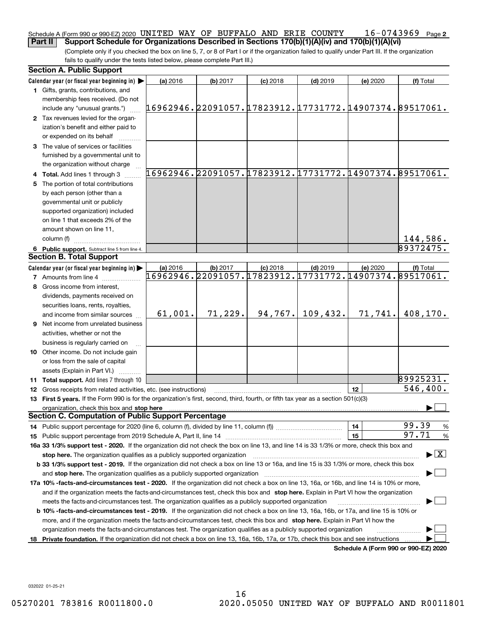### **2** Schedule A (Form 990 or 990-EZ) 2020 <code>UNITED WAY OF BUFFALO AND ERIE COUNTY  $16\text{--}0743969$  Page</code> **Part II Support Schedule for Organizations Described in Sections 170(b)(1)(A)(iv) and 170(b)(1)(A)(vi)**

(Complete only if you checked the box on line 5, 7, or 8 of Part I or if the organization failed to qualify under Part III. If the organization fails to qualify under the tests listed below, please complete Part III.)

|    | <b>Section A. Public Support</b>                                                                                                               |                                                        |          |            |            |          |                                          |
|----|------------------------------------------------------------------------------------------------------------------------------------------------|--------------------------------------------------------|----------|------------|------------|----------|------------------------------------------|
|    | Calendar year (or fiscal year beginning in) $\blacktriangleright$                                                                              | (a) 2016                                               | (b) 2017 | $(c)$ 2018 | $(d)$ 2019 | (e) 2020 | (f) Total                                |
|    | <b>1</b> Gifts, grants, contributions, and<br>membership fees received. (Do not                                                                |                                                        |          |            |            |          |                                          |
|    | include any "unusual grants.")                                                                                                                 | 16962946.22091057.17823912.17731772.14907374.89517061. |          |            |            |          |                                          |
|    | 2 Tax revenues levied for the organ-<br>ization's benefit and either paid to<br>or expended on its behalf                                      |                                                        |          |            |            |          |                                          |
|    | 3 The value of services or facilities                                                                                                          |                                                        |          |            |            |          |                                          |
|    | furnished by a governmental unit to<br>the organization without charge                                                                         |                                                        |          |            |            |          |                                          |
|    | 4 Total. Add lines 1 through 3                                                                                                                 | 16962946.22091057.17823912.17731772.14907374.89517061. |          |            |            |          |                                          |
| 5. | The portion of total contributions                                                                                                             |                                                        |          |            |            |          |                                          |
|    | by each person (other than a                                                                                                                   |                                                        |          |            |            |          |                                          |
|    | governmental unit or publicly                                                                                                                  |                                                        |          |            |            |          |                                          |
|    | supported organization) included                                                                                                               |                                                        |          |            |            |          |                                          |
|    | on line 1 that exceeds 2% of the                                                                                                               |                                                        |          |            |            |          |                                          |
|    | amount shown on line 11,                                                                                                                       |                                                        |          |            |            |          |                                          |
|    | column (f)                                                                                                                                     |                                                        |          |            |            |          | 144,586.                                 |
|    | 6 Public support. Subtract line 5 from line 4.                                                                                                 |                                                        |          |            |            |          | 89372475.                                |
|    | <b>Section B. Total Support</b>                                                                                                                |                                                        |          |            |            |          |                                          |
|    | Calendar year (or fiscal year beginning in)                                                                                                    | (a) 2016                                               | (b) 2017 | $(c)$ 2018 | $(d)$ 2019 | (e) 2020 | (f) Total                                |
|    | <b>7</b> Amounts from line 4                                                                                                                   | 16962946.22091057.17823912.17731772.14907374.89517061. |          |            |            |          |                                          |
|    | 8 Gross income from interest,                                                                                                                  |                                                        |          |            |            |          |                                          |
|    | dividends, payments received on                                                                                                                |                                                        |          |            |            |          |                                          |
|    | securities loans, rents, royalties,                                                                                                            |                                                        |          |            |            |          |                                          |
|    | and income from similar sources                                                                                                                | 61,001.                                                | 71,229.  | 94,767.    | 109,432.   | 71,741.  | 408,170.                                 |
|    | 9 Net income from unrelated business                                                                                                           |                                                        |          |            |            |          |                                          |
|    | activities, whether or not the                                                                                                                 |                                                        |          |            |            |          |                                          |
|    | business is regularly carried on                                                                                                               |                                                        |          |            |            |          |                                          |
|    | <b>10</b> Other income. Do not include gain                                                                                                    |                                                        |          |            |            |          |                                          |
|    | or loss from the sale of capital                                                                                                               |                                                        |          |            |            |          |                                          |
|    | assets (Explain in Part VI.)                                                                                                                   |                                                        |          |            |            |          |                                          |
|    | <b>11 Total support.</b> Add lines 7 through 10                                                                                                |                                                        |          |            |            |          | 89925231.                                |
|    | <b>12</b> Gross receipts from related activities, etc. (see instructions)                                                                      |                                                        |          |            |            | 12       | 546,400.                                 |
|    | 13 First 5 years. If the Form 990 is for the organization's first, second, third, fourth, or fifth tax year as a section 501(c)(3)             |                                                        |          |            |            |          |                                          |
|    | organization, check this box and stop here                                                                                                     |                                                        |          |            |            |          |                                          |
|    | <b>Section C. Computation of Public Support Percentage</b>                                                                                     |                                                        |          |            |            |          |                                          |
|    | 14 Public support percentage for 2020 (line 6, column (f), divided by line 11, column (f) <i>mummumumum</i>                                    |                                                        |          |            |            | 14       | 99.39<br>%                               |
|    |                                                                                                                                                |                                                        |          |            |            | 15       | 97.71<br>$\%$                            |
|    | 16a 33 1/3% support test - 2020. If the organization did not check the box on line 13, and line 14 is 33 1/3% or more, check this box and      |                                                        |          |            |            |          |                                          |
|    | stop here. The organization qualifies as a publicly supported organization                                                                     |                                                        |          |            |            |          | $\blacktriangleright$ $\boxed{\text{X}}$ |
|    | b 33 1/3% support test - 2019. If the organization did not check a box on line 13 or 16a, and line 15 is 33 1/3% or more, check this box       |                                                        |          |            |            |          |                                          |
|    | and stop here. The organization qualifies as a publicly supported organization                                                                 |                                                        |          |            |            |          |                                          |
|    | 17a 10% -facts-and-circumstances test - 2020. If the organization did not check a box on line 13, 16a, or 16b, and line 14 is 10% or more,     |                                                        |          |            |            |          |                                          |
|    | and if the organization meets the facts-and-circumstances test, check this box and stop here. Explain in Part VI how the organization          |                                                        |          |            |            |          |                                          |
|    | meets the facts-and-circumstances test. The organization qualifies as a publicly supported organization                                        |                                                        |          |            |            |          |                                          |
|    | <b>b 10% -facts-and-circumstances test - 2019.</b> If the organization did not check a box on line 13, 16a, 16b, or 17a, and line 15 is 10% or |                                                        |          |            |            |          |                                          |
|    | more, and if the organization meets the facts-and-circumstances test, check this box and stop here. Explain in Part VI how the                 |                                                        |          |            |            |          |                                          |
|    | organization meets the facts-and-circumstances test. The organization qualifies as a publicly supported organization                           |                                                        |          |            |            |          |                                          |
| 18 | Private foundation. If the organization did not check a box on line 13, 16a, 16b, 17a, or 17b, check this box and see instructions             |                                                        |          |            |            |          |                                          |
|    |                                                                                                                                                |                                                        |          |            |            |          | Schedule A (Form 990 or 990-EZ) 2020     |

032022 01-25-21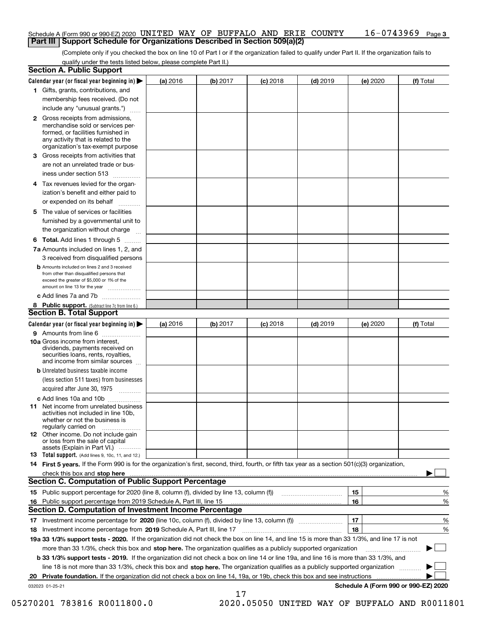### **3** Schedule A (Form 990 or 990-EZ) 2020 <code>UNITED WAY OF BUFFALO AND ERIE COUNTY  $16\text{--}0743969$  Page</code> **Part III Support Schedule for Organizations Described in Section 509(a)(2)**

(Complete only if you checked the box on line 10 of Part I or if the organization failed to qualify under Part II. If the organization fails to qualify under the tests listed below, please complete Part II.)

|    | <b>Section A. Public Support</b>                                                                                                                                                                                                      |          |          |            |            |                                      |           |
|----|---------------------------------------------------------------------------------------------------------------------------------------------------------------------------------------------------------------------------------------|----------|----------|------------|------------|--------------------------------------|-----------|
|    | Calendar year (or fiscal year beginning in) $\blacktriangleright$                                                                                                                                                                     | (a) 2016 | (b) 2017 | $(c)$ 2018 | $(d)$ 2019 | (e) 2020                             | (f) Total |
|    | 1 Gifts, grants, contributions, and                                                                                                                                                                                                   |          |          |            |            |                                      |           |
|    | membership fees received. (Do not                                                                                                                                                                                                     |          |          |            |            |                                      |           |
|    | include any "unusual grants.")                                                                                                                                                                                                        |          |          |            |            |                                      |           |
|    | 2 Gross receipts from admissions,<br>merchandise sold or services per-<br>formed, or facilities furnished in<br>any activity that is related to the<br>organization's tax-exempt purpose                                              |          |          |            |            |                                      |           |
|    | 3 Gross receipts from activities that<br>are not an unrelated trade or bus-<br>iness under section 513                                                                                                                                |          |          |            |            |                                      |           |
|    | 4 Tax revenues levied for the organ-<br>ization's benefit and either paid to                                                                                                                                                          |          |          |            |            |                                      |           |
|    | or expended on its behalf<br>.                                                                                                                                                                                                        |          |          |            |            |                                      |           |
|    | 5 The value of services or facilities                                                                                                                                                                                                 |          |          |            |            |                                      |           |
|    | furnished by a governmental unit to                                                                                                                                                                                                   |          |          |            |            |                                      |           |
|    | the organization without charge                                                                                                                                                                                                       |          |          |            |            |                                      |           |
|    | <b>6 Total.</b> Add lines 1 through 5                                                                                                                                                                                                 |          |          |            |            |                                      |           |
|    | 7a Amounts included on lines 1, 2, and                                                                                                                                                                                                |          |          |            |            |                                      |           |
|    | 3 received from disqualified persons<br><b>b</b> Amounts included on lines 2 and 3 received                                                                                                                                           |          |          |            |            |                                      |           |
|    | from other than disqualified persons that                                                                                                                                                                                             |          |          |            |            |                                      |           |
|    | exceed the greater of \$5,000 or 1% of the<br>amount on line 13 for the year                                                                                                                                                          |          |          |            |            |                                      |           |
|    | c Add lines 7a and 7b                                                                                                                                                                                                                 |          |          |            |            |                                      |           |
|    | 8 Public support. (Subtract line 7c from line 6.)                                                                                                                                                                                     |          |          |            |            |                                      |           |
|    | <b>Section B. Total Support</b>                                                                                                                                                                                                       |          |          |            |            |                                      |           |
|    | Calendar year (or fiscal year beginning in) $\blacktriangleright$                                                                                                                                                                     | (a) 2016 | (b) 2017 | $(c)$ 2018 | $(d)$ 2019 | (e) 2020                             | (f) Total |
|    | 9 Amounts from line 6                                                                                                                                                                                                                 |          |          |            |            |                                      |           |
|    | 10a Gross income from interest,<br>dividends, payments received on<br>securities loans, rents, royalties,<br>and income from similar sources                                                                                          |          |          |            |            |                                      |           |
|    | <b>b</b> Unrelated business taxable income                                                                                                                                                                                            |          |          |            |            |                                      |           |
|    | (less section 511 taxes) from businesses                                                                                                                                                                                              |          |          |            |            |                                      |           |
|    | acquired after June 30, 1975                                                                                                                                                                                                          |          |          |            |            |                                      |           |
|    | c Add lines 10a and 10b<br>11 Net income from unrelated business<br>activities not included in line 10b,<br>whether or not the business is<br>regularly carried on                                                                    |          |          |            |            |                                      |           |
|    | <b>12</b> Other income. Do not include gain<br>or loss from the sale of capital<br>assets (Explain in Part VI.)                                                                                                                       |          |          |            |            |                                      |           |
|    | <b>13</b> Total support. (Add lines 9, 10c, 11, and 12.)                                                                                                                                                                              |          |          |            |            |                                      |           |
|    | 14 First 5 years. If the Form 990 is for the organization's first, second, third, fourth, or fifth tax year as a section 501(c)(3) organization,                                                                                      |          |          |            |            |                                      |           |
|    | check this box and stop here with the continuum control to the change of the state of the state of the change of the state of the change of the change of the state of the change of the change of the change of the change of        |          |          |            |            |                                      |           |
|    | <b>Section C. Computation of Public Support Percentage</b>                                                                                                                                                                            |          |          |            |            |                                      |           |
|    | 15 Public support percentage for 2020 (line 8, column (f), divided by line 13, column (f))                                                                                                                                            |          |          |            |            | 15                                   | %         |
|    | 16 Public support percentage from 2019 Schedule A, Part III, line 15<br><b>Section D. Computation of Investment Income Percentage</b>                                                                                                 |          |          |            |            | 16                                   | %         |
|    |                                                                                                                                                                                                                                       |          |          |            |            | 17                                   |           |
|    | 17 Investment income percentage for 2020 (line 10c, column (f), divided by line 13, column (f))                                                                                                                                       |          |          |            |            | 18                                   | %         |
|    | <b>18</b> Investment income percentage from <b>2019</b> Schedule A, Part III, line 17<br>19a 33 1/3% support tests - 2020. If the organization did not check the box on line 14, and line 15 is more than 33 1/3%, and line 17 is not |          |          |            |            |                                      | %         |
|    | more than 33 1/3%, check this box and stop here. The organization qualifies as a publicly supported organization                                                                                                                      |          |          |            |            |                                      | ▶         |
|    | b 33 1/3% support tests - 2019. If the organization did not check a box on line 14 or line 19a, and line 16 is more than 33 1/3%, and                                                                                                 |          |          |            |            |                                      |           |
|    | line 18 is not more than 33 1/3%, check this box and stop here. The organization qualifies as a publicly supported organization                                                                                                       |          |          |            |            |                                      |           |
| 20 | Private foundation. If the organization did not check a box on line 14, 19a, or 19b, check this box and see instructions                                                                                                              |          |          |            |            | .                                    |           |
|    | 032023 01-25-21                                                                                                                                                                                                                       |          |          |            |            | Schedule A (Form 990 or 990-EZ) 2020 |           |

17

 <sup>05270201 783816</sup> R0011800.0 2020.05050 UNITED WAY OF BUFFALO AND R0011801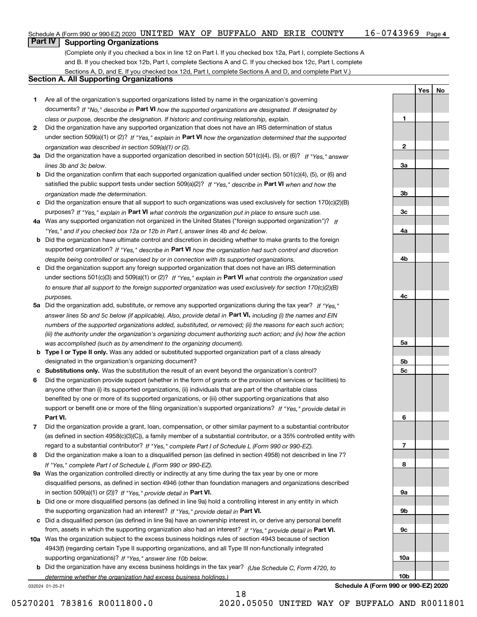| Schedule A (Form 990 or 990-EZ) 2020 UNITED WAY OF BUFFALO AND ERIE COUNTY |  |  |  | $16 - 0743969$ Page 4 |  |
|----------------------------------------------------------------------------|--|--|--|-----------------------|--|
| _____________                                                              |  |  |  |                       |  |

### **Part IV Supporting Organizations**

(Complete only if you checked a box in line 12 on Part I. If you checked box 12a, Part I, complete Sections A and B. If you checked box 12b, Part I, complete Sections A and C. If you checked box 12c, Part I, complete Sections A, D, and E. If you checked box 12d, Part I, complete Sections A and D, and complete Part V.)

### **Section A. All Supporting Organizations**

- **1** Are all of the organization's supported organizations listed by name in the organization's governing documents? If "No," describe in **Part VI** how the supported organizations are designated. If designated by *class or purpose, describe the designation. If historic and continuing relationship, explain.*
- **2** Did the organization have any supported organization that does not have an IRS determination of status under section 509(a)(1) or (2)? If "Yes," explain in Part VI how the organization determined that the supported *organization was described in section 509(a)(1) or (2).*
- **3a** Did the organization have a supported organization described in section 501(c)(4), (5), or (6)? If "Yes," answer *lines 3b and 3c below.*
- **b** Did the organization confirm that each supported organization qualified under section 501(c)(4), (5), or (6) and satisfied the public support tests under section 509(a)(2)? If "Yes," describe in **Part VI** when and how the *organization made the determination.*
- **c**Did the organization ensure that all support to such organizations was used exclusively for section 170(c)(2)(B) purposes? If "Yes," explain in **Part VI** what controls the organization put in place to ensure such use.
- **4a***If* Was any supported organization not organized in the United States ("foreign supported organization")? *"Yes," and if you checked box 12a or 12b in Part I, answer lines 4b and 4c below.*
- **b** Did the organization have ultimate control and discretion in deciding whether to make grants to the foreign supported organization? If "Yes," describe in **Part VI** how the organization had such control and discretion *despite being controlled or supervised by or in connection with its supported organizations.*
- **c** Did the organization support any foreign supported organization that does not have an IRS determination under sections 501(c)(3) and 509(a)(1) or (2)? If "Yes," explain in **Part VI** what controls the organization used *to ensure that all support to the foreign supported organization was used exclusively for section 170(c)(2)(B) purposes.*
- **5a** Did the organization add, substitute, or remove any supported organizations during the tax year? If "Yes," answer lines 5b and 5c below (if applicable). Also, provide detail in **Part VI,** including (i) the names and EIN *numbers of the supported organizations added, substituted, or removed; (ii) the reasons for each such action; (iii) the authority under the organization's organizing document authorizing such action; and (iv) how the action was accomplished (such as by amendment to the organizing document).*
- **b** Type I or Type II only. Was any added or substituted supported organization part of a class already designated in the organization's organizing document?
- **cSubstitutions only.**  Was the substitution the result of an event beyond the organization's control?
- **6** Did the organization provide support (whether in the form of grants or the provision of services or facilities) to **Part VI.** *If "Yes," provide detail in* support or benefit one or more of the filing organization's supported organizations? anyone other than (i) its supported organizations, (ii) individuals that are part of the charitable class benefited by one or more of its supported organizations, or (iii) other supporting organizations that also
- **7**Did the organization provide a grant, loan, compensation, or other similar payment to a substantial contributor *If "Yes," complete Part I of Schedule L (Form 990 or 990-EZ).* regard to a substantial contributor? (as defined in section 4958(c)(3)(C)), a family member of a substantial contributor, or a 35% controlled entity with
- **8** Did the organization make a loan to a disqualified person (as defined in section 4958) not described in line 7? *If "Yes," complete Part I of Schedule L (Form 990 or 990-EZ).*
- **9a** Was the organization controlled directly or indirectly at any time during the tax year by one or more in section 509(a)(1) or (2))? If "Yes," *provide detail in* <code>Part VI.</code> disqualified persons, as defined in section 4946 (other than foundation managers and organizations described
- **b**the supporting organization had an interest? If "Yes," provide detail in P**art VI**. Did one or more disqualified persons (as defined in line 9a) hold a controlling interest in any entity in which
- **c**Did a disqualified person (as defined in line 9a) have an ownership interest in, or derive any personal benefit from, assets in which the supporting organization also had an interest? If "Yes," provide detail in P**art VI.**
- **10a** Was the organization subject to the excess business holdings rules of section 4943 because of section supporting organizations)? If "Yes," answer line 10b below. 4943(f) (regarding certain Type II supporting organizations, and all Type III non-functionally integrated
- **b** Did the organization have any excess business holdings in the tax year? (Use Schedule C, Form 4720, to *determine whether the organization had excess business holdings.)*

18

032024 01-25-21

**Schedule A (Form 990 or 990-EZ) 2020**

**YesNo**

**1**

**2**

**3a**

**3b**

**3c**

**4a**

**4b**

**4c**

**5a**

**5b5c**

**6**

**7**

**8**

**9a**

**9b**

**9c**

**10a**

**10b**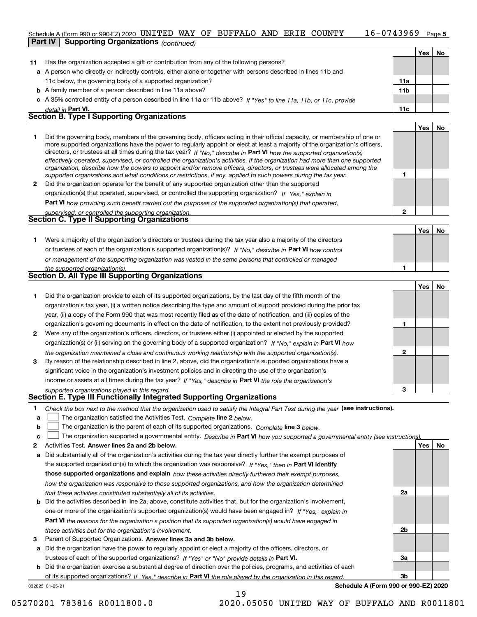### $16 - 0743969$  Page 5 Schedule A (Form 990 or 990-EZ) 2020 <code>UNITED WAY OF BUFFALO AND ERIE COUNTY  $16\text{--}0743969$  Page</code> **Part IV Supporting Organizations** *(continued)*

|              | <u>commune</u>                                                                                                                                                                                                                                                                                                                                                                                                                                                                                                                                                                                                                                                                                                                                                           |                 |     |           |
|--------------|--------------------------------------------------------------------------------------------------------------------------------------------------------------------------------------------------------------------------------------------------------------------------------------------------------------------------------------------------------------------------------------------------------------------------------------------------------------------------------------------------------------------------------------------------------------------------------------------------------------------------------------------------------------------------------------------------------------------------------------------------------------------------|-----------------|-----|-----------|
|              |                                                                                                                                                                                                                                                                                                                                                                                                                                                                                                                                                                                                                                                                                                                                                                          |                 | Yes | <b>No</b> |
| 11           | Has the organization accepted a gift or contribution from any of the following persons?                                                                                                                                                                                                                                                                                                                                                                                                                                                                                                                                                                                                                                                                                  |                 |     |           |
|              | a A person who directly or indirectly controls, either alone or together with persons described in lines 11b and                                                                                                                                                                                                                                                                                                                                                                                                                                                                                                                                                                                                                                                         |                 |     |           |
|              | 11c below, the governing body of a supported organization?                                                                                                                                                                                                                                                                                                                                                                                                                                                                                                                                                                                                                                                                                                               | 11a             |     |           |
|              | <b>b</b> A family member of a person described in line 11a above?                                                                                                                                                                                                                                                                                                                                                                                                                                                                                                                                                                                                                                                                                                        | 11 <sub>b</sub> |     |           |
|              | c A 35% controlled entity of a person described in line 11a or 11b above? If "Yes" to line 11a, 11b, or 11c, provide                                                                                                                                                                                                                                                                                                                                                                                                                                                                                                                                                                                                                                                     |                 |     |           |
|              | detail in Part VI.                                                                                                                                                                                                                                                                                                                                                                                                                                                                                                                                                                                                                                                                                                                                                       | 11c             |     |           |
|              | <b>Section B. Type I Supporting Organizations</b>                                                                                                                                                                                                                                                                                                                                                                                                                                                                                                                                                                                                                                                                                                                        |                 |     |           |
|              |                                                                                                                                                                                                                                                                                                                                                                                                                                                                                                                                                                                                                                                                                                                                                                          |                 | Yes | <b>No</b> |
|              | Did the governing body, members of the governing body, officers acting in their official capacity, or membership of one or<br>more supported organizations have the power to regularly appoint or elect at least a majority of the organization's officers,<br>directors, or trustees at all times during the tax year? If "No," describe in Part VI how the supported organization(s)<br>effectively operated, supervised, or controlled the organization's activities. If the organization had more than one supported<br>organization, describe how the powers to appoint and/or remove officers, directors, or trustees were allocated among the<br>supported organizations and what conditions or restrictions, if any, applied to such powers during the tax year. |                 |     |           |
| $\mathbf{2}$ | Did the organization operate for the benefit of any supported organization other than the supported                                                                                                                                                                                                                                                                                                                                                                                                                                                                                                                                                                                                                                                                      |                 |     |           |
|              | organization(s) that operated, supervised, or controlled the supporting organization? If "Yes," explain in                                                                                                                                                                                                                                                                                                                                                                                                                                                                                                                                                                                                                                                               |                 |     |           |
|              | Part VI how providing such benefit carried out the purposes of the supported organization(s) that operated,                                                                                                                                                                                                                                                                                                                                                                                                                                                                                                                                                                                                                                                              |                 |     |           |
|              | supervised, or controlled the supporting organization.                                                                                                                                                                                                                                                                                                                                                                                                                                                                                                                                                                                                                                                                                                                   | $\mathbf{2}$    |     |           |
|              | <b>Section C. Type II Supporting Organizations</b>                                                                                                                                                                                                                                                                                                                                                                                                                                                                                                                                                                                                                                                                                                                       |                 |     |           |
|              |                                                                                                                                                                                                                                                                                                                                                                                                                                                                                                                                                                                                                                                                                                                                                                          |                 | Yes | <b>No</b> |
| 1            | Were a majority of the organization's directors or trustees during the tax year also a majority of the directors                                                                                                                                                                                                                                                                                                                                                                                                                                                                                                                                                                                                                                                         |                 |     |           |
|              | or trustees of each of the organization's supported organization(s)? If "No," describe in Part VI how control                                                                                                                                                                                                                                                                                                                                                                                                                                                                                                                                                                                                                                                            |                 |     |           |
|              | or management of the supporting organization was vested in the same persons that controlled or managed                                                                                                                                                                                                                                                                                                                                                                                                                                                                                                                                                                                                                                                                   |                 |     |           |
|              | the supported organization(s).                                                                                                                                                                                                                                                                                                                                                                                                                                                                                                                                                                                                                                                                                                                                           |                 |     |           |

|              |                                                                                                                        |              | Yes | <b>No</b> |
|--------------|------------------------------------------------------------------------------------------------------------------------|--------------|-----|-----------|
|              | Did the organization provide to each of its supported organizations, by the last day of the fifth month of the         |              |     |           |
|              | organization's tax year, (i) a written notice describing the type and amount of support provided during the prior tax  |              |     |           |
|              | year, (ii) a copy of the Form 990 that was most recently filed as of the date of notification, and (iii) copies of the |              |     |           |
|              | organization's governing documents in effect on the date of notification, to the extent not previously provided?       |              |     |           |
| $\mathbf{2}$ | Were any of the organization's officers, directors, or trustees either (i) appointed or elected by the supported       |              |     |           |
|              | organization(s) or (ii) serving on the governing body of a supported organization? If "No," explain in Part VI how     |              |     |           |
|              | the organization maintained a close and continuous working relationship with the supported organization(s).            | $\mathbf{2}$ |     |           |
| 3            | By reason of the relationship described in line 2, above, did the organization's supported organizations have a        |              |     |           |
|              | significant voice in the organization's investment policies and in directing the use of the organization's             |              |     |           |
|              | income or assets at all times during the tax year? If "Yes," describe in Part VI the role the organization's           |              |     |           |
|              | supported organizations played in this regard                                                                          | 3            |     |           |

## *supported organizations played in this regard.* **Section E. Type III Functionally Integrated Supporting Organizations**

|  | Check the box next to the method that the organization used to satisfy the Integral Part Test during the year (see instructions). |  |  |  |
|--|-----------------------------------------------------------------------------------------------------------------------------------|--|--|--|
|--|-----------------------------------------------------------------------------------------------------------------------------------|--|--|--|

- **alinupy** The organization satisfied the Activities Test. Complete line 2 below.
- **b**The organization is the parent of each of its supported organizations. *Complete* line 3 *below.*  $\mathcal{L}^{\text{max}}$

|  |  | c $\Box$ The organization supported a governmental entity. Describe in Part VI how you supported a governmental entity (see instructions). |  |  |  |  |
|--|--|--------------------------------------------------------------------------------------------------------------------------------------------|--|--|--|--|
|--|--|--------------------------------------------------------------------------------------------------------------------------------------------|--|--|--|--|

19

**2Answer lines 2a and 2b below. Yes No** Activities Test.

**Section D. All Type III Supporting Organizations**

- **a** Did substantially all of the organization's activities during the tax year directly further the exempt purposes of **b** Did the activities described in line 2a, above, constitute activities that, but for the organization's involvement, the supported organization(s) to which the organization was responsive? If "Yes," then in **Part VI identify those supported organizations and explain**  *how these activities directly furthered their exempt purposes, how the organization was responsive to those supported organizations, and how the organization determined that these activities constituted substantially all of its activities.*
- **Part VI**  *the reasons for the organization's position that its supported organization(s) would have engaged in* one or more of the organization's supported organization(s) would have been engaged in? If "Yes," e*xplain in these activities but for the organization's involvement.*
- **3** Parent of Supported Organizations. Answer lines 3a and 3b below.

**a** Did the organization have the power to regularly appoint or elect a majority of the officers, directors, or trustees of each of the supported organizations? If "Yes" or "No" provide details in **Part VI.** 

**b** Did the organization exercise a substantial degree of direction over the policies, programs, and activities of each of its supported organizations? If "Yes," describe in Part VI the role played by the organization in this regard.

032025 01-25-21

**Schedule A (Form 990 or 990-EZ) 2020**

**2a**

**2b**

**3a**

**3b**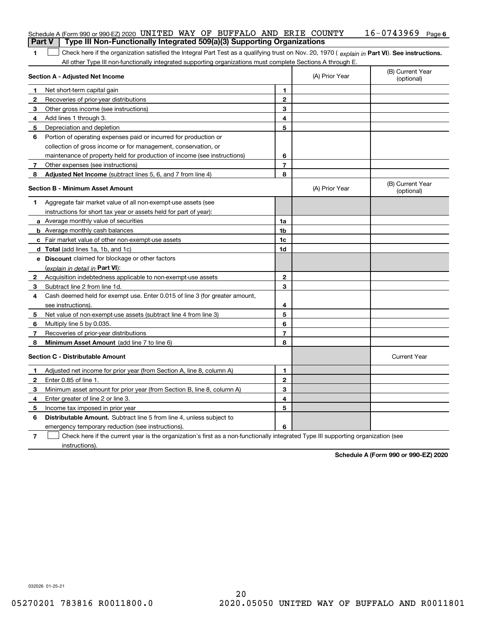| Part V | Schedule A (Form 990 or 990-EZ) 2020 UNITED WAY OF BUFFALO AND ERIE COUNTY<br>Type III Non-Functionally Integrated 509(a)(3) Supporting Organizations                                                                                                         |                |                | $16 - 0743969$<br>Page 6       |
|--------|---------------------------------------------------------------------------------------------------------------------------------------------------------------------------------------------------------------------------------------------------------------|----------------|----------------|--------------------------------|
|        |                                                                                                                                                                                                                                                               |                |                |                                |
| 1      | Check here if the organization satisfied the Integral Part Test as a qualifying trust on Nov. 20, 1970 (explain in Part VI). See instructions.<br>All other Type III non-functionally integrated supporting organizations must complete Sections A through E. |                |                |                                |
|        | Section A - Adjusted Net Income                                                                                                                                                                                                                               |                | (A) Prior Year | (B) Current Year<br>(optional) |
| 1      | Net short-term capital gain                                                                                                                                                                                                                                   | 1              |                |                                |
| 2      | Recoveries of prior-year distributions                                                                                                                                                                                                                        | $\overline{2}$ |                |                                |
| З      | Other gross income (see instructions)                                                                                                                                                                                                                         | 3              |                |                                |
| 4      | Add lines 1 through 3.                                                                                                                                                                                                                                        | 4              |                |                                |
| 5      | Depreciation and depletion                                                                                                                                                                                                                                    | 5              |                |                                |
| 6      | Portion of operating expenses paid or incurred for production or                                                                                                                                                                                              |                |                |                                |
|        | collection of gross income or for management, conservation, or                                                                                                                                                                                                |                |                |                                |
|        | maintenance of property held for production of income (see instructions)                                                                                                                                                                                      | 6              |                |                                |
| 7      | Other expenses (see instructions)                                                                                                                                                                                                                             | $\overline{7}$ |                |                                |
| 8      | Adjusted Net Income (subtract lines 5, 6, and 7 from line 4)                                                                                                                                                                                                  | 8              |                |                                |
|        | <b>Section B - Minimum Asset Amount</b>                                                                                                                                                                                                                       |                | (A) Prior Year | (B) Current Year<br>(optional) |
| 1      | Aggregate fair market value of all non-exempt-use assets (see                                                                                                                                                                                                 |                |                |                                |
|        | instructions for short tax year or assets held for part of year):                                                                                                                                                                                             |                |                |                                |
|        | a Average monthly value of securities                                                                                                                                                                                                                         | 1a             |                |                                |
|        | <b>b</b> Average monthly cash balances                                                                                                                                                                                                                        | 1b             |                |                                |
|        | <b>c</b> Fair market value of other non-exempt-use assets                                                                                                                                                                                                     | 1c             |                |                                |
|        | d Total (add lines 1a, 1b, and 1c)                                                                                                                                                                                                                            | 1d             |                |                                |
|        | e Discount claimed for blockage or other factors                                                                                                                                                                                                              |                |                |                                |
|        | (explain in detail in Part VI):                                                                                                                                                                                                                               |                |                |                                |
| 2      | Acquisition indebtedness applicable to non-exempt-use assets                                                                                                                                                                                                  | $\mathbf{2}$   |                |                                |
| 3      | Subtract line 2 from line 1d.                                                                                                                                                                                                                                 | 3              |                |                                |
| 4      | Cash deemed held for exempt use. Enter 0.015 of line 3 (for greater amount,                                                                                                                                                                                   |                |                |                                |
|        | see instructions).                                                                                                                                                                                                                                            | 4              |                |                                |
| 5      | Net value of non-exempt-use assets (subtract line 4 from line 3)                                                                                                                                                                                              | 5              |                |                                |
| 6      | Multiply line 5 by 0.035.                                                                                                                                                                                                                                     | 6              |                |                                |
| 7      | Recoveries of prior-year distributions                                                                                                                                                                                                                        | $\overline{7}$ |                |                                |
| 8      | Minimum Asset Amount (add line 7 to line 6)                                                                                                                                                                                                                   | 8              |                |                                |
|        | <b>Section C - Distributable Amount</b>                                                                                                                                                                                                                       |                |                | <b>Current Year</b>            |
|        | Adjusted net income for prior year (from Section A, line 8, column A)                                                                                                                                                                                         | 1              |                |                                |
| 2      | Enter 0.85 of line 1.                                                                                                                                                                                                                                         | 2              |                |                                |
| 3      | Minimum asset amount for prior year (from Section B, line 8, column A)                                                                                                                                                                                        | 3              |                |                                |
| 4      | Enter greater of line 2 or line 3.                                                                                                                                                                                                                            | 4              |                |                                |
| 5      | Income tax imposed in prior year                                                                                                                                                                                                                              | 5              |                |                                |
| 6      | <b>Distributable Amount.</b> Subtract line 5 from line 4, unless subject to                                                                                                                                                                                   |                |                |                                |
|        | emergency temporary reduction (see instructions).                                                                                                                                                                                                             | 6              |                |                                |
| 7      | Check here if the current year is the organization's first as a non-functionally integrated Type III supporting organization (see                                                                                                                             |                |                |                                |

instructions).

**Schedule A (Form 990 or 990-EZ) 2020**

032026 01-25-21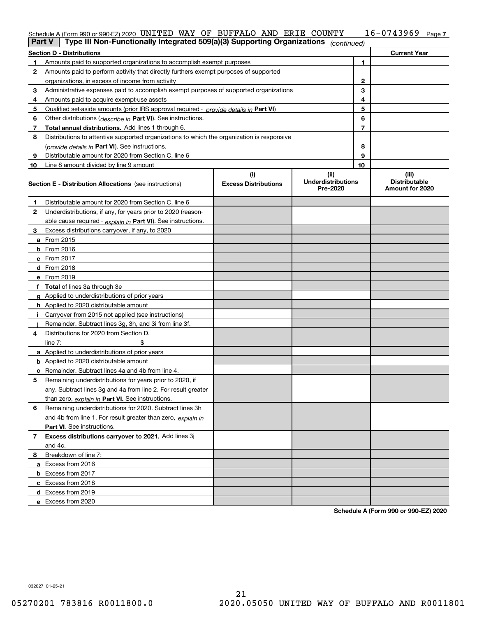### **7** Schedule A (Form 990 or 990-EZ) 2020 UN L'I'EID WAY OF BUFFALO AND ERIE COUN'I'Y I 6-U 7 4 3 9 6 9 Page UNITED WAY OF BUFFALO AND ERIE COUNTY 16-0743969

| <b>Part V</b> | Type III Non-Functionally Integrated 509(a)(3) Supporting Organizations                    |                                    | (continued)                                   |    |                                                  |
|---------------|--------------------------------------------------------------------------------------------|------------------------------------|-----------------------------------------------|----|--------------------------------------------------|
|               | <b>Section D - Distributions</b>                                                           |                                    |                                               |    | <b>Current Year</b>                              |
| 1             | Amounts paid to supported organizations to accomplish exempt purposes                      |                                    |                                               | 1  |                                                  |
| 2             | Amounts paid to perform activity that directly furthers exempt purposes of supported       |                                    |                                               |    |                                                  |
|               | organizations, in excess of income from activity                                           |                                    |                                               | 2  |                                                  |
| 3             | Administrative expenses paid to accomplish exempt purposes of supported organizations      |                                    |                                               | 3  |                                                  |
| 4             | Amounts paid to acquire exempt-use assets                                                  |                                    |                                               | 4  |                                                  |
| 5             | Qualified set-aside amounts (prior IRS approval required - provide details in Part VI)     |                                    |                                               | 5  |                                                  |
| 6             | Other distributions ( <i>describe in</i> Part VI). See instructions.                       |                                    |                                               | 6  |                                                  |
| 7             | Total annual distributions. Add lines 1 through 6.                                         |                                    |                                               | 7  |                                                  |
| 8             | Distributions to attentive supported organizations to which the organization is responsive |                                    |                                               |    |                                                  |
|               | (provide details in Part VI). See instructions.                                            |                                    |                                               | 8  |                                                  |
| 9             | Distributable amount for 2020 from Section C, line 6                                       |                                    |                                               | 9  |                                                  |
| 10            | Line 8 amount divided by line 9 amount                                                     |                                    |                                               | 10 |                                                  |
|               | <b>Section E - Distribution Allocations</b> (see instructions)                             | (i)<br><b>Excess Distributions</b> | (ii)<br><b>Underdistributions</b><br>Pre-2020 |    | (iii)<br><b>Distributable</b><br>Amount for 2020 |
| 1             | Distributable amount for 2020 from Section C, line 6                                       |                                    |                                               |    |                                                  |
| 2             | Underdistributions, if any, for years prior to 2020 (reason-                               |                                    |                                               |    |                                                  |
|               | able cause required - explain in Part VI). See instructions.                               |                                    |                                               |    |                                                  |
| 3             | Excess distributions carryover, if any, to 2020                                            |                                    |                                               |    |                                                  |
|               | a From 2015                                                                                |                                    |                                               |    |                                                  |
|               | <b>b</b> From 2016                                                                         |                                    |                                               |    |                                                  |
|               | $c$ From 2017                                                                              |                                    |                                               |    |                                                  |
|               | d From 2018                                                                                |                                    |                                               |    |                                                  |
|               | e From 2019                                                                                |                                    |                                               |    |                                                  |
|               | f Total of lines 3a through 3e                                                             |                                    |                                               |    |                                                  |
|               | g Applied to underdistributions of prior years                                             |                                    |                                               |    |                                                  |
|               | <b>h</b> Applied to 2020 distributable amount                                              |                                    |                                               |    |                                                  |
|               | Carryover from 2015 not applied (see instructions)                                         |                                    |                                               |    |                                                  |
|               | Remainder. Subtract lines 3g, 3h, and 3i from line 3f.                                     |                                    |                                               |    |                                                  |
| 4             | Distributions for 2020 from Section D,                                                     |                                    |                                               |    |                                                  |
|               | line $7:$                                                                                  |                                    |                                               |    |                                                  |
|               | a Applied to underdistributions of prior years                                             |                                    |                                               |    |                                                  |
|               | <b>b</b> Applied to 2020 distributable amount                                              |                                    |                                               |    |                                                  |
|               | c Remainder. Subtract lines 4a and 4b from line 4.                                         |                                    |                                               |    |                                                  |
| 5.            | Remaining underdistributions for years prior to 2020, if                                   |                                    |                                               |    |                                                  |
|               | any. Subtract lines 3g and 4a from line 2. For result greater                              |                                    |                                               |    |                                                  |
|               | than zero, explain in Part VI. See instructions.                                           |                                    |                                               |    |                                                  |
| 6             | Remaining underdistributions for 2020. Subtract lines 3h                                   |                                    |                                               |    |                                                  |
|               | and 4b from line 1. For result greater than zero, explain in                               |                                    |                                               |    |                                                  |
|               | Part VI. See instructions.                                                                 |                                    |                                               |    |                                                  |
| 7             | Excess distributions carryover to 2021. Add lines 3j                                       |                                    |                                               |    |                                                  |
|               | and 4c.                                                                                    |                                    |                                               |    |                                                  |
| 8             | Breakdown of line 7:                                                                       |                                    |                                               |    |                                                  |
|               | a Excess from 2016                                                                         |                                    |                                               |    |                                                  |
|               | <b>b</b> Excess from 2017                                                                  |                                    |                                               |    |                                                  |
|               | c Excess from 2018                                                                         |                                    |                                               |    |                                                  |
|               | d Excess from 2019                                                                         |                                    |                                               |    |                                                  |
|               | e Excess from 2020                                                                         |                                    |                                               |    |                                                  |

**Schedule A (Form 990 or 990-EZ) 2020**

032027 01-25-21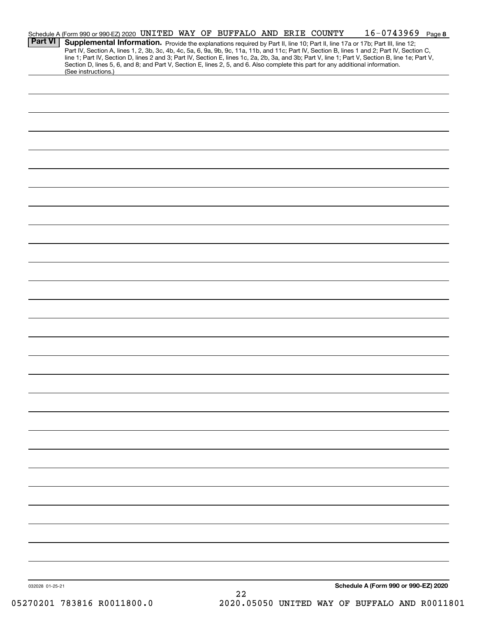|                 | Schedule A (Form 990 or 990-EZ) 2020 UNITED WAY OF BUFFALO AND ERIE COUNTY                                                      |  |  |    |  | $16 - 0743969$ Page 8                                                                                                                                                                                                                                                         |  |
|-----------------|---------------------------------------------------------------------------------------------------------------------------------|--|--|----|--|-------------------------------------------------------------------------------------------------------------------------------------------------------------------------------------------------------------------------------------------------------------------------------|--|
| <b>Part VI</b>  |                                                                                                                                 |  |  |    |  | Supplemental Information. Provide the explanations required by Part II, line 10; Part II, line 17a or 17b; Part III, line 12;<br>Part IV, Section A, lines 1, 2, 3b, 3c, 4b, 4c, 5a, 6, 9a, 9b, 9c, 11a, 11b, and 11c; Part IV, Section B, lines 1 and 2; Part IV, Section C, |  |
|                 | Section D, lines 5, 6, and 8; and Part V, Section E, lines 2, 5, and 6. Also complete this part for any additional information. |  |  |    |  | line 1; Part IV, Section D, lines 2 and 3; Part IV, Section E, lines 1c, 2a, 2b, 3a, and 3b; Part V, line 1; Part V, Section B, line 1e; Part V,                                                                                                                              |  |
|                 | (See instructions.)                                                                                                             |  |  |    |  |                                                                                                                                                                                                                                                                               |  |
|                 |                                                                                                                                 |  |  |    |  |                                                                                                                                                                                                                                                                               |  |
|                 |                                                                                                                                 |  |  |    |  |                                                                                                                                                                                                                                                                               |  |
|                 |                                                                                                                                 |  |  |    |  |                                                                                                                                                                                                                                                                               |  |
|                 |                                                                                                                                 |  |  |    |  |                                                                                                                                                                                                                                                                               |  |
|                 |                                                                                                                                 |  |  |    |  |                                                                                                                                                                                                                                                                               |  |
|                 |                                                                                                                                 |  |  |    |  |                                                                                                                                                                                                                                                                               |  |
|                 |                                                                                                                                 |  |  |    |  |                                                                                                                                                                                                                                                                               |  |
|                 |                                                                                                                                 |  |  |    |  |                                                                                                                                                                                                                                                                               |  |
|                 |                                                                                                                                 |  |  |    |  |                                                                                                                                                                                                                                                                               |  |
|                 |                                                                                                                                 |  |  |    |  |                                                                                                                                                                                                                                                                               |  |
|                 |                                                                                                                                 |  |  |    |  |                                                                                                                                                                                                                                                                               |  |
|                 |                                                                                                                                 |  |  |    |  |                                                                                                                                                                                                                                                                               |  |
|                 |                                                                                                                                 |  |  |    |  |                                                                                                                                                                                                                                                                               |  |
|                 |                                                                                                                                 |  |  |    |  |                                                                                                                                                                                                                                                                               |  |
|                 |                                                                                                                                 |  |  |    |  |                                                                                                                                                                                                                                                                               |  |
|                 |                                                                                                                                 |  |  |    |  |                                                                                                                                                                                                                                                                               |  |
|                 |                                                                                                                                 |  |  |    |  |                                                                                                                                                                                                                                                                               |  |
|                 |                                                                                                                                 |  |  |    |  |                                                                                                                                                                                                                                                                               |  |
|                 |                                                                                                                                 |  |  |    |  |                                                                                                                                                                                                                                                                               |  |
|                 |                                                                                                                                 |  |  |    |  |                                                                                                                                                                                                                                                                               |  |
|                 |                                                                                                                                 |  |  |    |  |                                                                                                                                                                                                                                                                               |  |
|                 |                                                                                                                                 |  |  |    |  |                                                                                                                                                                                                                                                                               |  |
|                 |                                                                                                                                 |  |  |    |  |                                                                                                                                                                                                                                                                               |  |
|                 |                                                                                                                                 |  |  |    |  |                                                                                                                                                                                                                                                                               |  |
|                 |                                                                                                                                 |  |  |    |  |                                                                                                                                                                                                                                                                               |  |
|                 |                                                                                                                                 |  |  |    |  |                                                                                                                                                                                                                                                                               |  |
|                 |                                                                                                                                 |  |  |    |  |                                                                                                                                                                                                                                                                               |  |
|                 |                                                                                                                                 |  |  |    |  |                                                                                                                                                                                                                                                                               |  |
|                 |                                                                                                                                 |  |  |    |  |                                                                                                                                                                                                                                                                               |  |
|                 |                                                                                                                                 |  |  |    |  |                                                                                                                                                                                                                                                                               |  |
|                 |                                                                                                                                 |  |  |    |  |                                                                                                                                                                                                                                                                               |  |
|                 |                                                                                                                                 |  |  |    |  |                                                                                                                                                                                                                                                                               |  |
|                 |                                                                                                                                 |  |  |    |  |                                                                                                                                                                                                                                                                               |  |
|                 |                                                                                                                                 |  |  |    |  |                                                                                                                                                                                                                                                                               |  |
|                 |                                                                                                                                 |  |  |    |  |                                                                                                                                                                                                                                                                               |  |
| 032028 01-25-21 |                                                                                                                                 |  |  |    |  | Schedule A (Form 990 or 990-EZ) 2020                                                                                                                                                                                                                                          |  |
|                 |                                                                                                                                 |  |  | 22 |  |                                                                                                                                                                                                                                                                               |  |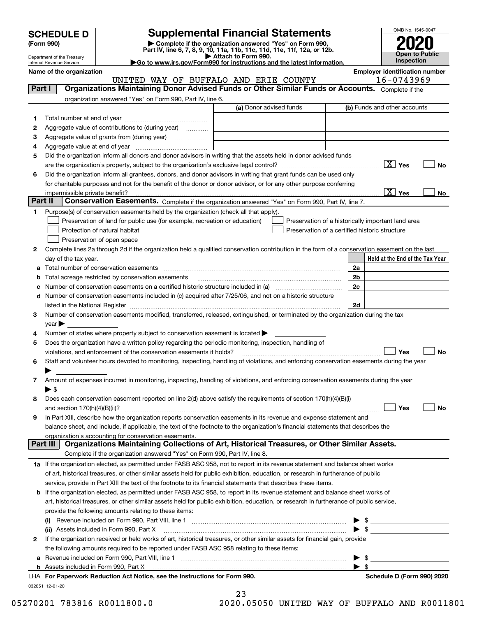| <b>SCHEDULE D</b> |
|-------------------|
|-------------------|

| (Form 990) |  |
|------------|--|
|------------|--|

## **Supplemental Financial Statements**

(Form 990)<br>
Pepartment of the Treasury<br>
Department of the Treasury<br>
Department of the Treasury<br>
Department of the Treasury<br> **Co to www.irs.gov/Form990 for instructions and the latest information.**<br> **Co to www.irs.gov/Form9** 



Department of the Treasury Internal Revenue Service

**Name of the organization Employer identification number** UNITED WAY OF BUFFALO AND ERIE COUNTY 16-0743969

| Part I  | Organizations Maintaining Donor Advised Funds or Other Similar Funds or Accounts. Complete if the                                                                                                                                                   |                         |                                                    |
|---------|-----------------------------------------------------------------------------------------------------------------------------------------------------------------------------------------------------------------------------------------------------|-------------------------|----------------------------------------------------|
|         | organization answered "Yes" on Form 990, Part IV, line 6.                                                                                                                                                                                           |                         |                                                    |
|         |                                                                                                                                                                                                                                                     | (a) Donor advised funds | (b) Funds and other accounts                       |
| 1       |                                                                                                                                                                                                                                                     |                         |                                                    |
| 2       | Aggregate value of contributions to (during year)                                                                                                                                                                                                   |                         |                                                    |
| з       | Aggregate value of grants from (during year)                                                                                                                                                                                                        |                         |                                                    |
| 4       |                                                                                                                                                                                                                                                     |                         |                                                    |
| 5       | Did the organization inform all donors and donor advisors in writing that the assets held in donor advised funds                                                                                                                                    |                         |                                                    |
|         |                                                                                                                                                                                                                                                     |                         | $\boxed{\text{X}}$ Yes<br>No                       |
| 6       | Did the organization inform all grantees, donors, and donor advisors in writing that grant funds can be used only                                                                                                                                   |                         |                                                    |
|         | for charitable purposes and not for the benefit of the donor or donor advisor, or for any other purpose conferring                                                                                                                                  |                         |                                                    |
|         | impermissible private benefit?                                                                                                                                                                                                                      |                         | $\boxed{\text{X}}$ Yes<br>No                       |
| Part II | Conservation Easements. Complete if the organization answered "Yes" on Form 990, Part IV, line 7.                                                                                                                                                   |                         |                                                    |
| 1       | Purpose(s) of conservation easements held by the organization (check all that apply).                                                                                                                                                               |                         |                                                    |
|         | Preservation of land for public use (for example, recreation or education)                                                                                                                                                                          |                         | Preservation of a historically important land area |
|         | Protection of natural habitat                                                                                                                                                                                                                       |                         | Preservation of a certified historic structure     |
|         | Preservation of open space                                                                                                                                                                                                                          |                         |                                                    |
| 2       | Complete lines 2a through 2d if the organization held a qualified conservation contribution in the form of a conservation easement on the last                                                                                                      |                         |                                                    |
|         | day of the tax year.                                                                                                                                                                                                                                |                         | Held at the End of the Tax Year                    |
| a       |                                                                                                                                                                                                                                                     |                         | 2a                                                 |
| b       | Total acreage restricted by conservation easements                                                                                                                                                                                                  |                         | 2b<br>2c                                           |
| с<br>d  | Number of conservation easements included in (c) acquired after 7/25/06, and not on a historic structure                                                                                                                                            |                         |                                                    |
|         | listed in the National Register [11, 1200] [12] The National Register [11, 1200] [12] The National Register [11, 1200] [12] The National Register [11, 1200] [12] The National Register [11, 1200] [12] The National Register                       |                         | 2d                                                 |
| 3       | Number of conservation easements modified, transferred, released, extinguished, or terminated by the organization during the tax                                                                                                                    |                         |                                                    |
|         | $year \blacktriangleright$                                                                                                                                                                                                                          |                         |                                                    |
| 4       | Number of states where property subject to conservation easement is located >                                                                                                                                                                       |                         |                                                    |
| 5       | Does the organization have a written policy regarding the periodic monitoring, inspection, handling of                                                                                                                                              |                         |                                                    |
|         | violations, and enforcement of the conservation easements it holds?                                                                                                                                                                                 |                         | Yes<br>No                                          |
| 6       | Staff and volunteer hours devoted to monitoring, inspecting, handling of violations, and enforcing conservation easements during the year                                                                                                           |                         |                                                    |
|         |                                                                                                                                                                                                                                                     |                         |                                                    |
| 7       | Amount of expenses incurred in monitoring, inspecting, handling of violations, and enforcing conservation easements during the year                                                                                                                 |                         |                                                    |
|         | $\blacktriangleright$ \$                                                                                                                                                                                                                            |                         |                                                    |
| 8       | Does each conservation easement reported on line 2(d) above satisfy the requirements of section 170(h)(4)(B)(i)                                                                                                                                     |                         |                                                    |
|         |                                                                                                                                                                                                                                                     |                         | Yes<br>No                                          |
| 9       | In Part XIII, describe how the organization reports conservation easements in its revenue and expense statement and                                                                                                                                 |                         |                                                    |
|         | balance sheet, and include, if applicable, the text of the footnote to the organization's financial statements that describes the                                                                                                                   |                         |                                                    |
|         | organization's accounting for conservation easements.                                                                                                                                                                                               |                         |                                                    |
|         | Organizations Maintaining Collections of Art, Historical Treasures, or Other Similar Assets.<br>Part III                                                                                                                                            |                         |                                                    |
|         | Complete if the organization answered "Yes" on Form 990, Part IV, line 8.                                                                                                                                                                           |                         |                                                    |
|         | 1a If the organization elected, as permitted under FASB ASC 958, not to report in its revenue statement and balance sheet works                                                                                                                     |                         |                                                    |
|         | of art, historical treasures, or other similar assets held for public exhibition, education, or research in furtherance of public<br>service, provide in Part XIII the text of the footnote to its financial statements that describes these items. |                         |                                                    |
| b       | If the organization elected, as permitted under FASB ASC 958, to report in its revenue statement and balance sheet works of                                                                                                                         |                         |                                                    |
|         | art, historical treasures, or other similar assets held for public exhibition, education, or research in furtherance of public service,                                                                                                             |                         |                                                    |
|         | provide the following amounts relating to these items:                                                                                                                                                                                              |                         |                                                    |
|         |                                                                                                                                                                                                                                                     |                         | \$                                                 |
|         | (ii) Assets included in Form 990, Part X                                                                                                                                                                                                            |                         | $\blacktriangleright$ \$                           |
| 2       | If the organization received or held works of art, historical treasures, or other similar assets for financial gain, provide                                                                                                                        |                         |                                                    |
|         | the following amounts required to be reported under FASB ASC 958 relating to these items:                                                                                                                                                           |                         |                                                    |
| а       |                                                                                                                                                                                                                                                     |                         | \$                                                 |
|         |                                                                                                                                                                                                                                                     |                         | $\blacktriangleright$ s                            |
|         | LHA For Paperwork Reduction Act Notice, see the Instructions for Form 990.                                                                                                                                                                          |                         | Schedule D (Form 990) 2020                         |
|         | 032051 12-01-20                                                                                                                                                                                                                                     |                         |                                                    |

|  |      | 23 |   |  |
|--|------|----|---|--|
|  | ヽ^^^ |    | ⌒ |  |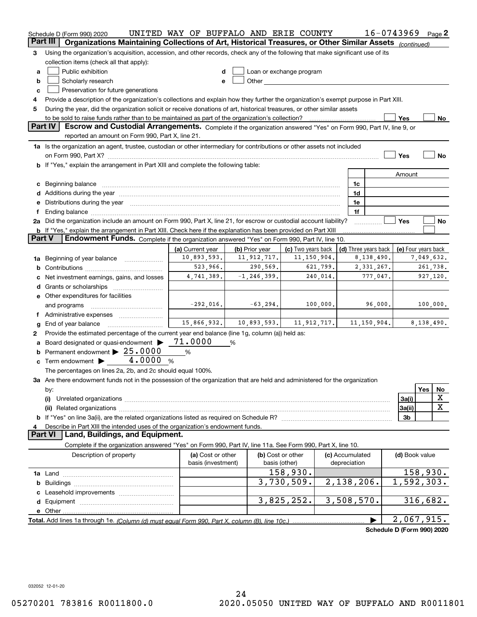|          | Schedule D (Form 990) 2020                                                                                                                                                                                                     | UNITED WAY OF BUFFALO AND ERIE COUNTY |                |                          |               |                 | 16-0743969                 |                     |            | Page $2$  |
|----------|--------------------------------------------------------------------------------------------------------------------------------------------------------------------------------------------------------------------------------|---------------------------------------|----------------|--------------------------|---------------|-----------------|----------------------------|---------------------|------------|-----------|
| Part III | Organizations Maintaining Collections of Art, Historical Treasures, or Other Similar Assets (continued)                                                                                                                        |                                       |                |                          |               |                 |                            |                     |            |           |
| З        | Using the organization's acquisition, accession, and other records, check any of the following that make significant use of its                                                                                                |                                       |                |                          |               |                 |                            |                     |            |           |
|          | collection items (check all that apply):                                                                                                                                                                                       |                                       |                |                          |               |                 |                            |                     |            |           |
| a        | Public exhibition                                                                                                                                                                                                              | d                                     |                | Loan or exchange program |               |                 |                            |                     |            |           |
| b        | Scholarly research                                                                                                                                                                                                             | e                                     |                |                          |               |                 |                            |                     |            |           |
| c        | Preservation for future generations                                                                                                                                                                                            |                                       |                |                          |               |                 |                            |                     |            |           |
| 4        | Provide a description of the organization's collections and explain how they further the organization's exempt purpose in Part XIII.                                                                                           |                                       |                |                          |               |                 |                            |                     |            |           |
| 5        | During the year, did the organization solicit or receive donations of art, historical treasures, or other similar assets                                                                                                       |                                       |                |                          |               |                 |                            |                     |            |           |
|          | to be sold to raise funds rather than to be maintained as part of the organization's collection?                                                                                                                               |                                       |                |                          |               |                 |                            | Yes                 |            | No        |
|          | Part IV<br>Escrow and Custodial Arrangements. Complete if the organization answered "Yes" on Form 990, Part IV, line 9, or                                                                                                     |                                       |                |                          |               |                 |                            |                     |            |           |
|          | reported an amount on Form 990, Part X, line 21.                                                                                                                                                                               |                                       |                |                          |               |                 |                            |                     |            |           |
|          | 1a Is the organization an agent, trustee, custodian or other intermediary for contributions or other assets not included                                                                                                       |                                       |                |                          |               |                 |                            |                     |            |           |
|          | on Form 990, Part X? [11] matter contracts and contracts and contracts are contracted and contracts are contracted and contract of the set of the set of the set of the set of the set of the set of the set of the set of the |                                       |                |                          |               |                 |                            | Yes                 |            | <b>No</b> |
|          | If "Yes," explain the arrangement in Part XIII and complete the following table:                                                                                                                                               |                                       |                |                          |               |                 |                            |                     |            |           |
|          |                                                                                                                                                                                                                                |                                       |                |                          |               |                 |                            | Amount              |            |           |
| c        | Beginning balance                                                                                                                                                                                                              |                                       |                |                          |               | 1c              |                            |                     |            |           |
| d        | Additions during the year manufactured and an according to the year manufactured and according the year manufactured and according the year manufactured and according the year manufactured and according the year manufactur |                                       |                |                          |               | 1d              |                            |                     |            |           |
| е        | Distributions during the year manufactured and continuum and contained and the parameter of the set of the set of the set of the set of the set of the set of the set of the set of the set of the set of the set of the set o |                                       |                |                          |               | 1e              |                            |                     |            |           |
|          |                                                                                                                                                                                                                                |                                       |                |                          |               | 1f              |                            |                     |            |           |
|          | 2a Did the organization include an amount on Form 990, Part X, line 21, for escrow or custodial account liability?                                                                                                             |                                       |                |                          |               |                 |                            | Yes                 |            | No        |
| Part V   | <b>b</b> If "Yes," explain the arrangement in Part XIII. Check here if the explanation has been provided on Part XIII<br>Endowment Funds. Complete if the organization answered "Yes" on Form 990, Part IV, line 10.           |                                       |                |                          |               |                 |                            |                     |            |           |
|          |                                                                                                                                                                                                                                | (a) Current year                      | (b) Prior year | (c) Two years back       |               |                 | (d) Three years back       | (e) Four years back |            |           |
| 1a       | Beginning of year balance                                                                                                                                                                                                      | 10,893,593.                           | 11, 912, 717.  | 11, 150, 904.            |               |                 | 8,138,490.                 |                     | 7,049,632. |           |
| b        |                                                                                                                                                                                                                                | 523,966.                              | 290,569.       |                          | 621,799.      |                 | 2,331,267.                 |                     | 261,738.   |           |
|          | 4,741,389.<br>$-1, 246, 399.$<br>240,014.<br>777,047.<br>Net investment earnings, gains, and losses                                                                                                                            |                                       |                |                          |               |                 |                            |                     |            | 927,120.  |
| d        | Grants or scholarships                                                                                                                                                                                                         |                                       |                |                          |               |                 |                            |                     |            |           |
|          | e Other expenditures for facilities                                                                                                                                                                                            |                                       |                |                          |               |                 |                            |                     |            |           |
|          | and programs                                                                                                                                                                                                                   | $-292,016.$                           | $-63, 294.$    |                          | 100,000.      |                 | 96,000.                    |                     | 100,000.   |           |
|          | f Administrative expenses                                                                                                                                                                                                      |                                       |                |                          |               |                 |                            |                     |            |           |
| g        | End of year balance                                                                                                                                                                                                            | 15,866,932.                           | 10,893,593.    |                          | 11, 912, 717. |                 | 11, 150, 904.              |                     | 8,138,490. |           |
| 2        | Provide the estimated percentage of the current year end balance (line 1g, column (a)) held as:                                                                                                                                |                                       |                |                          |               |                 |                            |                     |            |           |
| а        | Board designated or quasi-endowment >                                                                                                                                                                                          | 71.0000                               | %              |                          |               |                 |                            |                     |            |           |
| b        | Permanent endowment > 25.0000                                                                                                                                                                                                  | %                                     |                |                          |               |                 |                            |                     |            |           |
| c        | Term endowment $\blacktriangleright$ 4.0000<br>%                                                                                                                                                                               |                                       |                |                          |               |                 |                            |                     |            |           |
|          | The percentages on lines 2a, 2b, and 2c should equal 100%.                                                                                                                                                                     |                                       |                |                          |               |                 |                            |                     |            |           |
|          | 3a Are there endowment funds not in the possession of the organization that are held and administered for the organization                                                                                                     |                                       |                |                          |               |                 |                            |                     |            |           |
|          | by:                                                                                                                                                                                                                            |                                       |                |                          |               |                 |                            |                     | Yes        | No        |
|          | (i)                                                                                                                                                                                                                            |                                       |                |                          |               |                 |                            | 3a(i)               |            | х         |
|          |                                                                                                                                                                                                                                |                                       |                |                          |               |                 |                            | 3a(ii)              |            | X         |
|          |                                                                                                                                                                                                                                |                                       |                |                          |               |                 |                            | 3b                  |            |           |
|          | Describe in Part XIII the intended uses of the organization's endowment funds.                                                                                                                                                 |                                       |                |                          |               |                 |                            |                     |            |           |
|          | Land, Buildings, and Equipment.<br>Part VI                                                                                                                                                                                     |                                       |                |                          |               |                 |                            |                     |            |           |
|          | Complete if the organization answered "Yes" on Form 990, Part IV, line 11a. See Form 990, Part X, line 10.                                                                                                                     |                                       |                |                          |               |                 |                            |                     |            |           |
|          | Description of property                                                                                                                                                                                                        | (a) Cost or other                     |                | (b) Cost or other        |               | (c) Accumulated |                            | (d) Book value      |            |           |
|          |                                                                                                                                                                                                                                | basis (investment)                    |                | basis (other)            |               | depreciation    |                            |                     |            |           |
|          |                                                                                                                                                                                                                                |                                       |                | 158,930.                 |               |                 |                            |                     | 158,930.   |           |
| b        |                                                                                                                                                                                                                                |                                       |                | $\overline{3,730},509.$  |               | 2,138,206.      |                            | 1,592,303.          |            |           |
|          |                                                                                                                                                                                                                                |                                       |                |                          |               |                 |                            |                     |            |           |
|          |                                                                                                                                                                                                                                |                                       |                | 3,825,252.               |               | 3,508,570.      |                            |                     | 316,682.   |           |
|          | e Other                                                                                                                                                                                                                        |                                       |                |                          |               |                 |                            |                     |            |           |
|          | Total. Add lines 1a through 1e. (Column (d) must equal Form 990. Part X, column (B), line 10c.)                                                                                                                                |                                       |                |                          |               |                 |                            | 2,067,915.          |            |           |
|          |                                                                                                                                                                                                                                |                                       |                |                          |               |                 | Schedule D (Form 990) 2020 |                     |            |           |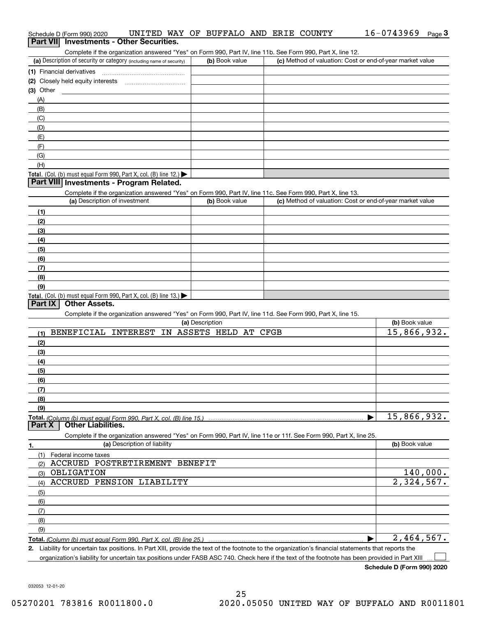| Schedule D (Form 990) 2020                                                                                                                           | UNITED WAY OF BUFFALO AND ERIE COUNTY                                                                             |                        |  |  | 16-0743969                                                | Page $3$ |
|------------------------------------------------------------------------------------------------------------------------------------------------------|-------------------------------------------------------------------------------------------------------------------|------------------------|--|--|-----------------------------------------------------------|----------|
| Part VII Investments - Other Securities.                                                                                                             |                                                                                                                   |                        |  |  |                                                           |          |
|                                                                                                                                                      | Complete if the organization answered "Yes" on Form 990, Part IV, line 11b. See Form 990, Part X, line 12.        |                        |  |  |                                                           |          |
| (a) Description of security or category (including name of security)                                                                                 |                                                                                                                   | (b) Book value         |  |  | (c) Method of valuation: Cost or end-of-year market value |          |
| (1) Financial derivatives                                                                                                                            |                                                                                                                   |                        |  |  |                                                           |          |
| (2) Closely held equity interests                                                                                                                    |                                                                                                                   |                        |  |  |                                                           |          |
| $(3)$ Other                                                                                                                                          |                                                                                                                   |                        |  |  |                                                           |          |
| (A)                                                                                                                                                  |                                                                                                                   |                        |  |  |                                                           |          |
| (B)                                                                                                                                                  |                                                                                                                   |                        |  |  |                                                           |          |
| (C)                                                                                                                                                  |                                                                                                                   |                        |  |  |                                                           |          |
| (D)                                                                                                                                                  |                                                                                                                   |                        |  |  |                                                           |          |
| (E)                                                                                                                                                  |                                                                                                                   |                        |  |  |                                                           |          |
| (F)                                                                                                                                                  |                                                                                                                   |                        |  |  |                                                           |          |
| (G)                                                                                                                                                  |                                                                                                                   |                        |  |  |                                                           |          |
| (H)                                                                                                                                                  |                                                                                                                   |                        |  |  |                                                           |          |
| Total. (Col. (b) must equal Form 990, Part X, col. (B) line 12.)                                                                                     |                                                                                                                   |                        |  |  |                                                           |          |
| Part VIII Investments - Program Related.                                                                                                             |                                                                                                                   |                        |  |  |                                                           |          |
|                                                                                                                                                      | Complete if the organization answered "Yes" on Form 990, Part IV, line 11c. See Form 990, Part X, line 13.        |                        |  |  |                                                           |          |
| (a) Description of investment                                                                                                                        |                                                                                                                   | (b) Book value         |  |  | (c) Method of valuation: Cost or end-of-year market value |          |
| (1)                                                                                                                                                  |                                                                                                                   |                        |  |  |                                                           |          |
| (2)                                                                                                                                                  |                                                                                                                   |                        |  |  |                                                           |          |
| (3)                                                                                                                                                  |                                                                                                                   |                        |  |  |                                                           |          |
| (4)                                                                                                                                                  |                                                                                                                   |                        |  |  |                                                           |          |
| (5)                                                                                                                                                  |                                                                                                                   |                        |  |  |                                                           |          |
| (6)                                                                                                                                                  |                                                                                                                   |                        |  |  |                                                           |          |
| (7)                                                                                                                                                  |                                                                                                                   |                        |  |  |                                                           |          |
| (8)                                                                                                                                                  |                                                                                                                   |                        |  |  |                                                           |          |
| (9)                                                                                                                                                  |                                                                                                                   |                        |  |  |                                                           |          |
| Total. (Col. (b) must equal Form 990, Part X, col. (B) line 13.)                                                                                     |                                                                                                                   |                        |  |  |                                                           |          |
| <b>Other Assets.</b><br>Part IX                                                                                                                      |                                                                                                                   |                        |  |  |                                                           |          |
|                                                                                                                                                      | Complete if the organization answered "Yes" on Form 990, Part IV, line 11d. See Form 990, Part X, line 15.        |                        |  |  |                                                           |          |
|                                                                                                                                                      |                                                                                                                   | (a) Description        |  |  | (b) Book value                                            |          |
| <b>BENEFICIAL</b><br>(1)                                                                                                                             | INTEREST                                                                                                          | IN ASSETS HELD AT CFGB |  |  | 15,866,932.                                               |          |
| (2)                                                                                                                                                  |                                                                                                                   |                        |  |  |                                                           |          |
| (3)                                                                                                                                                  |                                                                                                                   |                        |  |  |                                                           |          |
| (4)                                                                                                                                                  |                                                                                                                   |                        |  |  |                                                           |          |
| (5)                                                                                                                                                  |                                                                                                                   |                        |  |  |                                                           |          |
| (6)                                                                                                                                                  |                                                                                                                   |                        |  |  |                                                           |          |
| (7)                                                                                                                                                  |                                                                                                                   |                        |  |  |                                                           |          |
| (8)                                                                                                                                                  |                                                                                                                   |                        |  |  |                                                           |          |
| (9)                                                                                                                                                  |                                                                                                                   |                        |  |  |                                                           |          |
|                                                                                                                                                      |                                                                                                                   |                        |  |  | 15,866,932.                                               |          |
| Part X<br><b>Other Liabilities.</b>                                                                                                                  |                                                                                                                   |                        |  |  |                                                           |          |
|                                                                                                                                                      | Complete if the organization answered "Yes" on Form 990, Part IV, line 11e or 11f. See Form 990, Part X, line 25. |                        |  |  |                                                           |          |
| 1.                                                                                                                                                   | (a) Description of liability                                                                                      |                        |  |  | (b) Book value                                            |          |
| (1)<br>Federal income taxes                                                                                                                          |                                                                                                                   |                        |  |  |                                                           |          |
| ACCRUED POSTRETIREMENT BENEFIT                                                                                                                       |                                                                                                                   |                        |  |  |                                                           |          |
| (2)<br>OBLIGATION                                                                                                                                    |                                                                                                                   |                        |  |  |                                                           | 140,000. |
| (3)<br>ACCRUED PENSION LIABILITY                                                                                                                     |                                                                                                                   |                        |  |  | 2,324,567.                                                |          |
| (4)                                                                                                                                                  |                                                                                                                   |                        |  |  |                                                           |          |
| (5)                                                                                                                                                  |                                                                                                                   |                        |  |  |                                                           |          |
| (6)                                                                                                                                                  |                                                                                                                   |                        |  |  |                                                           |          |
| (7)                                                                                                                                                  |                                                                                                                   |                        |  |  |                                                           |          |
| (8)                                                                                                                                                  |                                                                                                                   |                        |  |  |                                                           |          |
| (9)                                                                                                                                                  |                                                                                                                   |                        |  |  |                                                           |          |
|                                                                                                                                                      |                                                                                                                   |                        |  |  | 2,464,567.                                                |          |
| 2. Liability for uncertain tax positions. In Part XIII, provide the text of the footnote to the organization's financial statements that reports the |                                                                                                                   |                        |  |  |                                                           |          |

organization's liability for uncertain tax positions under FASB ASC 740. Check here if the text of the footnote has been provided in Part XIII

**Schedule D (Form 990) 2020**

16-0743969 Page 3

 $\mathcal{L}^{\text{max}}$ 

032053 12-01-20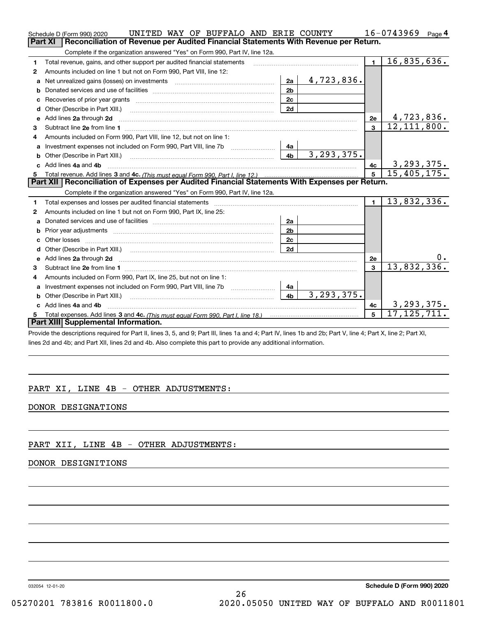|    | UNITED WAY OF BUFFALO AND ERIE COUNTY<br>Schedule D (Form 990) 2020                                                                                                                                                           |              |                | 16-0743969<br>Page $4$ |
|----|-------------------------------------------------------------------------------------------------------------------------------------------------------------------------------------------------------------------------------|--------------|----------------|------------------------|
|    | Part XI<br>Reconciliation of Revenue per Audited Financial Statements With Revenue per Return.                                                                                                                                |              |                |                        |
|    | Complete if the organization answered "Yes" on Form 990, Part IV, line 12a.                                                                                                                                                   |              |                |                        |
| 1  | Total revenue, gains, and other support per audited financial statements                                                                                                                                                      |              | $\blacksquare$ | 16,835,636.            |
| 2  | Amounts included on line 1 but not on Form 990, Part VIII, line 12:                                                                                                                                                           |              |                |                        |
| a  | 2a                                                                                                                                                                                                                            | 4,723,836.   |                |                        |
|    | 2 <sub>b</sub>                                                                                                                                                                                                                |              |                |                        |
|    | 2c                                                                                                                                                                                                                            |              |                |                        |
| d  | 2d                                                                                                                                                                                                                            |              |                |                        |
| е  | Add lines 2a through 2d                                                                                                                                                                                                       |              | 2e             | 4,723,836.             |
| 3  |                                                                                                                                                                                                                               |              | $\mathbf{3}$   | 12, 111, 800.          |
| 4  | Amounts included on Form 990, Part VIII, line 12, but not on line 1:                                                                                                                                                          |              |                |                        |
|    | Investment expenses not included on Form 990, Part VIII, line 7b [<br>4a                                                                                                                                                      |              |                |                        |
|    | 4 <sub>b</sub>                                                                                                                                                                                                                | 3, 293, 375. |                |                        |
| c. | Add lines 4a and 4b                                                                                                                                                                                                           |              | 4c             | 3, 293, 375.           |
|    |                                                                                                                                                                                                                               |              |                |                        |
|    |                                                                                                                                                                                                                               |              | 5 <sup>5</sup> | 15,405,175.            |
|    | Part XII   Reconciliation of Expenses per Audited Financial Statements With Expenses per Return.                                                                                                                              |              |                |                        |
|    | Complete if the organization answered "Yes" on Form 990, Part IV, line 12a.                                                                                                                                                   |              |                |                        |
| 1  | Total expenses and losses per audited financial statements [11, 11] manuscription control expenses and losses per audited financial statements [11] manuscription of the statements [11] manuscription of the statements [11] |              | $\blacksquare$ | 13,832,336.            |
| 2  | Amounts included on line 1 but not on Form 990, Part IX, line 25:                                                                                                                                                             |              |                |                        |
| a  | 2a                                                                                                                                                                                                                            |              |                |                        |
| b  | 2 <sub>b</sub><br>Prior year adjustments <b>constructed</b> and construction of the construction of the construction of the construction                                                                                      |              |                |                        |
| C. | 2c                                                                                                                                                                                                                            |              |                |                        |
|    | 2d                                                                                                                                                                                                                            |              |                |                        |
|    |                                                                                                                                                                                                                               |              | 2e             | 0.                     |
| 3  |                                                                                                                                                                                                                               |              | $\mathbf{a}$   | 13,832,336.            |
| 4  | Amounts included on Form 990, Part IX, line 25, but not on line 1:                                                                                                                                                            |              |                |                        |
|    | Investment expenses not included on Form 990, Part VIII, line 7b [1000000000000000000000000000000000<br>4a                                                                                                                    |              |                |                        |
| b  | 4 <sub>b</sub>                                                                                                                                                                                                                | 3, 293, 375. |                |                        |
|    | c Add lines 4a and 4b                                                                                                                                                                                                         |              | 4c             | 3, 293, 375.           |
|    | Part XIII Supplemental Information.                                                                                                                                                                                           |              | 5              | 17, 125, 711.          |

Provide the descriptions required for Part II, lines 3, 5, and 9; Part III, lines 1a and 4; Part IV, lines 1b and 2b; Part V, line 4; Part X, line 2; Part XI, lines 2d and 4b; and Part XII, lines 2d and 4b. Also complete this part to provide any additional information.

## PART XI, LINE 4B - OTHER ADJUSTMENTS:

### DONOR DESIGNATIONS

### PART XII, LINE 4B - OTHER ADJUSTMENTS:

### DONOR DESIGNITIONS

032054 12-01-20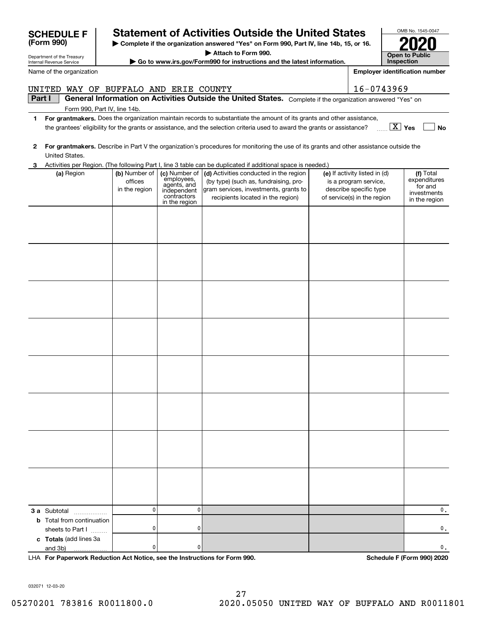|  | and 3b)         | . |  |                            | 0 |                                                                            |  |                            |  |                                               |  |  |  |
|--|-----------------|---|--|----------------------------|---|----------------------------------------------------------------------------|--|----------------------------|--|-----------------------------------------------|--|--|--|
|  |                 |   |  |                            |   | LHA For Paperwork Reduction Act Notice, see the Instructions for Form 990. |  | Schedule F (Form 990) 2020 |  |                                               |  |  |  |
|  |                 |   |  |                            |   |                                                                            |  |                            |  |                                               |  |  |  |
|  |                 |   |  |                            |   |                                                                            |  |                            |  |                                               |  |  |  |
|  | 032071 12-03-20 |   |  |                            |   |                                                                            |  |                            |  |                                               |  |  |  |
|  |                 |   |  |                            |   | 27                                                                         |  |                            |  |                                               |  |  |  |
|  |                 |   |  | 05270201 783816 R0011800.0 |   |                                                                            |  |                            |  | 2020.05050 UNITED WAY OF BUFFALO AND R0011801 |  |  |  |
|  |                 |   |  |                            |   |                                                                            |  |                            |  |                                               |  |  |  |
|  |                 |   |  |                            |   |                                                                            |  |                            |  |                                               |  |  |  |
|  |                 |   |  |                            |   |                                                                            |  |                            |  |                                               |  |  |  |
|  |                 |   |  |                            |   |                                                                            |  |                            |  |                                               |  |  |  |

0.

0.

**3 a** Subtotal .................. **b** Total from continuation

**c Totals**  (add lines 3a

and 3b)

sheets to Part  $1$   $\ldots$ 

# **1For grantmakers.**  Does the organization maintain records to substantiate the amount of its grants and other assistance, **(a)** Region  $\begin{pmatrix} \mathbf{b} \end{pmatrix}$  Number of  $\begin{pmatrix} \mathbf{c} \end{pmatrix}$  Mumber of  $\begin{pmatrix} \mathbf{d} \end{pmatrix}$  Activities conducted in the region  $\begin{pmatrix} \mathbf{e} \end{pmatrix}$  If activity listed in (d)  $\begin{pmatrix} \mathbf{f} \end{pmatrix}$ **Part I**  $\parallel$  General Information on Activities Outside the United States. Complete if the organization answered "Yes" on Form 990, Part IV, line 14b. Activities per Region. (The following Part I, line 3 table can be duplicated if additional space is needed.) (a) Region (b) Number of officesin the region (c) Number of employees, agents, and independent contractors in the region (by type) (such as, fundraising, program services, investments, grants to recipients located in the region) (e) If activity listed in (d) is a program service, describe specific type of service(s) in the region Total expenditures for and investments in the region UNITED WAY OF BUFFALO AND ERIE COUNTY 16-0743969

0

0

0

0

**Yes** X **No** the grantees' eligibility for the grants or assistance, and the selection criteria used to award the grants or assistance?

**2For grantmakers.**  Describe in Part V the organization's procedures for monitoring the use of its grants and other assistance outside the United States.

|  |  | 3 Activities per Region. (The following Part I, line 3 table can be duplicated if additional space is needed.) |  |
|--|--|----------------------------------------------------------------------------------------------------------------|--|

**| Complete if the organization answered "Yes" on Form 990, Part IV, line 14b, 15, or 16. Statement of Activities Outside the United States** 

**| Attach to Form 990.**

**| Go to www.irs.gov/Form990 for instructions and the latest information.**

Department of the Treasury Internal Revenue Service

Name of the organization

| SUNEDULE F |  |  |
|------------|--|--|
| (Form 990) |  |  |

OMB No. 1545-0047 **Open to Public 2020**

**InspectionEmployer identification number**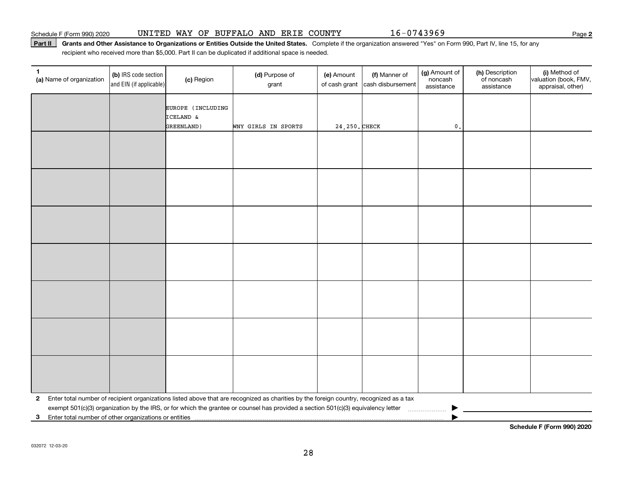Part II | Grants and Other Assistance to Organizations or Entities Outside the United States. Complete if the organization answered "Yes" on Form 990, Part IV, line 15, for any recipient who received more than \$5,000. Part II can be duplicated if additional space is needed.

| $\mathbf{1}$<br>(a) Name of organization                | (b) IRS code section<br>and EIN (if applicable) | (c) Region                     | (d) Purpose of<br>grant                                                                                                                   | (e) Amount<br>of cash grant | (f) Manner of<br>cash disbursement | (g) Amount of<br>noncash<br>assistance | (h) Description<br>of noncash<br>assistance | (i) Method of<br>valuation (book, FMV,<br>appraisal, other) |
|---------------------------------------------------------|-------------------------------------------------|--------------------------------|-------------------------------------------------------------------------------------------------------------------------------------------|-----------------------------|------------------------------------|----------------------------------------|---------------------------------------------|-------------------------------------------------------------|
|                                                         |                                                 | EUROPE (INCLUDING<br>ICELAND & |                                                                                                                                           |                             |                                    |                                        |                                             |                                                             |
|                                                         |                                                 | GREENLAND)                     | WNY GIRLS IN SPORTS                                                                                                                       | 24, 250. CHECK              |                                    | $\mathfrak o$ .                        |                                             |                                                             |
|                                                         |                                                 |                                |                                                                                                                                           |                             |                                    |                                        |                                             |                                                             |
|                                                         |                                                 |                                |                                                                                                                                           |                             |                                    |                                        |                                             |                                                             |
|                                                         |                                                 |                                |                                                                                                                                           |                             |                                    |                                        |                                             |                                                             |
|                                                         |                                                 |                                |                                                                                                                                           |                             |                                    |                                        |                                             |                                                             |
|                                                         |                                                 |                                |                                                                                                                                           |                             |                                    |                                        |                                             |                                                             |
|                                                         |                                                 |                                |                                                                                                                                           |                             |                                    |                                        |                                             |                                                             |
|                                                         |                                                 |                                |                                                                                                                                           |                             |                                    |                                        |                                             |                                                             |
|                                                         |                                                 |                                |                                                                                                                                           |                             |                                    |                                        |                                             |                                                             |
|                                                         |                                                 |                                |                                                                                                                                           |                             |                                    |                                        |                                             |                                                             |
|                                                         |                                                 |                                |                                                                                                                                           |                             |                                    |                                        |                                             |                                                             |
|                                                         |                                                 |                                |                                                                                                                                           |                             |                                    |                                        |                                             |                                                             |
|                                                         |                                                 |                                |                                                                                                                                           |                             |                                    |                                        |                                             |                                                             |
|                                                         |                                                 |                                |                                                                                                                                           |                             |                                    |                                        |                                             |                                                             |
|                                                         |                                                 |                                |                                                                                                                                           |                             |                                    |                                        |                                             |                                                             |
|                                                         |                                                 |                                |                                                                                                                                           |                             |                                    |                                        |                                             |                                                             |
|                                                         |                                                 |                                |                                                                                                                                           |                             |                                    |                                        |                                             |                                                             |
|                                                         |                                                 |                                |                                                                                                                                           |                             |                                    |                                        |                                             |                                                             |
|                                                         |                                                 |                                |                                                                                                                                           |                             |                                    |                                        |                                             |                                                             |
|                                                         |                                                 |                                |                                                                                                                                           |                             |                                    |                                        |                                             |                                                             |
|                                                         |                                                 |                                |                                                                                                                                           |                             |                                    |                                        |                                             |                                                             |
|                                                         |                                                 |                                |                                                                                                                                           |                             |                                    |                                        |                                             |                                                             |
|                                                         |                                                 |                                |                                                                                                                                           |                             |                                    |                                        |                                             |                                                             |
|                                                         |                                                 |                                |                                                                                                                                           |                             |                                    |                                        |                                             |                                                             |
|                                                         |                                                 |                                | 2 Enter total number of recipient organizations listed above that are recognized as charities by the foreign country, recognized as a tax |                             |                                    |                                        |                                             |                                                             |
| 3 Enter total number of other organizations or entities |                                                 |                                | exempt 501(c)(3) organization by the IRS, or for which the grantee or counsel has provided a section 501(c)(3) equivalency letter         |                             |                                    |                                        |                                             |                                                             |
|                                                         |                                                 |                                |                                                                                                                                           |                             |                                    |                                        |                                             |                                                             |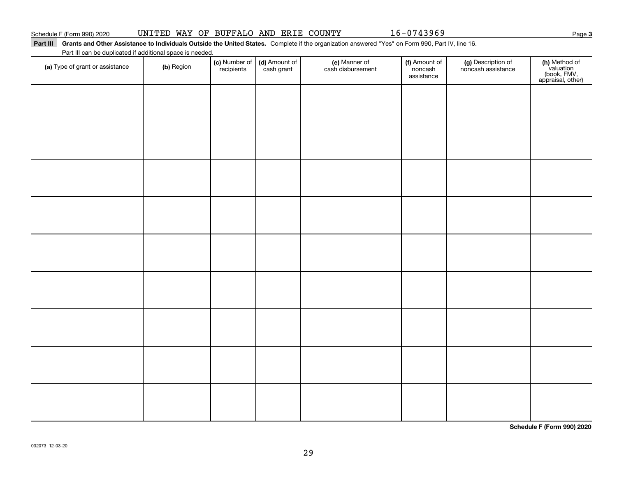## Part III Grants and Other Assistance to Individuals Outside the United States. Complete if the organization answered "Yes" on Form 990, Part IV, line 16.  $\overline{\phantom{0}}$

Part III can be duplicated if additional space is needed.

| T are in car be depiled to a domini space is riceded.<br>(a) Type of grant or assistance | (b) Region | (c) Number of<br>recipients | (d) Amount of<br>cash grant | (e) Manner of<br>cash disbursement | (f) Amount of<br>noncash<br>assistance | (g) Description of<br>noncash assistance | (h) Method of<br>valuation<br>(book, FMV,<br>appraisal, other) |
|------------------------------------------------------------------------------------------|------------|-----------------------------|-----------------------------|------------------------------------|----------------------------------------|------------------------------------------|----------------------------------------------------------------|
|                                                                                          |            |                             |                             |                                    |                                        |                                          |                                                                |
|                                                                                          |            |                             |                             |                                    |                                        |                                          |                                                                |
|                                                                                          |            |                             |                             |                                    |                                        |                                          |                                                                |
|                                                                                          |            |                             |                             |                                    |                                        |                                          |                                                                |
|                                                                                          |            |                             |                             |                                    |                                        |                                          |                                                                |
|                                                                                          |            |                             |                             |                                    |                                        |                                          |                                                                |
|                                                                                          |            |                             |                             |                                    |                                        |                                          |                                                                |
|                                                                                          |            |                             |                             |                                    |                                        |                                          |                                                                |
|                                                                                          |            |                             |                             |                                    |                                        |                                          |                                                                |
|                                                                                          |            |                             |                             |                                    |                                        |                                          |                                                                |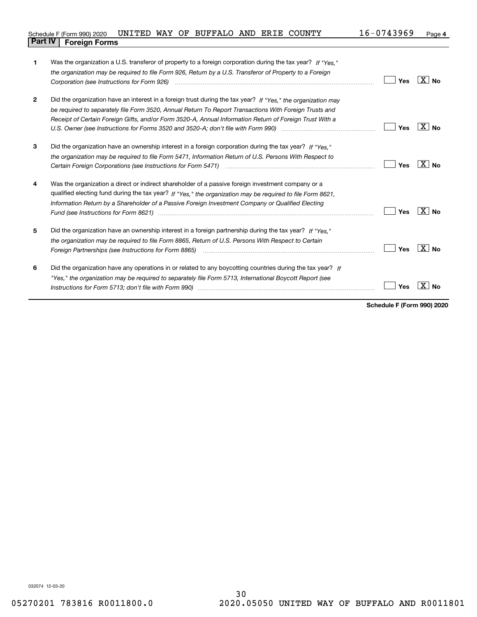| 1            | Was the organization a U.S. transferor of property to a foreign corporation during the tax year? If "Yes."<br>the organization may be required to file Form 926, Return by a U.S. Transferor of Property to a Foreign<br>Corporation (see Instructions for Form 926)                                                                                                                                                                    | Yes | X∣No             |
|--------------|-----------------------------------------------------------------------------------------------------------------------------------------------------------------------------------------------------------------------------------------------------------------------------------------------------------------------------------------------------------------------------------------------------------------------------------------|-----|------------------|
| $\mathbf{2}$ | Did the organization have an interest in a foreign trust during the tax year? If "Yes," the organization may<br>be required to separately file Form 3520, Annual Return To Report Transactions With Foreign Trusts and<br>Receipt of Certain Foreign Gifts, and/or Form 3520-A, Annual Information Return of Foreign Trust With a                                                                                                       | Yes | $X \mid N_{0}$   |
| 3            | Did the organization have an ownership interest in a foreign corporation during the tax year? If "Yes."<br>the organization may be required to file Form 5471, Information Return of U.S. Persons With Respect to                                                                                                                                                                                                                       | Yes | $X \mid N_0$     |
| 4            | Was the organization a direct or indirect shareholder of a passive foreign investment company or a<br>qualified electing fund during the tax year? If "Yes," the organization may be required to file Form 8621,<br>Information Return by a Shareholder of a Passive Foreign Investment Company or Qualified Electing<br>Fund (see Instructions for Form 8621) manufactured control and the control of the state of the state of the st | Yes | X  <br><b>No</b> |
| 5            | Did the organization have an ownership interest in a foreign partnership during the tax year? If "Yes."<br>the organization may be required to file Form 8865. Return of U.S. Persons With Respect to Certain<br>Foreign Partnerships (see Instructions for Form 8865) <i>manual content content content content content content</i> co                                                                                                 | Yes | X I<br><b>No</b> |
| 6            | Did the organization have any operations in or related to any boycotting countries during the tax year? If<br>"Yes," the organization may be required to separately file Form 5713, International Boycott Report (see                                                                                                                                                                                                                   | Yes |                  |

**Schedule F (Form 990) 2020**

032074 12-03-20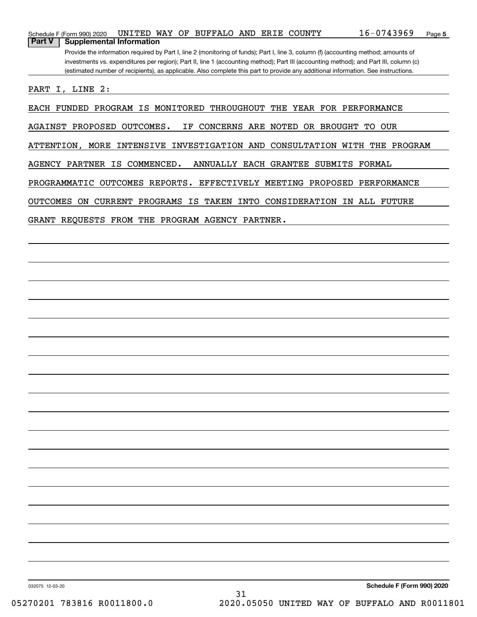| Schedule F (Form 990) 2020                       |  | UNITED WAY OF BUFFALO AND ERIE COUNTY |  | $16 - 0743969$                                                                                                                        | Page 5 |
|--------------------------------------------------|--|---------------------------------------|--|---------------------------------------------------------------------------------------------------------------------------------------|--------|
| <b>Part V</b><br><b>Supplemental Information</b> |  |                                       |  |                                                                                                                                       |        |
|                                                  |  |                                       |  | Provide the information required by Part I, line 2 (monitoring of funds); Part I, line 3, column (f) (accounting method; amounts of   |        |
|                                                  |  |                                       |  | investments vs. expenditures per region); Part II, line 1 (accounting method); Part III (accounting method); and Part III, column (c) |        |
|                                                  |  |                                       |  | (estimated number of recipients), as applicable. Also complete this part to provide any additional information. See instructions.     |        |
| PART I, LINE 2:                                  |  |                                       |  |                                                                                                                                       |        |
|                                                  |  |                                       |  |                                                                                                                                       |        |

EACH FUNDED PROGRAM IS MONITORED THROUGHOUT THE YEAR FOR PERFORMANCE

AGAINST PROPOSED OUTCOMES. IF CONCERNS ARE NOTED OR BROUGHT TO OUR

ATTENTION, MORE INTENSIVE INVESTIGATION AND CONSULTATION WITH THE PROGRAM

AGENCY PARTNER IS COMMENCED. ANNUALLY EACH GRANTEE SUBMITS FORMAL

PROGRAMMATIC OUTCOMES REPORTS. EFFECTIVELY MEETING PROPOSED PERFORMANCE

OUTCOMES ON CURRENT PROGRAMS IS TAKEN INTO CONSIDERATION IN ALL FUTURE

GRANT REQUESTS FROM THE PROGRAM AGENCY PARTNER.

032075 12-03-20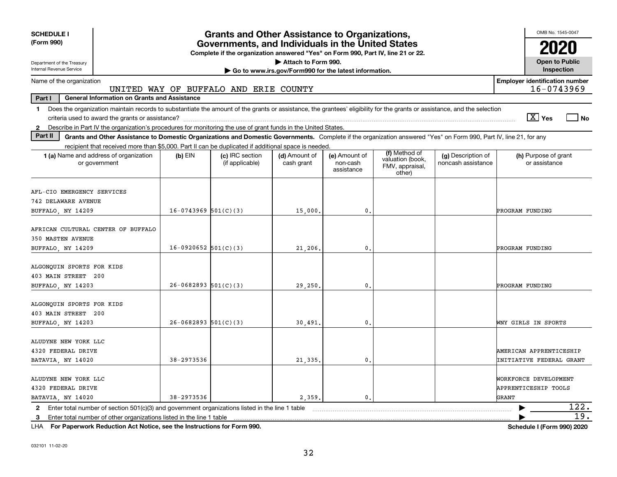| <b>SCHEDULE I</b><br>(Form 990)                                                                                                                                                                                                                                                                                 |                          | <b>Grants and Other Assistance to Organizations,</b><br>Governments, and Individuals in the United States |                                                                              |                                         |                                                                |                                          | OMB No. 1545-0047                                          |
|-----------------------------------------------------------------------------------------------------------------------------------------------------------------------------------------------------------------------------------------------------------------------------------------------------------------|--------------------------|-----------------------------------------------------------------------------------------------------------|------------------------------------------------------------------------------|-----------------------------------------|----------------------------------------------------------------|------------------------------------------|------------------------------------------------------------|
| Department of the Treasury<br>Internal Revenue Service                                                                                                                                                                                                                                                          |                          | Complete if the organization answered "Yes" on Form 990, Part IV, line 21 or 22.                          | Attach to Form 990.<br>Go to www.irs.gov/Form990 for the latest information. |                                         |                                                                |                                          | <b>Open to Public</b><br>Inspection                        |
| Name of the organization                                                                                                                                                                                                                                                                                        |                          | UNITED WAY OF BUFFALO AND ERIE COUNTY                                                                     |                                                                              |                                         |                                                                |                                          | <b>Employer identification number</b><br>16-0743969        |
| <b>General Information on Grants and Assistance</b><br>Part I                                                                                                                                                                                                                                                   |                          |                                                                                                           |                                                                              |                                         |                                                                |                                          |                                                            |
| Does the organization maintain records to substantiate the amount of the grants or assistance, the grantees' eligibility for the grants or assistance, and the selection<br>1.<br>Describe in Part IV the organization's procedures for monitoring the use of grant funds in the United States.<br>$\mathbf{2}$ |                          |                                                                                                           |                                                                              |                                         |                                                                |                                          | $\sqrt{X}$ Yes<br>  No                                     |
| Part II<br>Grants and Other Assistance to Domestic Organizations and Domestic Governments. Complete if the organization answered "Yes" on Form 990, Part IV, line 21, for any                                                                                                                                   |                          |                                                                                                           |                                                                              |                                         |                                                                |                                          |                                                            |
| recipient that received more than \$5,000. Part II can be duplicated if additional space is needed.                                                                                                                                                                                                             |                          |                                                                                                           |                                                                              |                                         |                                                                |                                          |                                                            |
| <b>1 (a)</b> Name and address of organization<br>or government                                                                                                                                                                                                                                                  | $(b)$ EIN                | (c) IRC section<br>(if applicable)                                                                        | (d) Amount of<br>cash grant                                                  | (e) Amount of<br>non-cash<br>assistance | (f) Method of<br>valuation (book,<br>FMV, appraisal,<br>other) | (g) Description of<br>noncash assistance | (h) Purpose of grant<br>or assistance                      |
| AFL-CIO EMERGENCY SERVICES<br><b>742 DELAWARE AVENUE</b><br>BUFFALO NY 14209                                                                                                                                                                                                                                    | $16-0743969$ 501(C)(3)   |                                                                                                           | 15,000,                                                                      | $\mathbf{0}$                            |                                                                |                                          | PROGRAM FUNDING                                            |
| AFRICAN CULTURAL CENTER OF BUFFALO<br><b>350 MASTEN AVENUE</b><br>BUFFALO, NY 14209                                                                                                                                                                                                                             | $16-0920652$ 501(C)(3)   |                                                                                                           | 21,206.                                                                      | 0.                                      |                                                                |                                          | PROGRAM FUNDING                                            |
| ALGONQUIN SPORTS FOR KIDS<br>403 MAIN STREET 200<br>BUFFALO, NY 14203                                                                                                                                                                                                                                           | $26 - 0682893$ 501(C)(3) |                                                                                                           | 29,250.                                                                      | 0.                                      |                                                                |                                          | PROGRAM FUNDING                                            |
| ALGONOUIN SPORTS FOR KIDS<br>403 MAIN STREET 200<br>BUFFALO, NY 14203                                                                                                                                                                                                                                           | $26 - 0682893$ 501(C)(3) |                                                                                                           | 30,491,                                                                      | 0.                                      |                                                                |                                          | WNY GIRLS IN SPORTS                                        |
| ALUDYNE NEW YORK LLC<br>4320 FEDERAL DRIVE<br>BATAVIA, NY 14020                                                                                                                                                                                                                                                 | 38-2973536               |                                                                                                           | 21,335.                                                                      | $\mathbf{0}$                            |                                                                |                                          | AMERICAN APPRENTICESHIP<br><b>INITIATIVE FEDERAL GRANT</b> |
| ALUDYNE NEW YORK LLC<br>4320 FEDERAL DRIVE<br>BATAVIA, NY 14020                                                                                                                                                                                                                                                 | 38-2973536               |                                                                                                           | 2,359                                                                        | $\mathbf{0}$                            |                                                                |                                          | WORKFORCE DEVELOPMENT<br>APPRENTICESHIP TOOLS<br>GRANT     |
| Enter total number of section 501(c)(3) and government organizations listed in the line 1 table<br>$\mathbf{2}$<br>Enter total number of other organizations listed in the line 1 table<br>-3                                                                                                                   |                          |                                                                                                           |                                                                              |                                         |                                                                |                                          | 122.<br>19.                                                |

**For Paperwork Reduction Act Notice, see the Instructions for Form 990. Schedule I (Form 990) 2020** LHA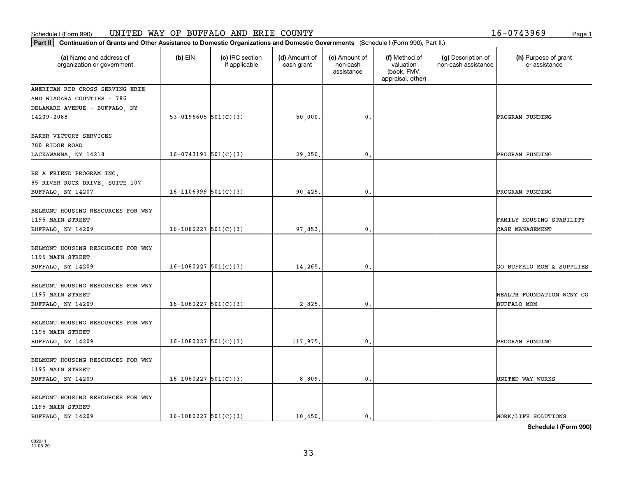### Schedule I (Form 990) Page 1 UNITED WAY OF BUFFALO AND ERIE COUNTY 16-0743969

| Part II   Continuation of Grants and Other Assistance to Domestic Organizations and Domestic Governments (Schedule I (Form 990), Part II.) |                          |                                  |                             |                                         |                                                                |                                           |                                                 |
|--------------------------------------------------------------------------------------------------------------------------------------------|--------------------------|----------------------------------|-----------------------------|-----------------------------------------|----------------------------------------------------------------|-------------------------------------------|-------------------------------------------------|
| (a) Name and address of<br>organization or government                                                                                      | $(b)$ EIN                | (c) IRC section<br>if applicable | (d) Amount of<br>cash grant | (e) Amount of<br>non-cash<br>assistance | (f) Method of<br>valuation<br>(book, FMV,<br>appraisal, other) | (g) Description of<br>non-cash assistance | (h) Purpose of grant<br>or assistance           |
| AMERICAN RED CROSS SERVING ERIE                                                                                                            |                          |                                  |                             |                                         |                                                                |                                           |                                                 |
| AND NIAGARA COUNTIES - 786                                                                                                                 |                          |                                  |                             |                                         |                                                                |                                           |                                                 |
| DELAWARE AVENUE - BUFFALO, NY                                                                                                              |                          |                                  |                             |                                         |                                                                |                                           |                                                 |
| 14209-2088                                                                                                                                 | 53-0196605 $501(C)(3)$   |                                  | 50,000.                     | 0.                                      |                                                                |                                           | PROGRAM FUNDING                                 |
| BAKER VICTORY SERVICES<br>780 RIDGE ROAD<br>LACKAWANNA, NY 14218                                                                           | $16-0743191$ $501(C)(3)$ |                                  | 29,250.                     | 0.                                      |                                                                |                                           | PROGRAM FUNDING                                 |
| BE A FRIEND PROGRAM INC.<br>85 RIVER ROCK DRIVE, SUITE 107<br>BUFFALO, NY 14207                                                            | $16-1106399$ $501(C)(3)$ |                                  | 90,425.                     | 0.                                      |                                                                |                                           | PROGRAM FUNDING                                 |
|                                                                                                                                            |                          |                                  |                             |                                         |                                                                |                                           |                                                 |
| BELMONT HOUSING RESOURCES FOR WNY                                                                                                          |                          |                                  |                             |                                         |                                                                |                                           |                                                 |
| 1195 MAIN STREET                                                                                                                           |                          |                                  |                             |                                         |                                                                |                                           | FAMILY HOUSING STABILITY                        |
| BUFFALO, NY 14209                                                                                                                          | $16-1080227$ 501(C)(3)   |                                  | 97,853.                     | 0.                                      |                                                                |                                           | CASE MANAGEMENT                                 |
| BELMONT HOUSING RESOURCES FOR WNY<br>1195 MAIN STREET                                                                                      |                          |                                  |                             |                                         |                                                                |                                           |                                                 |
| BUFFALO, NY 14209                                                                                                                          | $16-1080227$ 501(C)(3)   |                                  | 14,265.                     | 0.                                      |                                                                |                                           | GO BUFFALO MOM & SUPPLIES                       |
| BELMONT HOUSING RESOURCES FOR WNY<br>1195 MAIN STREET<br>BUFFALO, NY 14209                                                                 | $16-1080227$ 501(C)(3)   |                                  | 2,825.                      | 0.                                      |                                                                |                                           | HEALTH FOUNDATION WCNY GO<br><b>BUFFALO MOM</b> |
| BELMONT HOUSING RESOURCES FOR WNY<br>1195 MAIN STREET                                                                                      | $16-1080227$ 501(C)(3)   |                                  |                             | 0.                                      |                                                                |                                           | PROGRAM FUNDING                                 |
| BUFFALO, NY 14209                                                                                                                          |                          |                                  | 117,975.                    |                                         |                                                                |                                           |                                                 |
| BELMONT HOUSING RESOURCES FOR WNY<br>1195 MAIN STREET                                                                                      |                          |                                  |                             |                                         |                                                                |                                           |                                                 |
| BUFFALO, NY 14209                                                                                                                          | $16-1080227$ 501(C)(3)   |                                  | 8,809.                      | 0.                                      |                                                                |                                           | UNITED WAY WORKS                                |
| BELMONT HOUSING RESOURCES FOR WNY<br>1195 MAIN STREET<br>BUFFALO, NY 14209                                                                 | $16-1080227$ 501(C)(3)   |                                  | 10,450.                     | $\mathfrak{o}$ .                        |                                                                |                                           | WORK/LIFE SOLUTIONS                             |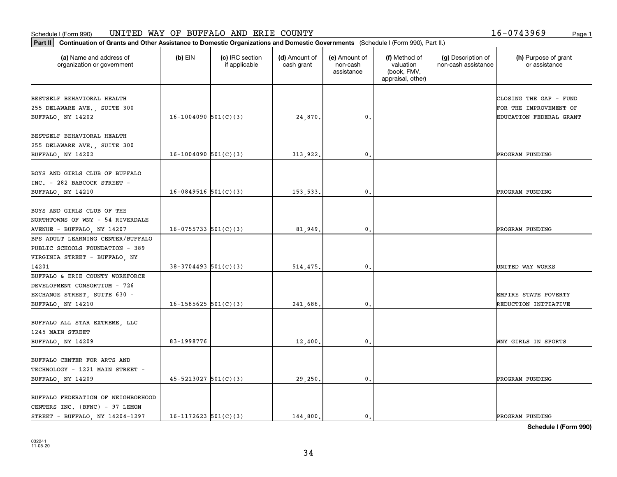### Schedule I (Form 990) Page 1 UNITED WAY OF BUFFALO AND ERIE COUNTY 16-0743969

| Part II   Continuation of Grants and Other Assistance to Domestic Organizations and Domestic Governments (Schedule I (Form 990), Part II.) |                            |                                  |                             |                                         |                                                                |                                           |                                       |
|--------------------------------------------------------------------------------------------------------------------------------------------|----------------------------|----------------------------------|-----------------------------|-----------------------------------------|----------------------------------------------------------------|-------------------------------------------|---------------------------------------|
| (a) Name and address of<br>organization or government                                                                                      | $(b)$ EIN                  | (c) IRC section<br>if applicable | (d) Amount of<br>cash grant | (e) Amount of<br>non-cash<br>assistance | (f) Method of<br>valuation<br>(book, FMV,<br>appraisal, other) | (g) Description of<br>non-cash assistance | (h) Purpose of grant<br>or assistance |
| BESTSELF BEHAVIORAL HEALTH                                                                                                                 |                            |                                  |                             |                                         |                                                                |                                           | CLOSING THE GAP - FUND                |
| 255 DELAWARE AVE., SUITE 300                                                                                                               |                            |                                  |                             |                                         |                                                                |                                           | FOR THE IMPROVEMENT OF                |
| BUFFALO, NY 14202                                                                                                                          | $16-1004090$ $501(C)(3)$   |                                  | 24,870.                     | $\mathbf{0}$ .                          |                                                                |                                           | <b>EDUCATION FEDERAL GRANT</b>        |
|                                                                                                                                            |                            |                                  |                             |                                         |                                                                |                                           |                                       |
| BESTSELF BEHAVIORAL HEALTH                                                                                                                 |                            |                                  |                             |                                         |                                                                |                                           |                                       |
| 255 DELAWARE AVE., SUITE 300                                                                                                               |                            |                                  |                             |                                         |                                                                |                                           |                                       |
| BUFFALO, NY 14202                                                                                                                          | $16-1004090$ $501(C)(3)$   |                                  | 313,922.                    | $^{\circ}$ .                            |                                                                |                                           | PROGRAM FUNDING                       |
|                                                                                                                                            |                            |                                  |                             |                                         |                                                                |                                           |                                       |
| BOYS AND GIRLS CLUB OF BUFFALO                                                                                                             |                            |                                  |                             |                                         |                                                                |                                           |                                       |
| INC. - 282 BABCOCK STREET -                                                                                                                |                            |                                  |                             |                                         |                                                                |                                           |                                       |
| BUFFALO, NY 14210                                                                                                                          | $16-0849516$ 501(C)(3)     |                                  | 153,533.                    | $\mathfrak{o}$ .                        |                                                                |                                           | PROGRAM FUNDING                       |
|                                                                                                                                            |                            |                                  |                             |                                         |                                                                |                                           |                                       |
| BOYS AND GIRLS CLUB OF THE                                                                                                                 |                            |                                  |                             |                                         |                                                                |                                           |                                       |
| NORTHTOWNS OF WNY - 54 RIVERDALE                                                                                                           |                            |                                  |                             |                                         |                                                                |                                           |                                       |
| AVENUE - BUFFALO, NY 14207                                                                                                                 | $16-0755733$ $501(C)(3)$   |                                  | 81,949                      | $\mathfrak{o}$ .                        |                                                                |                                           | PROGRAM FUNDING                       |
| BPS ADULT LEARNING CENTER/BUFFALO                                                                                                          |                            |                                  |                             |                                         |                                                                |                                           |                                       |
| PUBLIC SCHOOLS FOUNDATION - 389                                                                                                            |                            |                                  |                             |                                         |                                                                |                                           |                                       |
| VIRGINIA STREET - BUFFALO, NY                                                                                                              |                            |                                  |                             |                                         |                                                                |                                           |                                       |
| 14201                                                                                                                                      | $38-3704493$ 501(C)(3)     |                                  | 514,475.                    | 0.                                      |                                                                |                                           | UNITED WAY WORKS                      |
| BUFFALO & ERIE COUNTY WORKFORCE                                                                                                            |                            |                                  |                             |                                         |                                                                |                                           |                                       |
| DEVELOPMENT CONSORTIUM - 726                                                                                                               |                            |                                  |                             |                                         |                                                                |                                           |                                       |
| EXCHANGE STREET, SUITE 630 -                                                                                                               |                            |                                  |                             |                                         |                                                                |                                           | EMPIRE STATE POVERTY                  |
| BUFFALO, NY 14210                                                                                                                          | $16 - 1585625$ $501(C)(3)$ |                                  | 241,686.                    | 0.                                      |                                                                |                                           | REDUCTION INITIATIVE                  |
|                                                                                                                                            |                            |                                  |                             |                                         |                                                                |                                           |                                       |
| BUFFALO ALL STAR EXTREME, LLC                                                                                                              |                            |                                  |                             |                                         |                                                                |                                           |                                       |
| 1245 MAIN STREET                                                                                                                           |                            |                                  |                             |                                         |                                                                |                                           |                                       |
| BUFFALO, NY 14209                                                                                                                          | 83-1998776                 |                                  | 12,400                      | $\mathfrak o$ .                         |                                                                |                                           | WNY GIRLS IN SPORTS                   |
|                                                                                                                                            |                            |                                  |                             |                                         |                                                                |                                           |                                       |
| BUFFALO CENTER FOR ARTS AND                                                                                                                |                            |                                  |                             |                                         |                                                                |                                           |                                       |
| TECHNOLOGY - 1221 MAIN STREET -                                                                                                            |                            |                                  |                             |                                         |                                                                |                                           |                                       |
| BUFFALO, NY 14209                                                                                                                          | $45 - 5213027$ 501(C)(3)   |                                  | 29,250.                     | $\mathfrak o$ .                         |                                                                |                                           | PROGRAM FUNDING                       |
| BUFFALO FEDERATION OF NEIGHBORHOOD                                                                                                         |                            |                                  |                             |                                         |                                                                |                                           |                                       |
| CENTERS INC. (BFNC) - 97 LEMON                                                                                                             |                            |                                  |                             |                                         |                                                                |                                           |                                       |
| STREET - BUFFALO, NY 14204-1297                                                                                                            | $16-1172623$ 501(C)(3)     |                                  | 144,800.                    | $\mathbf{0}$ .                          |                                                                |                                           | PROGRAM FUNDING                       |
|                                                                                                                                            |                            |                                  |                             |                                         |                                                                |                                           |                                       |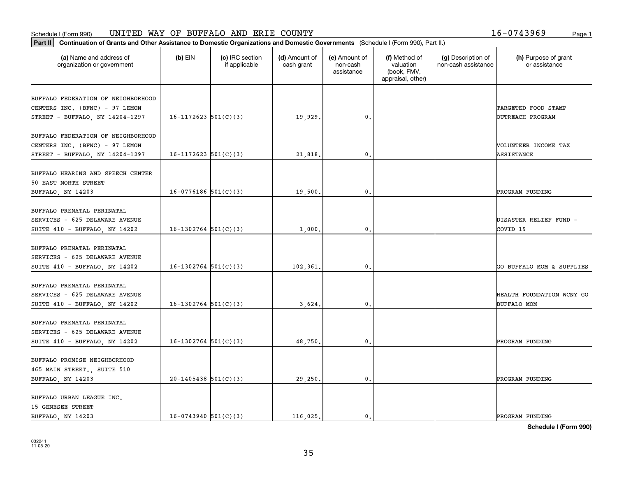#### Schedule I (Form 990) UN L'I'ED WAY OF BUFFALO AND ERTE COUN'I'Y Page 1 UNITED WAY OF BUFFALO AND ERIE COUNTY 16-0743969

| Part II   Continuation of Grants and Other Assistance to Domestic Organizations and Domestic Governments (Schedule I (Form 990), Part II.) |                          |                                  |                             |                                         |                                                                |                                           |                                       |
|--------------------------------------------------------------------------------------------------------------------------------------------|--------------------------|----------------------------------|-----------------------------|-----------------------------------------|----------------------------------------------------------------|-------------------------------------------|---------------------------------------|
| (a) Name and address of<br>organization or government                                                                                      | $(b)$ EIN                | (c) IRC section<br>if applicable | (d) Amount of<br>cash grant | (e) Amount of<br>non-cash<br>assistance | (f) Method of<br>valuation<br>(book, FMV,<br>appraisal, other) | (g) Description of<br>non-cash assistance | (h) Purpose of grant<br>or assistance |
|                                                                                                                                            |                          |                                  |                             |                                         |                                                                |                                           |                                       |
| BUFFALO FEDERATION OF NEIGHBORHOOD<br>CENTERS INC. (BFNC) - 97 LEMON                                                                       |                          |                                  |                             |                                         |                                                                |                                           | TARGETED FOOD STAMP                   |
| STREET - BUFFALO, NY 14204-1297                                                                                                            | $16-1172623$ $501(C)(3)$ |                                  | 19,929.                     | $\mathbf{0}$ .                          |                                                                |                                           | OUTREACH PROGRAM                      |
|                                                                                                                                            |                          |                                  |                             |                                         |                                                                |                                           |                                       |
| BUFFALO FEDERATION OF NEIGHBORHOOD                                                                                                         |                          |                                  |                             |                                         |                                                                |                                           |                                       |
| CENTERS INC. (BFNC) - 97 LEMON                                                                                                             |                          |                                  |                             |                                         |                                                                |                                           | VOLUNTEER INCOME TAX                  |
| STREET - BUFFALO, NY 14204-1297                                                                                                            | $16-1172623$ $501(C)(3)$ |                                  | 21,818                      | 0.                                      |                                                                |                                           | ASSISTANCE                            |
|                                                                                                                                            |                          |                                  |                             |                                         |                                                                |                                           |                                       |
| BUFFALO HEARING AND SPEECH CENTER                                                                                                          |                          |                                  |                             |                                         |                                                                |                                           |                                       |
| 50 EAST NORTH STREET                                                                                                                       |                          |                                  |                             |                                         |                                                                |                                           |                                       |
| BUFFALO, NY 14203                                                                                                                          | $16-0776186$ 501(C)(3)   |                                  | 19,500                      | $\mathbf{0}$ .                          |                                                                |                                           | PROGRAM FUNDING                       |
|                                                                                                                                            |                          |                                  |                             |                                         |                                                                |                                           |                                       |
| BUFFALO PRENATAL PERINATAL                                                                                                                 |                          |                                  |                             |                                         |                                                                |                                           |                                       |
| SERVICES - 625 DELAWARE AVENUE                                                                                                             |                          |                                  |                             |                                         |                                                                |                                           | DISASTER RELIEF FUND -                |
| SUITE 410 - BUFFALO, NY 14202                                                                                                              | $16-1302764$ 501(C)(3)   |                                  | 1,000                       | $\mathbf{0}$ .                          |                                                                |                                           | COVID 19                              |
| BUFFALO PRENATAL PERINATAL                                                                                                                 |                          |                                  |                             |                                         |                                                                |                                           |                                       |
| SERVICES - 625 DELAWARE AVENUE                                                                                                             |                          |                                  |                             |                                         |                                                                |                                           |                                       |
| SUITE 410 - BUFFALO, NY 14202                                                                                                              | $16-1302764$ 501(C)(3)   |                                  | 102,361                     | 0.                                      |                                                                |                                           | GO BUFFALO MOM & SUPPLIES             |
|                                                                                                                                            |                          |                                  |                             |                                         |                                                                |                                           |                                       |
| BUFFALO PRENATAL PERINATAL                                                                                                                 |                          |                                  |                             |                                         |                                                                |                                           |                                       |
| SERVICES - 625 DELAWARE AVENUE                                                                                                             |                          |                                  |                             |                                         |                                                                |                                           | HEALTH FOUNDATION WCNY GO             |
| SUITE 410 - BUFFALO, NY 14202                                                                                                              | $16-1302764$ 501(C)(3)   |                                  | 3,624                       | 0.                                      |                                                                |                                           | <b>BUFFALO MOM</b>                    |
|                                                                                                                                            |                          |                                  |                             |                                         |                                                                |                                           |                                       |
| BUFFALO PRENATAL PERINATAL                                                                                                                 |                          |                                  |                             |                                         |                                                                |                                           |                                       |
| SERVICES - 625 DELAWARE AVENUE                                                                                                             |                          |                                  |                             |                                         |                                                                |                                           |                                       |
| SUITE 410 - BUFFALO, NY 14202                                                                                                              | $16-1302764$ 501(C)(3)   |                                  | 48,750.                     | $\mathbf{0}$ .                          |                                                                |                                           | PROGRAM FUNDING                       |
|                                                                                                                                            |                          |                                  |                             |                                         |                                                                |                                           |                                       |
| BUFFALO PROMISE NEIGHBORHOOD                                                                                                               |                          |                                  |                             |                                         |                                                                |                                           |                                       |
| 465 MAIN STREET., SUITE 510                                                                                                                |                          |                                  |                             |                                         |                                                                |                                           |                                       |
| BUFFALO, NY 14203                                                                                                                          | $20-1405438$ 501(C)(3)   |                                  | 29,250.                     | $\mathfrak o$ .                         |                                                                |                                           | PROGRAM FUNDING                       |
|                                                                                                                                            |                          |                                  |                             |                                         |                                                                |                                           |                                       |
| BUFFALO URBAN LEAGUE INC.                                                                                                                  |                          |                                  |                             |                                         |                                                                |                                           |                                       |
| 15 GENESEE STREET<br>BUFFALO, NY 14203                                                                                                     | $16-0743940$ 501(C)(3)   |                                  | 116,025.                    | $\mathbf{0}$ .                          |                                                                |                                           | PROGRAM FUNDING                       |
|                                                                                                                                            |                          |                                  |                             |                                         |                                                                |                                           |                                       |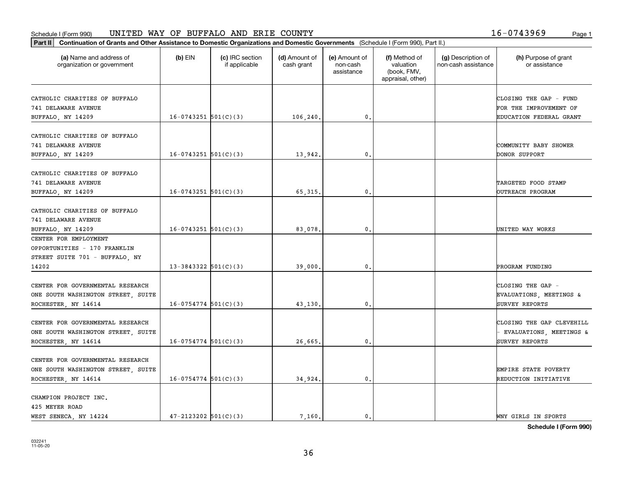### Schedule I (Form 990) Page 1 UNITED WAY OF BUFFALO AND ERIE COUNTY 16-0743969

| Part II   Continuation of Grants and Other Assistance to Domestic Organizations and Domestic Governments (Schedule I (Form 990), Part II.) |                            |                                  |                             |                                         |                                                                |                                           |                                                                        |
|--------------------------------------------------------------------------------------------------------------------------------------------|----------------------------|----------------------------------|-----------------------------|-----------------------------------------|----------------------------------------------------------------|-------------------------------------------|------------------------------------------------------------------------|
| (a) Name and address of<br>organization or government                                                                                      | $(b)$ EIN                  | (c) IRC section<br>if applicable | (d) Amount of<br>cash grant | (e) Amount of<br>non-cash<br>assistance | (f) Method of<br>valuation<br>(book, FMV,<br>appraisal, other) | (g) Description of<br>non-cash assistance | (h) Purpose of grant<br>or assistance                                  |
| CATHOLIC CHARITIES OF BUFFALO<br>741 DELAWARE AVENUE                                                                                       |                            |                                  |                             |                                         |                                                                |                                           | CLOSING THE GAP - FUND<br>FOR THE IMPROVEMENT OF                       |
| BUFFALO, NY 14209                                                                                                                          | $16-0743251$ 501(C)(3)     |                                  | 106,240.                    | 0.                                      |                                                                |                                           | EDUCATION FEDERAL GRANT                                                |
| CATHOLIC CHARITIES OF BUFFALO<br>741 DELAWARE AVENUE<br>BUFFALO, NY 14209                                                                  | $16-0743251$ 501(C)(3)     |                                  | 13,942.                     | 0.                                      |                                                                |                                           | COMMUNITY BABY SHOWER<br>DONOR SUPPORT                                 |
| CATHOLIC CHARITIES OF BUFFALO<br>741 DELAWARE AVENUE<br>BUFFALO, NY 14209                                                                  | $16-0743251$ 501(C)(3)     |                                  | 65, 315.                    | 0.                                      |                                                                |                                           | TARGETED FOOD STAMP<br><b>DUTREACH PROGRAM</b>                         |
| CATHOLIC CHARITIES OF BUFFALO<br>741 DELAWARE AVENUE<br>BUFFALO, NY 14209                                                                  | $16-0743251$ 501(C)(3)     |                                  | 83,078.                     | $\mathfrak{o}$ .                        |                                                                |                                           | UNITED WAY WORKS                                                       |
| CENTER FOR EMPLOYMENT<br>OPPORTUNITIES - 170 FRANKLIN<br>STREET SUITE 701 - BUFFALO, NY                                                    |                            |                                  |                             |                                         |                                                                |                                           |                                                                        |
| 14202                                                                                                                                      | $13 - 3843322$ $501(C)(3)$ |                                  | 39,000                      | 0.                                      |                                                                |                                           | PROGRAM FUNDING                                                        |
| CENTER FOR GOVERNMENTAL RESEARCH<br>ONE SOUTH WASHINGTON STREET, SUITE<br>ROCHESTER, NY 14614                                              | $16-0754774$ $501(C)(3)$   |                                  | 43,130.                     | 0.                                      |                                                                |                                           | CLOSING THE GAP -<br>EVALUATIONS, MEETINGS &<br>SURVEY REPORTS         |
| CENTER FOR GOVERNMENTAL RESEARCH<br>ONE SOUTH WASHINGTON STREET, SUITE<br>ROCHESTER, NY 14614                                              | $16-0754774$ 501(C)(3)     |                                  | 26,665.                     | $\mathbf{0}$ .                          |                                                                |                                           | CLOSING THE GAP CLEVEHILL<br>EVALUATIONS, MEETINGS &<br>SURVEY REPORTS |
| CENTER FOR GOVERNMENTAL RESEARCH<br>ONE SOUTH WASHINGTON STREET, SUITE<br>ROCHESTER, NY 14614                                              | $16-0754774$ 501(C)(3)     |                                  | 34,924.                     | $\mathbf{0}$ .                          |                                                                |                                           | EMPIRE STATE POVERTY<br>REDUCTION INITIATIVE                           |
| CHAMPION PROJECT INC.<br>425 MEYER ROAD<br>WEST SENECA, NY 14224                                                                           | $47 - 2123202$ 501(C)(3)   |                                  | 7.160.                      | 0.                                      |                                                                |                                           | WNY GIRLS IN SPORTS                                                    |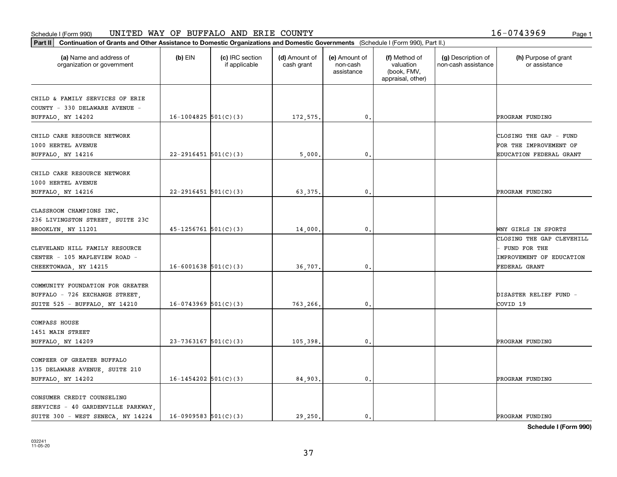### **Part II Continuation of Grants and Other Assistance to Domestic Organizations and Domestic Continuation of Grants and Other Assistance to Domestic Organizations and Domestic Continuation of Grants and Other Assistance t** Schedule I (Form 990) Page 1 UNITED WAY OF BUFFALO AND ERIE COUNTY 16-0743969

| 16-0743969<br>Page: |  |  |  |  |  |  |  |  |  |  |  |
|---------------------|--|--|--|--|--|--|--|--|--|--|--|
|---------------------|--|--|--|--|--|--|--|--|--|--|--|

| Continuation of Grants and Other Assistance to Domestic Organizations and Domestic Governments (Schedule I (Form 990), Part II.)<br>Part II |                            |                                  |                             |                                         |                                                                |                                           |                                                                                        |
|---------------------------------------------------------------------------------------------------------------------------------------------|----------------------------|----------------------------------|-----------------------------|-----------------------------------------|----------------------------------------------------------------|-------------------------------------------|----------------------------------------------------------------------------------------|
| (a) Name and address of<br>organization or government                                                                                       | $(b)$ EIN                  | (c) IRC section<br>if applicable | (d) Amount of<br>cash grant | (e) Amount of<br>non-cash<br>assistance | (f) Method of<br>valuation<br>(book, FMV,<br>appraisal, other) | (g) Description of<br>non-cash assistance | (h) Purpose of grant<br>or assistance                                                  |
| CHILD & FAMILY SERVICES OF ERIE<br>COUNTY - 330 DELAWARE AVENUE -<br>BUFFALO, NY 14202                                                      | $16-1004825$ 501(C)(3)     |                                  | 172,575.                    | $\mathfrak o$ .                         |                                                                |                                           | PROGRAM FUNDING                                                                        |
| CHILD CARE RESOURCE NETWORK<br>1000 HERTEL AVENUE<br>BUFFALO, NY 14216                                                                      | $22 - 2916451$ 501(C)(3)   |                                  | 5,000.                      | $\mathfrak{o}$ .                        |                                                                |                                           | CLOSING THE GAP - FUND<br>FOR THE IMPROVEMENT OF<br><b>EDUCATION FEDERAL GRANT</b>     |
| CHILD CARE RESOURCE NETWORK<br>1000 HERTEL AVENUE<br>BUFFALO, NY 14216                                                                      | $22 - 2916451$ 501(C)(3)   |                                  | 63,375                      | $\mathbf{0}$                            |                                                                |                                           | PROGRAM FUNDING                                                                        |
| CLASSROOM CHAMPIONS INC.<br>236 LIVINGSTON STREET, SUITE 23C<br>BROOKLYN, NY 11201                                                          | $45 - 1256761$ $501(C)(3)$ |                                  | 14,000.                     | 0.                                      |                                                                |                                           | WNY GIRLS IN SPORTS                                                                    |
| CLEVELAND HILL FAMILY RESOURCE<br>CENTER - 105 MAPLEVIEW ROAD -<br>CHEEKTOWAGA, NY 14215                                                    | $16 - 6001638$ 501(C)(3)   |                                  | 36,707.                     | $\mathfrak{o}$ .                        |                                                                |                                           | CLOSING THE GAP CLEVEHILL<br>FUND FOR THE<br>IMPROVEMENT OF EDUCATION<br>FEDERAL GRANT |
| COMMUNITY FOUNDATION FOR GREATER<br>BUFFALO - 726 EXCHANGE STREET,<br>SUITE 525 - BUFFALO, NY 14210                                         | $16-0743969$ 501(C)(3)     |                                  | 763,266.                    | $\mathbf{0}$                            |                                                                |                                           | DISASTER RELIEF FUND -<br>COVID 19                                                     |
| COMPASS HOUSE<br>1451 MAIN STREET<br>BUFFALO, NY 14209                                                                                      | $23 - 7363167$ 501(C)(3)   |                                  | 105,398.                    | $\mathfrak o$ .                         |                                                                |                                           | PROGRAM FUNDING                                                                        |
| COMPEER OF GREATER BUFFALO<br>135 DELAWARE AVENUE, SUITE 210<br>BUFFALO, NY 14202                                                           | $16-1454202$ $501(C)(3)$   |                                  | 84,903.                     | $\mathbf{0}$ .                          |                                                                |                                           | PROGRAM FUNDING                                                                        |
| CONSUMER CREDIT COUNSELING<br>SERVICES - 40 GARDENVILLE PARKWAY,<br>SUITE 300 - WEST SENECA, NY 14224                                       | $16-0909583$ 501(C)(3)     |                                  | 29.250.                     | $\mathbf{0}$ .                          |                                                                |                                           | PROGRAM FUNDING                                                                        |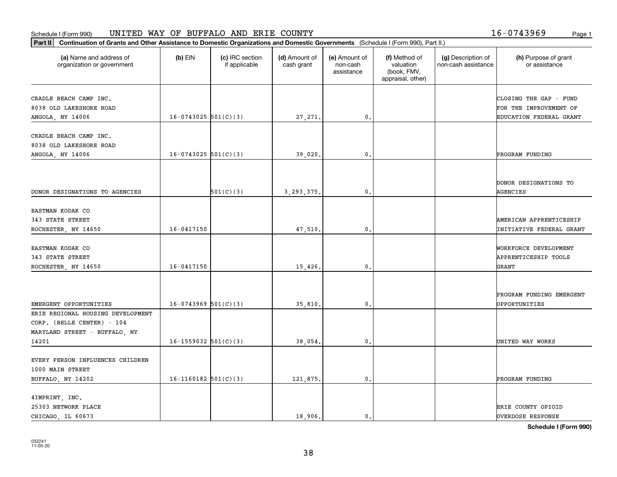#### Schedule I (Form 990) UN L'I'ED WAY OF BUFFALO AND ERTE COUN'I'Y Page 1 UNITED WAY OF BUFFALO AND ERIE COUNTY 16-0743969

| (a) Name and address of<br>organization or government       | $(b)$ EIN                  | (c) IRC section<br>if applicable | (d) Amount of<br>cash grant | (e) Amount of<br>non-cash<br>assistance | (f) Method of<br>valuation<br>(book, FMV,<br>appraisal, other) | (g) Description of<br>non-cash assistance | (h) Purpose of grant<br>or assistance |
|-------------------------------------------------------------|----------------------------|----------------------------------|-----------------------------|-----------------------------------------|----------------------------------------------------------------|-------------------------------------------|---------------------------------------|
| CRADLE BEACH CAMP INC.                                      |                            |                                  |                             |                                         |                                                                |                                           | CLOSING THE GAP - FUND                |
| 8038 OLD LAKESHORE ROAD                                     |                            |                                  |                             |                                         |                                                                |                                           | FOR THE IMPROVEMENT OF                |
| ANGOLA, NY 14006                                            | $16-0743025$ 501(C)(3)     |                                  | 27, 271.                    | 0.                                      |                                                                |                                           | EDUCATION FEDERAL GRANT               |
| CRADLE BEACH CAMP INC.                                      |                            |                                  |                             |                                         |                                                                |                                           |                                       |
| 8038 OLD LAKESHORE ROAD                                     |                            |                                  |                             |                                         |                                                                |                                           |                                       |
| ANGOLA, NY 14006                                            | $16-0743025$ 501(C)(3)     |                                  | 39,020.                     | $\mathbf{0}$ .                          |                                                                |                                           | PROGRAM FUNDING                       |
|                                                             |                            |                                  |                             |                                         |                                                                |                                           |                                       |
|                                                             |                            |                                  |                             |                                         |                                                                |                                           | DONOR DESIGNATIONS TO                 |
| DONOR DESIGNATIONS TO AGENCIES                              |                            | 501(C)(3)                        | 3, 293, 375.                | $\mathbf{0}$ .                          |                                                                |                                           | AGENCIES                              |
| EASTMAN KODAK CO                                            |                            |                                  |                             |                                         |                                                                |                                           |                                       |
| 343 STATE STREET                                            |                            |                                  |                             |                                         |                                                                |                                           | AMERICAN APPRENTICESHIP               |
| ROCHESTER, NY 14650                                         | $16 - 0417150$             |                                  | 47,510.                     | 0.                                      |                                                                |                                           | INITIATIVE FEDERAL GRANT              |
|                                                             |                            |                                  |                             |                                         |                                                                |                                           |                                       |
| EASTMAN KODAK CO                                            |                            |                                  |                             |                                         |                                                                |                                           | WORKFORCE DEVELOPMENT                 |
| 343 STATE STREET                                            |                            |                                  |                             |                                         |                                                                |                                           | APPRENTICESHIP TOOLS                  |
| ROCHESTER, NY 14650                                         | $16 - 0417150$             |                                  | 15,426.                     | $\mathbf{0}$                            |                                                                |                                           | <b>GRANT</b>                          |
|                                                             |                            |                                  |                             |                                         |                                                                |                                           |                                       |
|                                                             | $16-0743969$ 501(C)(3)     |                                  |                             | 0.                                      |                                                                |                                           | PROGRAM FUNDING EMERGENT              |
| EMERGENT OPPORTUNITIES<br>ERIE REGIONAL HOUSING DEVELOPMENT |                            |                                  | 35,810.                     |                                         |                                                                |                                           | <b>OPPORTUNITIES</b>                  |
| CORP. (BELLE CENTER) - 104                                  |                            |                                  |                             |                                         |                                                                |                                           |                                       |
| MARYLAND STREET - BUFFALO, NY                               |                            |                                  |                             |                                         |                                                                |                                           |                                       |
| 14201                                                       | $16 - 1559032$ $501(C)(3)$ |                                  | 38,054.                     | $\mathbf{0}$ .                          |                                                                |                                           | UNITED WAY WORKS                      |
|                                                             |                            |                                  |                             |                                         |                                                                |                                           |                                       |
| EVERY PERSON INFLUENCES CHILDREN                            |                            |                                  |                             |                                         |                                                                |                                           |                                       |
| 1000 MAIN STREET                                            | $16-1160182$ 501(C)(3)     |                                  | 121,875.                    | $\mathbf{0}$ .                          |                                                                |                                           | PROGRAM FUNDING                       |
| BUFFALO, NY 14202                                           |                            |                                  |                             |                                         |                                                                |                                           |                                       |
| 4IMPRINT, INC.                                              |                            |                                  |                             |                                         |                                                                |                                           |                                       |
| 25303 NETWORK PLACE                                         |                            |                                  |                             |                                         |                                                                |                                           | ERIE COUNTY OPIOID                    |
| CHICAGO LL 60673                                            |                            |                                  | 18,906.                     | 0.                                      |                                                                |                                           | OVERDOSE RESPONSE                     |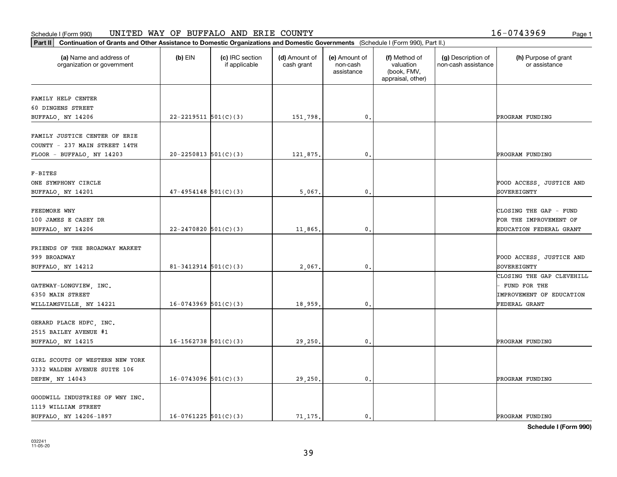#### Schedule I (Form 990) UN L'I'ED WAY OF BUFFALO AND ERTE COUN'I'Y Page 1 UNITED WAY OF BUFFALO AND ERIE COUNTY 16-0743969

| Part II   Continuation of Grants and Other Assistance to Domestic Organizations and Domestic Governments (Schedule I (Form 990), Part II.) |                            |                                  |                             |                                         |                                                                |                                           |                                          |
|--------------------------------------------------------------------------------------------------------------------------------------------|----------------------------|----------------------------------|-----------------------------|-----------------------------------------|----------------------------------------------------------------|-------------------------------------------|------------------------------------------|
| (a) Name and address of<br>organization or government                                                                                      | $(b)$ EIN                  | (c) IRC section<br>if applicable | (d) Amount of<br>cash grant | (e) Amount of<br>non-cash<br>assistance | (f) Method of<br>valuation<br>(book, FMV,<br>appraisal, other) | (g) Description of<br>non-cash assistance | (h) Purpose of grant<br>or assistance    |
| FAMILY HELP CENTER                                                                                                                         |                            |                                  |                             |                                         |                                                                |                                           |                                          |
| 60 DINGENS STREET                                                                                                                          |                            |                                  |                             |                                         |                                                                |                                           |                                          |
| BUFFALO, NY 14206                                                                                                                          | $22 - 2219511$ $501(C)(3)$ |                                  | 151,798.                    | $\mathbf 0$ .                           |                                                                |                                           | PROGRAM FUNDING                          |
|                                                                                                                                            |                            |                                  |                             |                                         |                                                                |                                           |                                          |
| FAMILY JUSTICE CENTER OF ERIE                                                                                                              |                            |                                  |                             |                                         |                                                                |                                           |                                          |
| COUNTY - 237 MAIN STREET 14TH                                                                                                              |                            |                                  |                             |                                         |                                                                |                                           |                                          |
| FLOOR - BUFFALO, NY 14203                                                                                                                  | $20 - 2250813$ $501(C)(3)$ |                                  | 121,875.                    | 0.                                      |                                                                |                                           | PROGRAM FUNDING                          |
|                                                                                                                                            |                            |                                  |                             |                                         |                                                                |                                           |                                          |
| $F-BITES$<br>ONE SYMPHONY CIRCLE                                                                                                           |                            |                                  |                             |                                         |                                                                |                                           | FOOD ACCESS, JUSTICE AND                 |
| BUFFALO, NY 14201                                                                                                                          | $47-4954148$ 501(C)(3)     |                                  | 5,067.                      | $\mathfrak{o}$ .                        |                                                                |                                           | SOVEREIGNTY                              |
|                                                                                                                                            |                            |                                  |                             |                                         |                                                                |                                           |                                          |
| FEEDMORE WNY                                                                                                                               |                            |                                  |                             |                                         |                                                                |                                           | CLOSING THE GAP - FUND                   |
| 100 JAMES E CASEY DR                                                                                                                       |                            |                                  |                             |                                         |                                                                |                                           | FOR THE IMPROVEMENT OF                   |
| BUFFALO, NY 14206                                                                                                                          | $22 - 2470820$ 501(C)(3)   |                                  | 11,865.                     | $\mathbf{0}$                            |                                                                |                                           | EDUCATION FEDERAL GRANT                  |
|                                                                                                                                            |                            |                                  |                             |                                         |                                                                |                                           |                                          |
| FRIENDS OF THE BROADWAY MARKET                                                                                                             |                            |                                  |                             |                                         |                                                                |                                           |                                          |
| 999 BROADWAY                                                                                                                               |                            |                                  |                             |                                         |                                                                |                                           | FOOD ACCESS, JUSTICE AND                 |
| BUFFALO, NY 14212                                                                                                                          | $81 - 3412914$ $501(C)(3)$ |                                  | 2,067.                      | $\mathbf{0}$                            |                                                                |                                           | SOVEREIGNTY                              |
|                                                                                                                                            |                            |                                  |                             |                                         |                                                                |                                           | CLOSING THE GAP CLEVEHILL                |
| GATEWAY-LONGVIEW, INC.<br>6350 MAIN STREET                                                                                                 |                            |                                  |                             |                                         |                                                                |                                           | FUND FOR THE<br>IMPROVEMENT OF EDUCATION |
| WILLIAMSVILLE, NY 14221                                                                                                                    | $16-0743969$ $501(C)(3)$   |                                  | 18,959.                     | 0.                                      |                                                                |                                           | FEDERAL GRANT                            |
|                                                                                                                                            |                            |                                  |                             |                                         |                                                                |                                           |                                          |
| GERARD PLACE HDFC, INC.                                                                                                                    |                            |                                  |                             |                                         |                                                                |                                           |                                          |
| 2515 BAILEY AVENUE #1                                                                                                                      |                            |                                  |                             |                                         |                                                                |                                           |                                          |
| BUFFALO, NY 14215                                                                                                                          | $16-1562738$ 501(C)(3)     |                                  | 29,250                      | $^{\rm 0}$ .                            |                                                                |                                           | PROGRAM FUNDING                          |
|                                                                                                                                            |                            |                                  |                             |                                         |                                                                |                                           |                                          |
| GIRL SCOUTS OF WESTERN NEW YORK                                                                                                            |                            |                                  |                             |                                         |                                                                |                                           |                                          |
| 3332 WALDEN AVENUE SUITE 106                                                                                                               |                            |                                  |                             |                                         |                                                                |                                           |                                          |
| DEPEW, NY 14043                                                                                                                            | $16-0743096$ 501(C)(3)     |                                  | 29,250.                     | $\mathfrak{o}$ .                        |                                                                |                                           | PROGRAM FUNDING                          |
| GOODWILL INDUSTRIES OF WNY INC.                                                                                                            |                            |                                  |                             |                                         |                                                                |                                           |                                          |
| 1119 WILLIAM STREET                                                                                                                        |                            |                                  |                             |                                         |                                                                |                                           |                                          |
| BUFFALO, NY 14206-1897                                                                                                                     | $16-0761225$ 501(C)(3)     |                                  | 71.175.                     | $\mathbf{0}$ .                          |                                                                |                                           | PROGRAM FUNDING                          |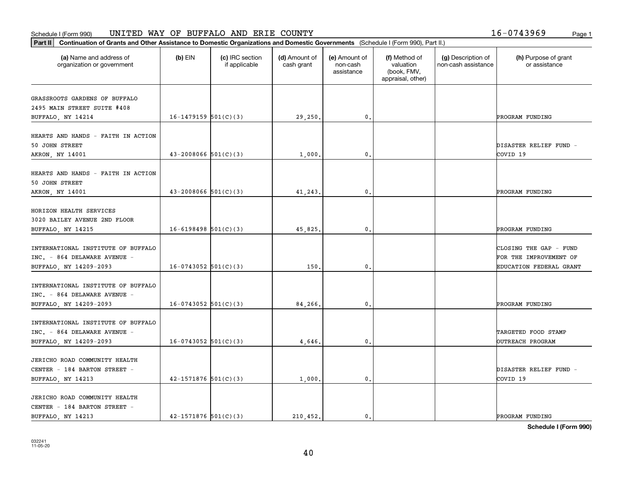### Schedule I (Form 990) Page 1 UNITED WAY OF BUFFALO AND ERIE COUNTY 16-0743969

| Part II   Continuation of Grants and Other Assistance to Domestic Organizations and Domestic Governments (Schedule I (Form 990), Part II.) |                            |                                  |                             |                                         |                                                                |                                           |                                       |
|--------------------------------------------------------------------------------------------------------------------------------------------|----------------------------|----------------------------------|-----------------------------|-----------------------------------------|----------------------------------------------------------------|-------------------------------------------|---------------------------------------|
| (a) Name and address of<br>organization or government                                                                                      | $(b)$ EIN                  | (c) IRC section<br>if applicable | (d) Amount of<br>cash grant | (e) Amount of<br>non-cash<br>assistance | (f) Method of<br>valuation<br>(book, FMV,<br>appraisal, other) | (g) Description of<br>non-cash assistance | (h) Purpose of grant<br>or assistance |
| GRASSROOTS GARDENS OF BUFFALO                                                                                                              |                            |                                  |                             |                                         |                                                                |                                           |                                       |
| 2495 MAIN STREET SUITE #408                                                                                                                |                            |                                  |                             |                                         |                                                                |                                           |                                       |
| BUFFALO, NY 14214                                                                                                                          | $16-1479159$ 501(C)(3)     |                                  | 29,250.                     | $\mathbf{0}$ .                          |                                                                |                                           | PROGRAM FUNDING                       |
|                                                                                                                                            |                            |                                  |                             |                                         |                                                                |                                           |                                       |
| HEARTS AND HANDS - FAITH IN ACTION                                                                                                         |                            |                                  |                             |                                         |                                                                |                                           |                                       |
| 50 JOHN STREET                                                                                                                             |                            |                                  |                             |                                         |                                                                |                                           | DISASTER RELIEF FUND -                |
| AKRON, NY 14001                                                                                                                            | $43 - 2008066$ $501(C)(3)$ |                                  | 1,000                       | 0.                                      |                                                                |                                           | COVID 19                              |
|                                                                                                                                            |                            |                                  |                             |                                         |                                                                |                                           |                                       |
| HEARTS AND HANDS - FAITH IN ACTION                                                                                                         |                            |                                  |                             |                                         |                                                                |                                           |                                       |
| 50 JOHN STREET                                                                                                                             | $43 - 2008066$ 501(C)(3)   |                                  | 41,243.                     | $\mathbf{0}$ .                          |                                                                |                                           | PROGRAM FUNDING                       |
| AKRON, NY 14001                                                                                                                            |                            |                                  |                             |                                         |                                                                |                                           |                                       |
| HORIZON HEALTH SERVICES                                                                                                                    |                            |                                  |                             |                                         |                                                                |                                           |                                       |
| 3020 BAILEY AVENUE 2ND FLOOR                                                                                                               |                            |                                  |                             |                                         |                                                                |                                           |                                       |
| BUFFALO, NY 14215                                                                                                                          | $16-6198498$ 501(C)(3)     |                                  | 45,825.                     | 0.                                      |                                                                |                                           | PROGRAM FUNDING                       |
|                                                                                                                                            |                            |                                  |                             |                                         |                                                                |                                           |                                       |
| INTERNATIONAL INSTITUTE OF BUFFALO                                                                                                         |                            |                                  |                             |                                         |                                                                |                                           | CLOSING THE GAP - FUND                |
| INC. - 864 DELAWARE AVENUE -                                                                                                               |                            |                                  |                             |                                         |                                                                |                                           | FOR THE IMPROVEMENT OF                |
| BUFFALO, NY 14209-2093                                                                                                                     | $16-0743052$ 501(C)(3)     |                                  | 150                         | 0.                                      |                                                                |                                           | EDUCATION FEDERAL GRANT               |
|                                                                                                                                            |                            |                                  |                             |                                         |                                                                |                                           |                                       |
| INTERNATIONAL INSTITUTE OF BUFFALO<br>INC. - 864 DELAWARE AVENUE -                                                                         |                            |                                  |                             |                                         |                                                                |                                           |                                       |
| BUFFALO, NY 14209-2093                                                                                                                     | $16-0743052$ 501(C)(3)     |                                  | 84,266,                     | $\mathfrak{o}$ .                        |                                                                |                                           | PROGRAM FUNDING                       |
|                                                                                                                                            |                            |                                  |                             |                                         |                                                                |                                           |                                       |
| INTERNATIONAL INSTITUTE OF BUFFALO                                                                                                         |                            |                                  |                             |                                         |                                                                |                                           |                                       |
| INC. - 864 DELAWARE AVENUE -                                                                                                               |                            |                                  |                             |                                         |                                                                |                                           | TARGETED FOOD STAMP                   |
| BUFFALO, NY 14209-2093                                                                                                                     | $16-0743052$ 501(C)(3)     |                                  | 4,646.                      | $\mathfrak o$ .                         |                                                                |                                           | OUTREACH PROGRAM                      |
|                                                                                                                                            |                            |                                  |                             |                                         |                                                                |                                           |                                       |
| JERICHO ROAD COMMUNITY HEALTH                                                                                                              |                            |                                  |                             |                                         |                                                                |                                           |                                       |
| CENTER - 184 BARTON STREET -                                                                                                               |                            |                                  |                             |                                         |                                                                |                                           | DISASTER RELIEF FUND -                |
| BUFFALO, NY 14213                                                                                                                          | $42 - 1571876$ 501(C)(3)   |                                  | 1,000                       | 0.                                      |                                                                |                                           | COVID 19                              |
|                                                                                                                                            |                            |                                  |                             |                                         |                                                                |                                           |                                       |
| JERICHO ROAD COMMUNITY HEALTH                                                                                                              |                            |                                  |                             |                                         |                                                                |                                           |                                       |
| CENTER - 184 BARTON STREET -<br>BUFFALO, NY 14213                                                                                          | $42 - 1571876$ 501(C)(3)   |                                  | 210,452.                    | $\mathbf{0}$ .                          |                                                                |                                           | PROGRAM FUNDING                       |
|                                                                                                                                            |                            |                                  |                             |                                         |                                                                |                                           |                                       |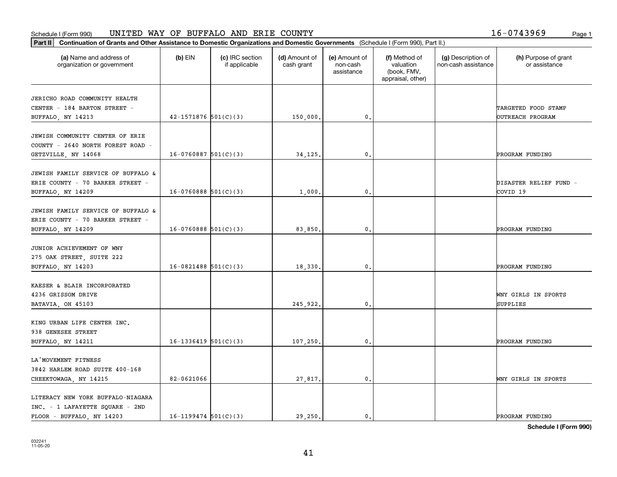#### Schedule I (Form 990) UN L'I'ED WAY OF BUFFALO AND ERTE COUN'I'Y Page 1 UNITED WAY OF BUFFALO AND ERIE COUNTY 16-0743969

| Part II   Continuation of Grants and Other Assistance to Domestic Organizations and Domestic Governments (Schedule I (Form 990), Part II.) |                            |                                  |                             |                                         |                                                                |                                           |                                       |
|--------------------------------------------------------------------------------------------------------------------------------------------|----------------------------|----------------------------------|-----------------------------|-----------------------------------------|----------------------------------------------------------------|-------------------------------------------|---------------------------------------|
| (a) Name and address of<br>organization or government                                                                                      | $(b)$ EIN                  | (c) IRC section<br>if applicable | (d) Amount of<br>cash grant | (e) Amount of<br>non-cash<br>assistance | (f) Method of<br>valuation<br>(book, FMV,<br>appraisal, other) | (g) Description of<br>non-cash assistance | (h) Purpose of grant<br>or assistance |
| JERICHO ROAD COMMUNITY HEALTH                                                                                                              |                            |                                  |                             |                                         |                                                                |                                           |                                       |
| CENTER - 184 BARTON STREET -                                                                                                               |                            |                                  |                             |                                         |                                                                |                                           | TARGETED FOOD STAMP                   |
| BUFFALO, NY 14213                                                                                                                          | $42 - 1571876$ $501(C)(3)$ |                                  | 150,000.                    | $\mathfrak o$ .                         |                                                                |                                           | OUTREACH PROGRAM                      |
|                                                                                                                                            |                            |                                  |                             |                                         |                                                                |                                           |                                       |
| JEWISH COMMUNITY CENTER OF ERIE                                                                                                            |                            |                                  |                             |                                         |                                                                |                                           |                                       |
| COUNTY - 2640 NORTH FOREST ROAD -                                                                                                          |                            |                                  |                             |                                         |                                                                |                                           |                                       |
| GETZVILLE, NY 14068                                                                                                                        | $16-0760887$ 501(C)(3)     |                                  | 34, 125,                    | $\mathfrak{o}$ .                        |                                                                |                                           | PROGRAM FUNDING                       |
|                                                                                                                                            |                            |                                  |                             |                                         |                                                                |                                           |                                       |
| JEWISH FAMILY SERVICE OF BUFFALO &                                                                                                         |                            |                                  |                             |                                         |                                                                |                                           |                                       |
| ERIE COUNTY - 70 BARKER STREET -                                                                                                           |                            |                                  |                             |                                         |                                                                |                                           | DISASTER RELIEF FUND -                |
| BUFFALO, NY 14209                                                                                                                          | $16-0760888$ $501(C)(3)$   |                                  | 1,000                       | $\mathfrak{o}$ .                        |                                                                |                                           | COVID <sub>19</sub>                   |
| JEWISH FAMILY SERVICE OF BUFFALO &                                                                                                         |                            |                                  |                             |                                         |                                                                |                                           |                                       |
| ERIE COUNTY - 70 BARKER STREET -                                                                                                           |                            |                                  |                             |                                         |                                                                |                                           |                                       |
| BUFFALO, NY 14209                                                                                                                          | $16-0760888$ 501(C)(3)     |                                  | 83,850.                     | 0.                                      |                                                                |                                           | PROGRAM FUNDING                       |
|                                                                                                                                            |                            |                                  |                             |                                         |                                                                |                                           |                                       |
| JUNIOR ACHIEVEMENT OF WNY                                                                                                                  |                            |                                  |                             |                                         |                                                                |                                           |                                       |
| 275 OAK STREET, SUITE 222                                                                                                                  |                            |                                  |                             |                                         |                                                                |                                           |                                       |
| BUFFALO, NY 14203                                                                                                                          | $16-0821488$ 501(C)(3)     |                                  | 18,330                      | $\mathbf{0}$                            |                                                                |                                           | PROGRAM FUNDING                       |
|                                                                                                                                            |                            |                                  |                             |                                         |                                                                |                                           |                                       |
| KAESER & BLAIR INCORPORATED                                                                                                                |                            |                                  |                             |                                         |                                                                |                                           |                                       |
| 4236 GRISSOM DRIVE                                                                                                                         |                            |                                  |                             |                                         |                                                                |                                           | WNY GIRLS IN SPORTS                   |
| BATAVIA, OH 45103                                                                                                                          |                            |                                  | 245,922.                    | 0.                                      |                                                                |                                           | SUPPLIES                              |
| KING URBAN LIFE CENTER INC.                                                                                                                |                            |                                  |                             |                                         |                                                                |                                           |                                       |
| 938 GENESEE STREET                                                                                                                         |                            |                                  |                             |                                         |                                                                |                                           |                                       |
| BUFFALO, NY 14211                                                                                                                          | $16-1336419$ $501(C)(3)$   |                                  | 107,250                     | $\mathbf{0}$ .                          |                                                                |                                           | PROGRAM FUNDING                       |
|                                                                                                                                            |                            |                                  |                             |                                         |                                                                |                                           |                                       |
| LA MOVEMENT FITNESS                                                                                                                        |                            |                                  |                             |                                         |                                                                |                                           |                                       |
| 3842 HARLEM ROAD SUITE 400-168                                                                                                             |                            |                                  |                             |                                         |                                                                |                                           |                                       |
| CHEEKTOWAGA, NY 14215                                                                                                                      | 82-0621066                 |                                  | 27,817.                     | $\mathbf 0$ .                           |                                                                |                                           | WNY GIRLS IN SPORTS                   |
|                                                                                                                                            |                            |                                  |                             |                                         |                                                                |                                           |                                       |
| LITERACY NEW YORK BUFFALO-NIAGARA                                                                                                          |                            |                                  |                             |                                         |                                                                |                                           |                                       |
| INC. - 1 LAFAYETTE SQUARE - 2ND                                                                                                            |                            |                                  |                             |                                         |                                                                |                                           |                                       |
| FLOOR - BUFFALO, NY 14203                                                                                                                  | $16-1199474$ 501(C)(3)     |                                  | 29.250.                     | $\mathfrak{o}$ .                        |                                                                |                                           | PROGRAM FUNDING                       |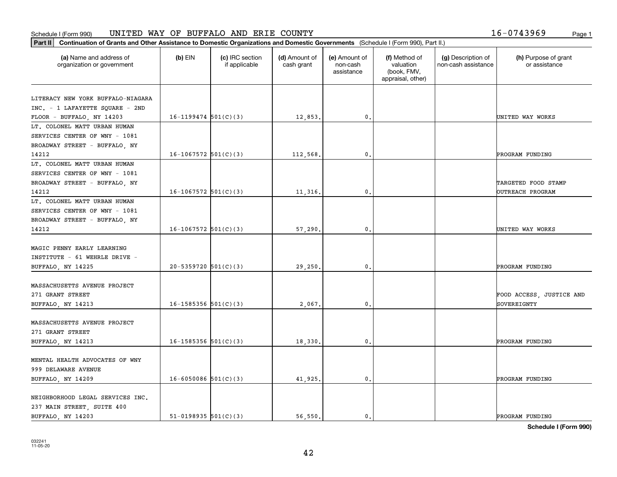#### Schedule I (Form 990) UN L'I'ED WAY OF BUFFALO AND ERTE COUN'I'Y Page 1 UNITED WAY OF BUFFALO AND ERIE COUNTY 16-0743969

|  | 6-0743969. | Page |
|--|------------|------|
|  |            |      |

| Part II   Continuation of Grants and Other Assistance to Domestic Organizations and Domestic Governments (Schedule I (Form 990), Part II.) |                            |                                  |                             |                                         |                                                                |                                           |                                         |
|--------------------------------------------------------------------------------------------------------------------------------------------|----------------------------|----------------------------------|-----------------------------|-----------------------------------------|----------------------------------------------------------------|-------------------------------------------|-----------------------------------------|
| (a) Name and address of<br>organization or government                                                                                      | $(b)$ EIN                  | (c) IRC section<br>if applicable | (d) Amount of<br>cash grant | (e) Amount of<br>non-cash<br>assistance | (f) Method of<br>valuation<br>(book, FMV,<br>appraisal, other) | (g) Description of<br>non-cash assistance | (h) Purpose of grant<br>or assistance   |
|                                                                                                                                            |                            |                                  |                             |                                         |                                                                |                                           |                                         |
| LITERACY NEW YORK BUFFALO-NIAGARA<br>INC. - 1 LAFAYETTE SQUARE - 2ND                                                                       |                            |                                  |                             |                                         |                                                                |                                           |                                         |
| FLOOR - BUFFALO, NY 14203                                                                                                                  | $16-1199474$ 501(C)(3)     |                                  | 12,853.                     | $\mathbf{0}$ .                          |                                                                |                                           | UNITED WAY WORKS                        |
| LT. COLONEL MATT URBAN HUMAN                                                                                                               |                            |                                  |                             |                                         |                                                                |                                           |                                         |
| SERVICES CENTER OF WNY - 1081                                                                                                              |                            |                                  |                             |                                         |                                                                |                                           |                                         |
| BROADWAY STREET - BUFFALO, NY                                                                                                              |                            |                                  |                             |                                         |                                                                |                                           |                                         |
| 14212                                                                                                                                      | $16-1067572$ 501(C)(3)     |                                  | 112,568                     | $\mathfrak{o}$ .                        |                                                                |                                           | PROGRAM FUNDING                         |
| LT. COLONEL MATT URBAN HUMAN                                                                                                               |                            |                                  |                             |                                         |                                                                |                                           |                                         |
|                                                                                                                                            |                            |                                  |                             |                                         |                                                                |                                           |                                         |
| SERVICES CENTER OF WNY - 1081                                                                                                              |                            |                                  |                             |                                         |                                                                |                                           |                                         |
| BROADWAY STREET - BUFFALO, NY                                                                                                              |                            |                                  |                             | $\mathfrak{o}$ .                        |                                                                |                                           | TARGETED FOOD STAMP                     |
| 14212                                                                                                                                      | $16-1067572$ 501(C)(3)     |                                  | 11,316.                     |                                         |                                                                |                                           | OUTREACH PROGRAM                        |
| LT. COLONEL MATT URBAN HUMAN                                                                                                               |                            |                                  |                             |                                         |                                                                |                                           |                                         |
| SERVICES CENTER OF WNY - 1081                                                                                                              |                            |                                  |                             |                                         |                                                                |                                           |                                         |
| BROADWAY STREET - BUFFALO, NY                                                                                                              |                            |                                  |                             |                                         |                                                                |                                           |                                         |
| 14212                                                                                                                                      | $16-1067572$ 501(C)(3)     |                                  | 57,290.                     | 0.                                      |                                                                |                                           | UNITED WAY WORKS                        |
|                                                                                                                                            |                            |                                  |                             |                                         |                                                                |                                           |                                         |
| MAGIC PENNY EARLY LEARNING                                                                                                                 |                            |                                  |                             |                                         |                                                                |                                           |                                         |
| INSTITUTE - 61 WEHRLE DRIVE -                                                                                                              |                            |                                  |                             |                                         |                                                                |                                           |                                         |
| BUFFALO, NY 14225                                                                                                                          | $20 - 5359720$ 501(C)(3)   |                                  | 29,250                      | $\mathbf{0}$                            |                                                                |                                           | PROGRAM FUNDING                         |
| MASSACHUSETTS AVENUE PROJECT                                                                                                               |                            |                                  |                             |                                         |                                                                |                                           |                                         |
|                                                                                                                                            |                            |                                  |                             |                                         |                                                                |                                           |                                         |
| 271 GRANT STREET                                                                                                                           | $16 - 1585356$ $501(C)(3)$ |                                  |                             | 0.                                      |                                                                |                                           | FOOD ACCESS, JUSTICE AND<br>SOVEREIGNTY |
| BUFFALO, NY 14213                                                                                                                          |                            |                                  | 2,067.                      |                                         |                                                                |                                           |                                         |
| MASSACHUSETTS AVENUE PROJECT                                                                                                               |                            |                                  |                             |                                         |                                                                |                                           |                                         |
| 271 GRANT STREET                                                                                                                           |                            |                                  |                             |                                         |                                                                |                                           |                                         |
|                                                                                                                                            |                            |                                  |                             |                                         |                                                                |                                           |                                         |
| BUFFALO, NY 14213                                                                                                                          | $16 - 1585356$ $501(C)(3)$ |                                  | 18,330                      | $\mathbf{0}$ .                          |                                                                |                                           | PROGRAM FUNDING                         |
| MENTAL HEALTH ADVOCATES OF WNY                                                                                                             |                            |                                  |                             |                                         |                                                                |                                           |                                         |
|                                                                                                                                            |                            |                                  |                             |                                         |                                                                |                                           |                                         |
| 999 DELAWARE AVENUE                                                                                                                        |                            |                                  |                             |                                         |                                                                |                                           |                                         |
| BUFFALO, NY 14209                                                                                                                          | $16 - 6050086$ $501(C)(3)$ |                                  | 41,925.                     | $\mathfrak o$ .                         |                                                                |                                           | PROGRAM FUNDING                         |
|                                                                                                                                            |                            |                                  |                             |                                         |                                                                |                                           |                                         |
| NEIGHBORHOOD LEGAL SERVICES INC.                                                                                                           |                            |                                  |                             |                                         |                                                                |                                           |                                         |
| 237 MAIN STREET, SUITE 400                                                                                                                 |                            |                                  |                             |                                         |                                                                |                                           |                                         |
| BUFFALO, NY 14203                                                                                                                          | $51-0198935$ $501(C)(3)$   |                                  | 56.550.                     | $\mathfrak{o}$ .                        |                                                                |                                           | PROGRAM FUNDING                         |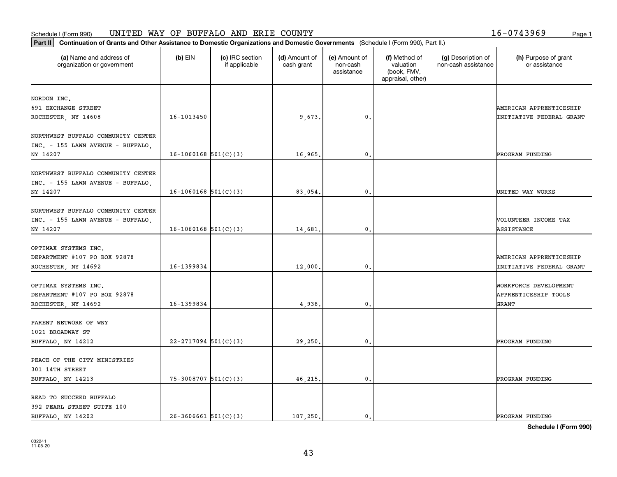### **Part III Part III Continuation of Grants and Other Assistance to Domestic Organizations Part II Continuation of Grants and Other Assistance to Domestic Organizations** Schedule I (Form 990) Page 1 UNITED WAY OF BUFFALO AND ERIE COUNTY 16-0743969

| .6-0743969 | Page |
|------------|------|
|            |      |

| Continuation of Grants and Other Assistance to Domestic Organizations and Domestic Governments (Schedule I (Form 990), Part II.)<br>$ $ Part II |                          |                                  |                             |                                         |                                                                |                                           |                                                               |
|-------------------------------------------------------------------------------------------------------------------------------------------------|--------------------------|----------------------------------|-----------------------------|-----------------------------------------|----------------------------------------------------------------|-------------------------------------------|---------------------------------------------------------------|
| (a) Name and address of<br>organization or government                                                                                           | $(b)$ EIN                | (c) IRC section<br>if applicable | (d) Amount of<br>cash grant | (e) Amount of<br>non-cash<br>assistance | (f) Method of<br>valuation<br>(book, FMV,<br>appraisal, other) | (g) Description of<br>non-cash assistance | (h) Purpose of grant<br>or assistance                         |
| NORDON INC.<br>691 EXCHANGE STREET<br>ROCHESTER, NY 14608                                                                                       | 16-1013450               |                                  | 9,673.                      | 0.                                      |                                                                |                                           | AMERICAN APPRENTICESHIP<br>INITIATIVE FEDERAL GRANT           |
| NORTHWEST BUFFALO COMMUNITY CENTER<br>INC. - 155 LAWN AVENUE - BUFFALO,<br>NY 14207                                                             | $16-1060168$ 501(C)(3)   |                                  | 16,965.                     | $\mathbf{0}$ .                          |                                                                |                                           | PROGRAM FUNDING                                               |
| NORTHWEST BUFFALO COMMUNITY CENTER<br>INC. - 155 LAWN AVENUE - BUFFALO,<br>NY 14207                                                             | $16-1060168$ $501(C)(3)$ |                                  | 83,054.                     | $\mathbf{0}$                            |                                                                |                                           | UNITED WAY WORKS                                              |
| NORTHWEST BUFFALO COMMUNITY CENTER<br>INC. - 155 LAWN AVENUE - BUFFALO,<br>NY 14207                                                             | $16-1060168$ 501(C)(3)   |                                  | 14,681.                     | $\mathbf{0}$ .                          |                                                                |                                           | VOLUNTEER INCOME TAX<br>ASSISTANCE                            |
| OPTIMAX SYSTEMS INC.<br>DEPARTMENT #107 PO BOX 92878<br>ROCHESTER, NY 14692                                                                     | 16-1399834               |                                  | 12,000.                     | $\mathbf 0$ .                           |                                                                |                                           | AMERICAN APPRENTICESHIP<br>INITIATIVE FEDERAL GRANT           |
| OPTIMAX SYSTEMS INC.<br>DEPARTMENT #107 PO BOX 92878<br>ROCHESTER, NY 14692                                                                     | 16-1399834               |                                  | 4,938                       | $\mathbf{0}$                            |                                                                |                                           | WORKFORCE DEVELOPMENT<br>APPRENTICESHIP TOOLS<br><b>GRANT</b> |
| PARENT NETWORK OF WNY<br>1021 BROADWAY ST<br>BUFFALO, NY 14212                                                                                  | $22 - 2717094$ 501(C)(3) |                                  | 29,250.                     | $\mathfrak o$ .                         |                                                                |                                           | PROGRAM FUNDING                                               |
| PEACE OF THE CITY MINISTRIES<br>301 14TH STREET<br>BUFFALO, NY 14213                                                                            | $75-3008707$ 501(C)(3)   |                                  | 46,215.                     | $\mathbf{0}$ .                          |                                                                |                                           | PROGRAM FUNDING                                               |
| READ TO SUCCEED BUFFALO<br>392 PEARL STREET SUITE 100<br>BUFFALO, NY 14202                                                                      | $26-3606661$ $501(C)(3)$ |                                  | 107, 250.                   | 0.                                      |                                                                |                                           | PROGRAM FUNDING                                               |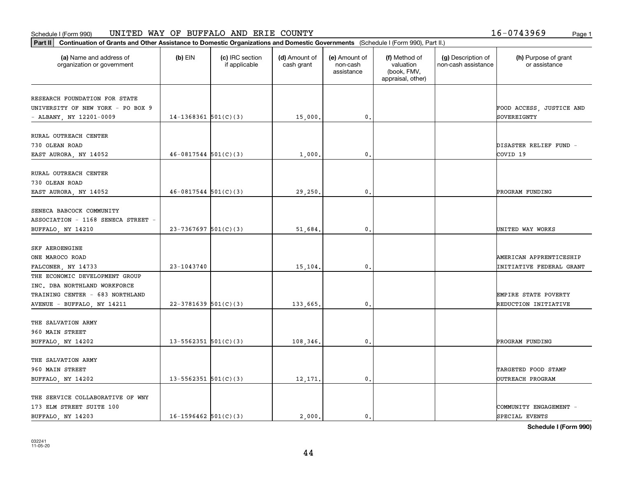### Schedule I (Form 990) Page 1 UNITED WAY OF BUFFALO AND ERIE COUNTY 16-0743969

| Part II   Continuation of Grants and Other Assistance to Domestic Organizations and Domestic Governments (Schedule I (Form 990), Part II.) |                            |                                  |                             |                                         |                                                                |                                           |                                       |
|--------------------------------------------------------------------------------------------------------------------------------------------|----------------------------|----------------------------------|-----------------------------|-----------------------------------------|----------------------------------------------------------------|-------------------------------------------|---------------------------------------|
| (a) Name and address of<br>organization or government                                                                                      | $(b)$ EIN                  | (c) IRC section<br>if applicable | (d) Amount of<br>cash grant | (e) Amount of<br>non-cash<br>assistance | (f) Method of<br>valuation<br>(book, FMV,<br>appraisal, other) | (g) Description of<br>non-cash assistance | (h) Purpose of grant<br>or assistance |
| RESEARCH FOUNDATION FOR STATE                                                                                                              |                            |                                  |                             |                                         |                                                                |                                           |                                       |
| UNIVERSITY OF NEW YORK - PO BOX 9                                                                                                          |                            |                                  |                             |                                         |                                                                |                                           | FOOD ACCESS, JUSTICE AND              |
| - ALBANY, NY 12201-0009                                                                                                                    | $14-1368361$ $501(C)(3)$   |                                  | 15,000.                     | 0.                                      |                                                                |                                           | SOVEREIGNTY                           |
|                                                                                                                                            |                            |                                  |                             |                                         |                                                                |                                           |                                       |
| RURAL OUTREACH CENTER                                                                                                                      |                            |                                  |                             |                                         |                                                                |                                           |                                       |
| 730 OLEAN ROAD                                                                                                                             |                            |                                  |                             |                                         |                                                                |                                           | DISASTER RELIEF FUND -                |
| EAST AURORA, NY 14052                                                                                                                      | $46-0817544$ $501(C)(3)$   |                                  | 1,000                       | 0.                                      |                                                                |                                           | COVID 19                              |
|                                                                                                                                            |                            |                                  |                             |                                         |                                                                |                                           |                                       |
| RURAL OUTREACH CENTER                                                                                                                      |                            |                                  |                             |                                         |                                                                |                                           |                                       |
| 730 OLEAN ROAD                                                                                                                             |                            |                                  |                             |                                         |                                                                |                                           |                                       |
| EAST AURORA, NY 14052                                                                                                                      | $46-0817544$ 501(C)(3)     |                                  | 29,250.                     | $\mathbf{0}$ .                          |                                                                |                                           | PROGRAM FUNDING                       |
|                                                                                                                                            |                            |                                  |                             |                                         |                                                                |                                           |                                       |
| SENECA BABCOCK COMMUNITY                                                                                                                   |                            |                                  |                             |                                         |                                                                |                                           |                                       |
| ASSOCIATION - 1168 SENECA STREET -                                                                                                         |                            |                                  |                             |                                         |                                                                |                                           |                                       |
| BUFFALO, NY 14210                                                                                                                          | $23 - 7367697$ 501(C)(3)   |                                  | 51,684.                     | 0.                                      |                                                                |                                           | UNITED WAY WORKS                      |
|                                                                                                                                            |                            |                                  |                             |                                         |                                                                |                                           |                                       |
| <b>SKF AEROENGINE</b>                                                                                                                      |                            |                                  |                             |                                         |                                                                |                                           |                                       |
| ONE MAROCO ROAD                                                                                                                            |                            |                                  |                             |                                         |                                                                |                                           | AMERICAN APPRENTICESHIP               |
| FALCONER, NY 14733                                                                                                                         | 23-1043740                 |                                  | 15,104.                     | $\mathbf{0}$                            |                                                                |                                           | INITIATIVE FEDERAL GRANT              |
| THE ECONOMIC DEVELOPMENT GROUP                                                                                                             |                            |                                  |                             |                                         |                                                                |                                           |                                       |
| INC. DBA NORTHLAND WORKFORCE                                                                                                               |                            |                                  |                             |                                         |                                                                |                                           |                                       |
| TRAINING CENTER - 683 NORTHLAND                                                                                                            |                            |                                  |                             |                                         |                                                                |                                           | EMPIRE STATE POVERTY                  |
| AVENUE - BUFFALO, NY 14211                                                                                                                 | $22-3781639$ 501(C)(3)     |                                  | 133,665.                    | 0.                                      |                                                                |                                           | REDUCTION INITIATIVE                  |
|                                                                                                                                            |                            |                                  |                             |                                         |                                                                |                                           |                                       |
| THE SALVATION ARMY                                                                                                                         |                            |                                  |                             |                                         |                                                                |                                           |                                       |
| 960 MAIN STREET                                                                                                                            |                            |                                  |                             |                                         |                                                                |                                           |                                       |
| BUFFALO, NY 14202                                                                                                                          | $13 - 5562351$ $501(C)(3)$ |                                  | 108,346.                    | $\mathfrak{o}$ .                        |                                                                |                                           | PROGRAM FUNDING                       |
|                                                                                                                                            |                            |                                  |                             |                                         |                                                                |                                           |                                       |
| THE SALVATION ARMY                                                                                                                         |                            |                                  |                             |                                         |                                                                |                                           |                                       |
| 960 MAIN STREET                                                                                                                            |                            |                                  |                             |                                         |                                                                |                                           | TARGETED FOOD STAMP                   |
| BUFFALO, NY 14202                                                                                                                          | 13-5562351 $501(C)(3)$     |                                  | 12,171.                     | $\mathfrak o$ .                         |                                                                |                                           | OUTREACH PROGRAM                      |
|                                                                                                                                            |                            |                                  |                             |                                         |                                                                |                                           |                                       |
| THE SERVICE COLLABORATIVE OF WNY                                                                                                           |                            |                                  |                             |                                         |                                                                |                                           |                                       |
| 173 ELM STREET SUITE 100                                                                                                                   |                            |                                  |                             |                                         |                                                                |                                           | COMMUNITY ENGAGEMENT -                |
| BUFFALO, NY 14203                                                                                                                          | $16 - 1596462$ 501(C)(3)   |                                  | 2,000.                      | $\mathbf{0}$ .                          |                                                                |                                           | SPECIAL EVENTS                        |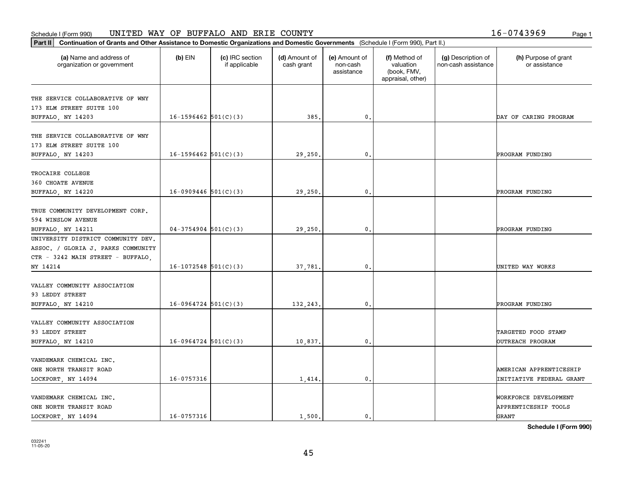### **Part II Continuation of Grants and Other Assistance to Domestic Organizations and Domestic Continuation of Grants and Other Assistance to Domestic Organizations and Domestic Continuation of Grants and Other Assistance t** Schedule I (Form 990) Page 1 UNITED WAY OF BUFFALO AND ERIE COUNTY 16-0743969

| $6 - 0743969$ | Page |
|---------------|------|
|               |      |

| Continuation of Grants and Other Assistance to Domestic Organizations and Domestic Governments (Schedule I (Form 990), Part II.)<br>Part II |                        |                                  |                             |                                         |                                                                |                                           |                                                        |
|---------------------------------------------------------------------------------------------------------------------------------------------|------------------------|----------------------------------|-----------------------------|-----------------------------------------|----------------------------------------------------------------|-------------------------------------------|--------------------------------------------------------|
| (a) Name and address of<br>organization or government                                                                                       | $(b)$ EIN              | (c) IRC section<br>if applicable | (d) Amount of<br>cash grant | (e) Amount of<br>non-cash<br>assistance | (f) Method of<br>valuation<br>(book, FMV,<br>appraisal, other) | (g) Description of<br>non-cash assistance | (h) Purpose of grant<br>or assistance                  |
| THE SERVICE COLLABORATIVE OF WNY<br>173 ELM STREET SUITE 100<br>BUFFALO, NY 14203                                                           | $16-1596462$ 501(C)(3) |                                  | 385.                        | $\mathfrak o$ .                         |                                                                |                                           | DAY OF CARING PROGRAM                                  |
| THE SERVICE COLLABORATIVE OF WNY<br>173 ELM STREET SUITE 100<br>BUFFALO, NY 14203                                                           | $16-1596462$ 501(C)(3) |                                  | 29,250.                     | $\mathfrak{o}$ .                        |                                                                |                                           | PROGRAM FUNDING                                        |
| TROCAIRE COLLEGE<br>360 CHOATE AVENUE<br>BUFFALO, NY 14220                                                                                  | $16-0909446$ 501(C)(3) |                                  | 29,250                      | 0                                       |                                                                |                                           | PROGRAM FUNDING                                        |
| TRUE COMMUNITY DEVELOPMENT CORP.<br>594 WINSLOW AVENUE<br>BUFFALO, NY 14211                                                                 | $04-3754904$ 501(C)(3) |                                  | 29,250.                     | $\mathfrak o$ .                         |                                                                |                                           | PROGRAM FUNDING                                        |
| UNIVERSITY DISTRICT COMMUNITY DEV.<br>ASSOC. / GLORIA J. PARKS COMMUNITY<br>CTR - 3242 MAIN STREET - BUFFALO,<br>NY 14214                   | $16-1072548$ 501(C)(3) |                                  | 37,781.                     | $\mathfrak{o}$ .                        |                                                                |                                           | UNITED WAY WORKS                                       |
| VALLEY COMMUNITY ASSOCIATION<br>93 LEDDY STREET<br>BUFFALO, NY 14210                                                                        | $16-0964724$ 501(C)(3) |                                  | 132,243                     | 0                                       |                                                                |                                           | PROGRAM FUNDING                                        |
| VALLEY COMMUNITY ASSOCIATION<br>93 LEDDY STREET<br>BUFFALO, NY 14210                                                                        | $16-0964724$ 501(C)(3) |                                  | 10,837.                     | $\mathfrak o$ .                         |                                                                |                                           | TARGETED FOOD STAMP<br>OUTREACH PROGRAM                |
| VANDEMARK CHEMICAL INC.<br>ONE NORTH TRANSIT ROAD<br>LOCKPORT, NY 14094                                                                     | 16-0757316             |                                  | 1,414.                      | $\mathbf 0$ .                           |                                                                |                                           | AMERICAN APPRENTICESHIP<br>INITIATIVE FEDERAL GRANT    |
| VANDEMARK CHEMICAL INC.<br>ONE NORTH TRANSIT ROAD<br>LOCKPORT, NY 14094                                                                     | 16-0757316             |                                  | 1,500.                      | $\mathfrak{o}$ .                        |                                                                |                                           | WORKFORCE DEVELOPMENT<br>APPRENTICESHIP TOOLS<br>GRANT |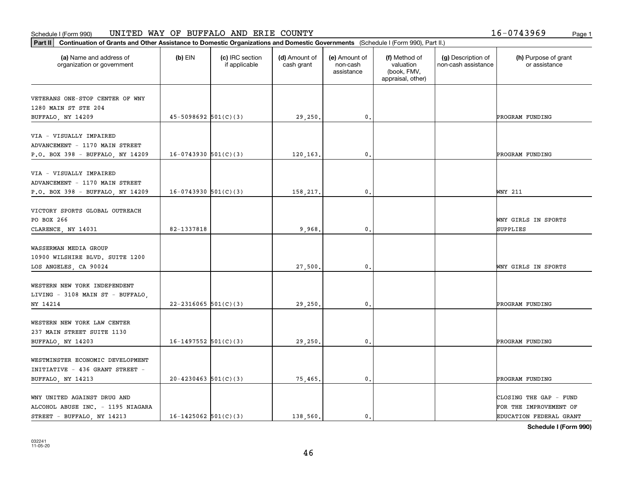#### Schedule I (Form 990) UN L'I'ED WAY OF BUFFALO AND ERTE COUN'I'Y Page 1 UNITED WAY OF BUFFALO AND ERIE COUNTY 16-0743969

| $16 - 0743969$ | Page |
|----------------|------|
|                |      |

| Part II   Continuation of Grants and Other Assistance to Domestic Organizations and Domestic Governments (Schedule I (Form 990), Part II.) |                          |                                  |                             |                                         |                                                                |                                           |                                       |
|--------------------------------------------------------------------------------------------------------------------------------------------|--------------------------|----------------------------------|-----------------------------|-----------------------------------------|----------------------------------------------------------------|-------------------------------------------|---------------------------------------|
| (a) Name and address of<br>organization or government                                                                                      | $(b)$ EIN                | (c) IRC section<br>if applicable | (d) Amount of<br>cash grant | (e) Amount of<br>non-cash<br>assistance | (f) Method of<br>valuation<br>(book, FMV,<br>appraisal, other) | (g) Description of<br>non-cash assistance | (h) Purpose of grant<br>or assistance |
| VETERANS ONE-STOP CENTER OF WNY                                                                                                            |                          |                                  |                             |                                         |                                                                |                                           |                                       |
| 1280 MAIN ST STE 204                                                                                                                       |                          |                                  |                             |                                         |                                                                |                                           |                                       |
| BUFFALO, NY 14209                                                                                                                          | $45-5098692$ 501(C)(3)   |                                  | 29,250.                     | 0.                                      |                                                                |                                           | PROGRAM FUNDING                       |
|                                                                                                                                            |                          |                                  |                             |                                         |                                                                |                                           |                                       |
| VIA - VISUALLY IMPAIRED                                                                                                                    |                          |                                  |                             |                                         |                                                                |                                           |                                       |
| ADVANCEMENT - 1170 MAIN STREET                                                                                                             |                          |                                  |                             |                                         |                                                                |                                           |                                       |
| P.O. BOX 398 - BUFFALO, NY 14209                                                                                                           | $16-0743930$ $501(C)(3)$ |                                  | 120,163,                    | 0.                                      |                                                                |                                           | PROGRAM FUNDING                       |
|                                                                                                                                            |                          |                                  |                             |                                         |                                                                |                                           |                                       |
| VIA - VISUALLY IMPAIRED                                                                                                                    |                          |                                  |                             |                                         |                                                                |                                           |                                       |
| ADVANCEMENT - 1170 MAIN STREET                                                                                                             |                          |                                  |                             |                                         |                                                                |                                           |                                       |
| P.O. BOX 398 - BUFFALO, NY 14209                                                                                                           | $16-0743930$ $501(C)(3)$ |                                  | 158,217.                    | 0.                                      |                                                                |                                           | WNY 211                               |
|                                                                                                                                            |                          |                                  |                             |                                         |                                                                |                                           |                                       |
| VICTORY SPORTS GLOBAL OUTREACH                                                                                                             |                          |                                  |                             |                                         |                                                                |                                           |                                       |
| PO BOX 266                                                                                                                                 |                          |                                  |                             |                                         |                                                                |                                           | WNY GIRLS IN SPORTS                   |
| CLARENCE, NY 14031                                                                                                                         | 82-1337818               |                                  | 9,968.                      | $\mathbf{0}$ .                          |                                                                |                                           | SUPPLIES                              |
|                                                                                                                                            |                          |                                  |                             |                                         |                                                                |                                           |                                       |
| WASSERMAN MEDIA GROUP                                                                                                                      |                          |                                  |                             |                                         |                                                                |                                           |                                       |
| 10900 WILSHIRE BLVD. SUITE 1200                                                                                                            |                          |                                  |                             |                                         |                                                                |                                           |                                       |
| LOS ANGELES, CA 90024                                                                                                                      |                          |                                  | 27,500                      | 0.                                      |                                                                |                                           | WNY GIRLS IN SPORTS                   |
|                                                                                                                                            |                          |                                  |                             |                                         |                                                                |                                           |                                       |
| WESTERN NEW YORK INDEPENDENT                                                                                                               |                          |                                  |                             |                                         |                                                                |                                           |                                       |
| LIVING - 3108 MAIN ST - BUFFALO,                                                                                                           |                          |                                  |                             |                                         |                                                                |                                           |                                       |
| NY 14214                                                                                                                                   | $22 - 2316065$ 501(C)(3) |                                  | 29,250.                     | 0.                                      |                                                                |                                           | PROGRAM FUNDING                       |
| WESTERN NEW YORK LAW CENTER                                                                                                                |                          |                                  |                             |                                         |                                                                |                                           |                                       |
| 237 MAIN STREET SUITE 1130                                                                                                                 |                          |                                  |                             |                                         |                                                                |                                           |                                       |
| BUFFALO, NY 14203                                                                                                                          | $16-1497552$ $501(C)(3)$ |                                  | 29,250.                     | 0.                                      |                                                                |                                           | PROGRAM FUNDING                       |
|                                                                                                                                            |                          |                                  |                             |                                         |                                                                |                                           |                                       |
| WESTMINSTER ECONOMIC DEVELOPMENT                                                                                                           |                          |                                  |                             |                                         |                                                                |                                           |                                       |
| INITIATIVE - 436 GRANT STREET -                                                                                                            |                          |                                  |                             |                                         |                                                                |                                           |                                       |
| BUFFALO, NY 14213                                                                                                                          | $20 - 4230463$ 501(C)(3) |                                  | 75,465.                     | $\mathbf{0}$ .                          |                                                                |                                           | PROGRAM FUNDING                       |
|                                                                                                                                            |                          |                                  |                             |                                         |                                                                |                                           |                                       |
| WNY UNITED AGAINST DRUG AND                                                                                                                |                          |                                  |                             |                                         |                                                                |                                           | CLOSING THE GAP - FUND                |
| ALCOHOL ABUSE INC. - 1195 NIAGARA                                                                                                          |                          |                                  |                             |                                         |                                                                |                                           | FOR THE IMPROVEMENT OF                |
| STREET - BUFFALO, NY 14213                                                                                                                 | $16-1425062$ 501(C)(3)   |                                  | 138,560.                    | $\mathfrak o$ .                         |                                                                |                                           | EDUCATION FEDERAL GRANT               |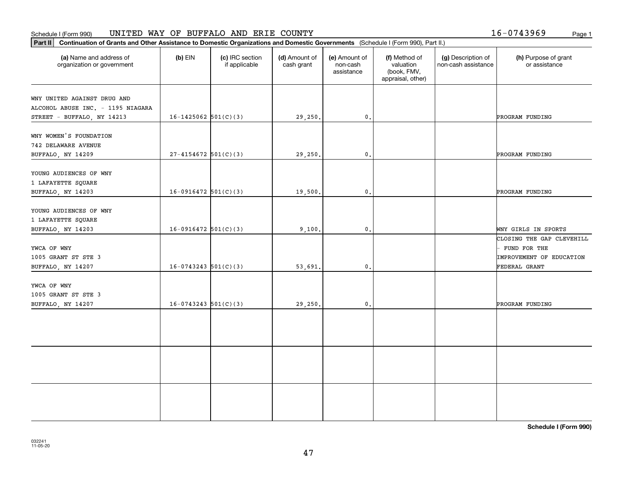### **Part II Continuation of Grants and Other Assistance to Domestic Organizations and Domestic Continuation of Grants and Other Assistance to Domestic Organizations and Domestic Continuation of Grants and Other Assistance t** Schedule I (Form 990) Page 1 UNITED WAY OF BUFFALO AND ERIE COUNTY

|  | 16-0743969 | Page |
|--|------------|------|
|  |            |      |

| Continuation of Grants and Other Assistance to Domestic Organizations and Domestic Governments (Schedule I (Form 990), Part II.)<br>Part II |                          |                                  |                             |                                         |                                                                |                                           |                                                                                               |
|---------------------------------------------------------------------------------------------------------------------------------------------|--------------------------|----------------------------------|-----------------------------|-----------------------------------------|----------------------------------------------------------------|-------------------------------------------|-----------------------------------------------------------------------------------------------|
| (a) Name and address of<br>organization or government                                                                                       | $(b)$ EIN                | (c) IRC section<br>if applicable | (d) Amount of<br>cash grant | (e) Amount of<br>non-cash<br>assistance | (f) Method of<br>valuation<br>(book, FMV,<br>appraisal, other) | (g) Description of<br>non-cash assistance | (h) Purpose of grant<br>or assistance                                                         |
| WNY UNITED AGAINST DRUG AND<br>ALCOHOL ABUSE INC. - 1195 NIAGARA<br>STREET - BUFFALO, NY 14213                                              | $16 - 1425062$ 501(C)(3) |                                  | 29,250.                     | $\mathbf{0}$ .                          |                                                                |                                           | PROGRAM FUNDING                                                                               |
| WNY WOMEN'S FOUNDATION<br><b>742 DELAWARE AVENUE</b><br>BUFFALO, NY 14209                                                                   | $27 - 4154672$ 501(C)(3) |                                  | 29,250.                     | $\mathbf{0}$ .                          |                                                                |                                           | PROGRAM FUNDING                                                                               |
| YOUNG AUDIENCES OF WNY<br>1 LAFAYETTE SQUARE<br>BUFFALO, NY 14203                                                                           | $16-0916472$ 501(C)(3)   |                                  | 19,500.                     | $\mathbf{0}$ .                          |                                                                |                                           | PROGRAM FUNDING                                                                               |
| YOUNG AUDIENCES OF WNY<br>1 LAFAYETTE SQUARE<br>BUFFALO, NY 14203                                                                           | $16-0916472$ 501(C)(3)   |                                  | 9,100.                      | $\mathbf{0}$ .                          |                                                                |                                           | WNY GIRLS IN SPORTS                                                                           |
| YWCA OF WNY<br>1005 GRANT ST STE 3<br>BUFFALO, NY 14207                                                                                     | $16-0743243$ 501(C)(3)   |                                  | 53,691.                     | $\mathbf{0}$ .                          |                                                                |                                           | CLOSING THE GAP CLEVEHILL<br>FUND FOR THE<br><b>IMPROVEMENT OF EDUCATION</b><br>FEDERAL GRANT |
| YWCA OF WNY<br>1005 GRANT ST STE 3<br>BUFFALO, NY 14207                                                                                     | $16-0743243$ 501(C)(3)   |                                  | 29,250.                     | $\mathbf{0}$ .                          |                                                                |                                           | PROGRAM FUNDING                                                                               |
|                                                                                                                                             |                          |                                  |                             |                                         |                                                                |                                           |                                                                                               |
|                                                                                                                                             |                          |                                  |                             |                                         |                                                                |                                           |                                                                                               |
|                                                                                                                                             |                          |                                  |                             |                                         |                                                                |                                           |                                                                                               |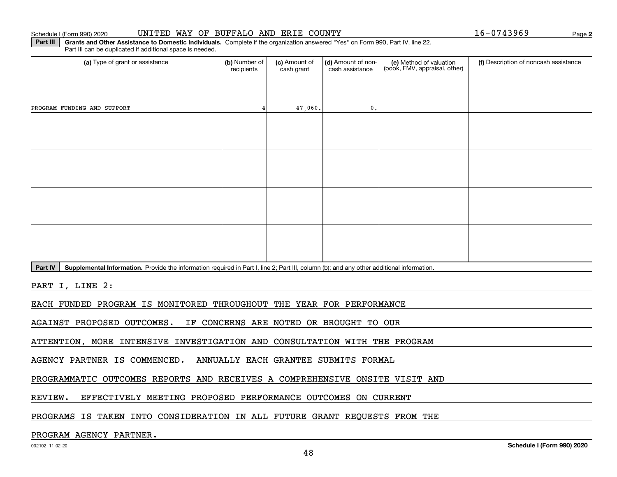### Schedule I (Form 990) 2020 UNITED WAY OF BUFFALO AND ERIE COUNTY Page

**2**

**Part III** | Grants and Other Assistance to Domestic Individuals. Complete if the organization answered "Yes" on Form 990, Part IV, line 22. Part III can be duplicated if additional space is needed.

| (a) Type of grant or assistance                                                                                                                   | (b) Number of<br>recipients | (c) Amount of<br>cash grant | (d) Amount of non-<br>cash assistance | (e) Method of valuation<br>(book, FMV, appraisal, other) | (f) Description of noncash assistance |
|---------------------------------------------------------------------------------------------------------------------------------------------------|-----------------------------|-----------------------------|---------------------------------------|----------------------------------------------------------|---------------------------------------|
|                                                                                                                                                   |                             |                             |                                       |                                                          |                                       |
| PROGRAM FUNDING AND SUPPORT                                                                                                                       |                             | 47,060.                     | $\mathbf{0}$ .                        |                                                          |                                       |
|                                                                                                                                                   |                             |                             |                                       |                                                          |                                       |
|                                                                                                                                                   |                             |                             |                                       |                                                          |                                       |
|                                                                                                                                                   |                             |                             |                                       |                                                          |                                       |
|                                                                                                                                                   |                             |                             |                                       |                                                          |                                       |
|                                                                                                                                                   |                             |                             |                                       |                                                          |                                       |
|                                                                                                                                                   |                             |                             |                                       |                                                          |                                       |
|                                                                                                                                                   |                             |                             |                                       |                                                          |                                       |
|                                                                                                                                                   |                             |                             |                                       |                                                          |                                       |
| $Part W$ , Supplemental Information. Drovide the information required in Dart Lline 2: Dart III, solumn (b); and any other additional information |                             |                             |                                       |                                                          |                                       |

Part IV | Supplemental Information. Provide the information required in Part I, line 2; Part III, column (b); and any other additional information.

PART I, LINE 2:

EACH FUNDED PROGRAM IS MONITORED THROUGHOUT THE YEAR FOR PERFORMANCE

AGAINST PROPOSED OUTCOMES. IF CONCERNS ARE NOTED OR BROUGHT TO OUR

ATTENTION, MORE INTENSIVE INVESTIGATION AND CONSULTATION WITH THE PROGRAM

AGENCY PARTNER IS COMMENCED. ANNUALLY EACH GRANTEE SUBMITS FORMAL

PROGRAMMATIC OUTCOMES REPORTS AND RECEIVES A COMPREHENSIVE ONSITE VISIT AND

REVIEW. EFFECTIVELY MEETING PROPOSED PERFORMANCE OUTCOMES ON CURRENT

PROGRAMS IS TAKEN INTO CONSIDERATION IN ALL FUTURE GRANT REQUESTS FROM THE

### PROGRAM AGENCY PARTNER.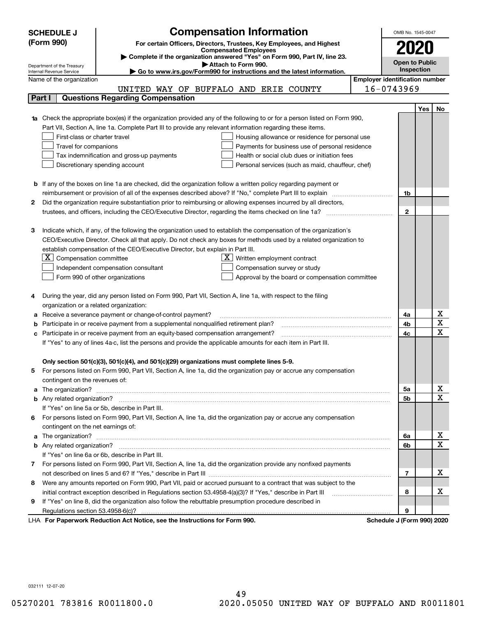|                                                                                                               | <b>Compensation Information</b><br><b>SCHEDULE J</b>                                                                                                                                                                                 | OMB No. 1545-0047     |     |                  |
|---------------------------------------------------------------------------------------------------------------|--------------------------------------------------------------------------------------------------------------------------------------------------------------------------------------------------------------------------------------|-----------------------|-----|------------------|
|                                                                                                               | (Form 990)<br>For certain Officers, Directors, Trustees, Key Employees, and Highest                                                                                                                                                  | 2020                  |     |                  |
| <b>Compensated Employees</b>                                                                                  |                                                                                                                                                                                                                                      |                       |     |                  |
|                                                                                                               | Complete if the organization answered "Yes" on Form 990, Part IV, line 23.<br>Attach to Form 990.                                                                                                                                    | <b>Open to Public</b> |     |                  |
|                                                                                                               | Department of the Treasury<br>Go to www.irs.gov/Form990 for instructions and the latest information.<br>Internal Revenue Service                                                                                                     | Inspection            |     |                  |
|                                                                                                               | <b>Employer identification number</b><br>Name of the organization                                                                                                                                                                    |                       |     |                  |
|                                                                                                               | 16-0743969<br>UNITED WAY OF BUFFALO AND ERIE COUNTY                                                                                                                                                                                  |                       |     |                  |
| Part I                                                                                                        | <b>Questions Regarding Compensation</b>                                                                                                                                                                                              |                       |     |                  |
|                                                                                                               |                                                                                                                                                                                                                                      |                       | Yes | No               |
|                                                                                                               | Check the appropriate box(es) if the organization provided any of the following to or for a person listed on Form 990,                                                                                                               |                       |     |                  |
|                                                                                                               | Part VII, Section A, line 1a. Complete Part III to provide any relevant information regarding these items.                                                                                                                           |                       |     |                  |
|                                                                                                               | First-class or charter travel<br>Housing allowance or residence for personal use                                                                                                                                                     |                       |     |                  |
|                                                                                                               | Travel for companions<br>Payments for business use of personal residence                                                                                                                                                             |                       |     |                  |
|                                                                                                               | Tax indemnification and gross-up payments<br>Health or social club dues or initiation fees                                                                                                                                           |                       |     |                  |
|                                                                                                               | Discretionary spending account<br>Personal services (such as maid, chauffeur, chef)                                                                                                                                                  |                       |     |                  |
|                                                                                                               |                                                                                                                                                                                                                                      |                       |     |                  |
|                                                                                                               | <b>b</b> If any of the boxes on line 1a are checked, did the organization follow a written policy regarding payment or                                                                                                               |                       |     |                  |
|                                                                                                               | reimbursement or provision of all of the expenses described above? If "No," complete Part III to explain                                                                                                                             | 1b                    |     |                  |
| 2                                                                                                             | Did the organization require substantiation prior to reimbursing or allowing expenses incurred by all directors,                                                                                                                     |                       |     |                  |
|                                                                                                               |                                                                                                                                                                                                                                      | $\overline{2}$        |     |                  |
|                                                                                                               |                                                                                                                                                                                                                                      |                       |     |                  |
| з                                                                                                             | Indicate which, if any, of the following the organization used to establish the compensation of the organization's                                                                                                                   |                       |     |                  |
|                                                                                                               | CEO/Executive Director. Check all that apply. Do not check any boxes for methods used by a related organization to                                                                                                                   |                       |     |                  |
|                                                                                                               | establish compensation of the CEO/Executive Director, but explain in Part III.                                                                                                                                                       |                       |     |                  |
|                                                                                                               | $X$ Compensation committee<br>$\underline{X}$ Written employment contract                                                                                                                                                            |                       |     |                  |
|                                                                                                               | Independent compensation consultant<br>Compensation survey or study                                                                                                                                                                  |                       |     |                  |
|                                                                                                               | Form 990 of other organizations<br>Approval by the board or compensation committee                                                                                                                                                   |                       |     |                  |
|                                                                                                               |                                                                                                                                                                                                                                      |                       |     |                  |
| 4                                                                                                             | During the year, did any person listed on Form 990, Part VII, Section A, line 1a, with respect to the filing                                                                                                                         |                       |     |                  |
|                                                                                                               | organization or a related organization:                                                                                                                                                                                              |                       |     |                  |
| а                                                                                                             | Receive a severance payment or change-of-control payment?                                                                                                                                                                            | 4a                    |     | х                |
| b                                                                                                             | Participate in or receive payment from a supplemental nonqualified retirement plan?                                                                                                                                                  | 4b                    |     | X                |
| c                                                                                                             | Participate in or receive payment from an equity-based compensation arrangement?                                                                                                                                                     | 4c                    |     | X                |
| If "Yes" to any of lines 4a-c, list the persons and provide the applicable amounts for each item in Part III. |                                                                                                                                                                                                                                      |                       |     |                  |
|                                                                                                               |                                                                                                                                                                                                                                      |                       |     |                  |
|                                                                                                               | Only section 501(c)(3), 501(c)(4), and 501(c)(29) organizations must complete lines 5-9.                                                                                                                                             |                       |     |                  |
| 5                                                                                                             | For persons listed on Form 990, Part VII, Section A, line 1a, did the organization pay or accrue any compensation                                                                                                                    |                       |     |                  |
|                                                                                                               | contingent on the revenues of:                                                                                                                                                                                                       |                       |     |                  |
| a                                                                                                             |                                                                                                                                                                                                                                      | 5а                    |     | X<br>$\mathbf X$ |
|                                                                                                               |                                                                                                                                                                                                                                      | 5b                    |     |                  |
|                                                                                                               | If "Yes" on line 5a or 5b, describe in Part III.                                                                                                                                                                                     |                       |     |                  |
| 6.                                                                                                            | For persons listed on Form 990, Part VII, Section A, line 1a, did the organization pay or accrue any compensation                                                                                                                    |                       |     |                  |
|                                                                                                               | contingent on the net earnings of:                                                                                                                                                                                                   |                       |     | X                |
| a                                                                                                             | The organization? <b>With the contract of the contract of the contract of the contract of the contract of the contract of the contract of the contract of the contract of the contract of the contract of the contract of the co</b> | 6a<br>6b              |     | X                |
|                                                                                                               |                                                                                                                                                                                                                                      |                       |     |                  |
|                                                                                                               | If "Yes" on line 6a or 6b, describe in Part III.                                                                                                                                                                                     |                       |     |                  |
|                                                                                                               | 7 For persons listed on Form 990, Part VII, Section A, line 1a, did the organization provide any nonfixed payments                                                                                                                   | 7                     |     | х                |
|                                                                                                               | Were any amounts reported on Form 990, Part VII, paid or accrued pursuant to a contract that was subject to the                                                                                                                      |                       |     |                  |
| 8                                                                                                             |                                                                                                                                                                                                                                      | 8                     |     | х                |
| 9                                                                                                             | initial contract exception described in Regulations section 53.4958-4(a)(3)? If "Yes," describe in Part III<br>If "Yes" on line 8, did the organization also follow the rebuttable presumption procedure described in                |                       |     |                  |
|                                                                                                               | Regulations section 53.4958-6(c)?                                                                                                                                                                                                    | 9                     |     |                  |
|                                                                                                               | convert Deduction Act Notice, can the Instructions for Form 000<br>Cahadula, LiEann 0001,0000                                                                                                                                        |                       |     |                  |

**For Paperwork Reduction Act Notice, see the Instructions for Form 990. Schedule J (Form 990) 2020** LHA

032111 12-07-20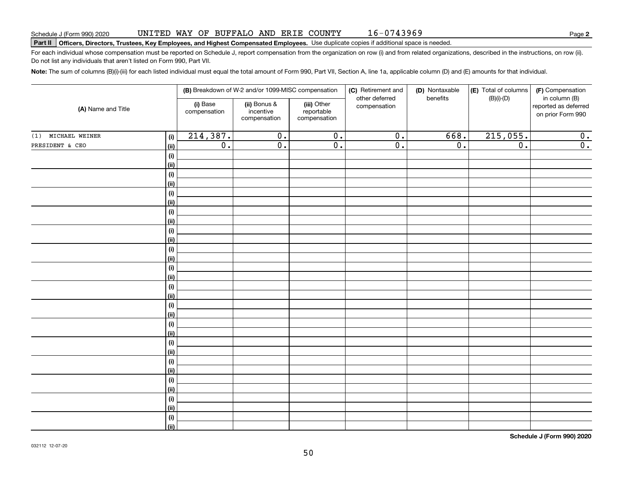# Schedule J (Form 990) 2020 UNL'I'ED WAY UF' BUF'F'ALO AND ERLE COUN'I'Y I 6 – 0 7 4 3 9 6 9<br>Part II | Officers, Directors, Trustees, Key Employees, and Highest Compensated Employees. Use

For each individual whose compensation must be reported on Schedule J, report compensation from the organization on row (i) and from related organizations, described in the instructions, on row (ii). Do not list any individuals that aren't listed on Form 990, Part VII.

**Note:**  The sum of columns (B)(i)-(iii) for each listed individual must equal the total amount of Form 990, Part VII, Section A, line 1a, applicable column (D) and (E) amounts for that individual.

|                                | (B) Breakdown of W-2 and/or 1099-MISC compensation |                                           |                                           | (C) Retirement and<br>(D) Nontaxable<br>other deferred<br>benefits | (E) Total of columns | (F) Compensation |                                                            |
|--------------------------------|----------------------------------------------------|-------------------------------------------|-------------------------------------------|--------------------------------------------------------------------|----------------------|------------------|------------------------------------------------------------|
| (A) Name and Title             | (i) Base<br>compensation                           | (ii) Bonus &<br>incentive<br>compensation | (iii) Other<br>reportable<br>compensation | compensation                                                       |                      | $(B)(i)$ - $(D)$ | in column (B)<br>reported as deferred<br>on prior Form 990 |
| (1) MICHAEL WEINER<br>(i)      | 214,387.                                           | $\overline{0}$ .                          | $\overline{0}$ .                          | $\overline{0}$ .                                                   | 668.                 | 215,055.         | $\overline{0}$ .                                           |
| PRESIDENT & CEO<br><u>(ii)</u> | $\overline{0}$ .                                   | $\overline{0}$ .                          | $\overline{0}$ .                          | $\overline{0}$ .                                                   | $\overline{0}$ .     | $\overline{0}$ . | $\overline{0}$ .                                           |
| (i)                            |                                                    |                                           |                                           |                                                                    |                      |                  |                                                            |
| <u>(ii)</u>                    |                                                    |                                           |                                           |                                                                    |                      |                  |                                                            |
| $(\sf{i})$                     |                                                    |                                           |                                           |                                                                    |                      |                  |                                                            |
| <u>(ii)</u>                    |                                                    |                                           |                                           |                                                                    |                      |                  |                                                            |
| $(\sf{i})$                     |                                                    |                                           |                                           |                                                                    |                      |                  |                                                            |
| <u>(ii)</u>                    |                                                    |                                           |                                           |                                                                    |                      |                  |                                                            |
| (i)                            |                                                    |                                           |                                           |                                                                    |                      |                  |                                                            |
| <u>(ii)</u>                    |                                                    |                                           |                                           |                                                                    |                      |                  |                                                            |
| (i)<br><u>(ii)</u>             |                                                    |                                           |                                           |                                                                    |                      |                  |                                                            |
| (i)                            |                                                    |                                           |                                           |                                                                    |                      |                  |                                                            |
| (ii)                           |                                                    |                                           |                                           |                                                                    |                      |                  |                                                            |
| (i)                            |                                                    |                                           |                                           |                                                                    |                      |                  |                                                            |
| (ii)                           |                                                    |                                           |                                           |                                                                    |                      |                  |                                                            |
| $(\sf{i})$                     |                                                    |                                           |                                           |                                                                    |                      |                  |                                                            |
| (ii)                           |                                                    |                                           |                                           |                                                                    |                      |                  |                                                            |
| (i)                            |                                                    |                                           |                                           |                                                                    |                      |                  |                                                            |
| <u>(ii)</u>                    |                                                    |                                           |                                           |                                                                    |                      |                  |                                                            |
| $(\sf{i})$                     |                                                    |                                           |                                           |                                                                    |                      |                  |                                                            |
| <u>(ii)</u>                    |                                                    |                                           |                                           |                                                                    |                      |                  |                                                            |
| $(\sf{i})$                     |                                                    |                                           |                                           |                                                                    |                      |                  |                                                            |
| <u>(ii)</u>                    |                                                    |                                           |                                           |                                                                    |                      |                  |                                                            |
| (i)                            |                                                    |                                           |                                           |                                                                    |                      |                  |                                                            |
| <u>(ii)</u>                    |                                                    |                                           |                                           |                                                                    |                      |                  |                                                            |
| (i)                            |                                                    |                                           |                                           |                                                                    |                      |                  |                                                            |
| <u>(ii)</u><br>(i)             |                                                    |                                           |                                           |                                                                    |                      |                  |                                                            |
| <u>(ii)</u>                    |                                                    |                                           |                                           |                                                                    |                      |                  |                                                            |
| (i)                            |                                                    |                                           |                                           |                                                                    |                      |                  |                                                            |
| $\vert$ (ii)                   |                                                    |                                           |                                           |                                                                    |                      |                  |                                                            |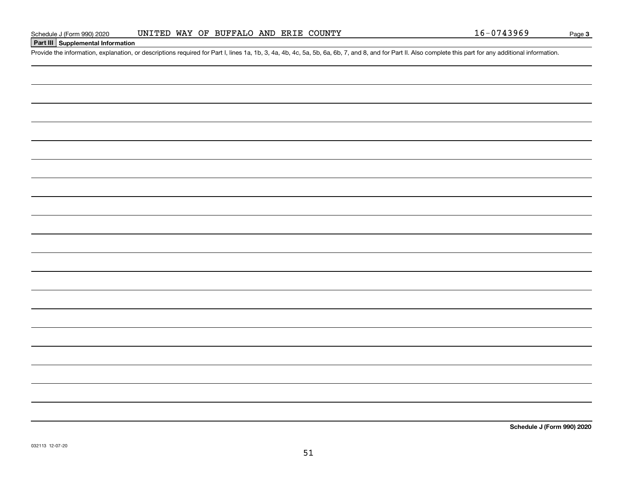**Part III Supplemental Information**

### UNITED WAY OF BUFFALO AND ERIE COUNTY

51

Page 3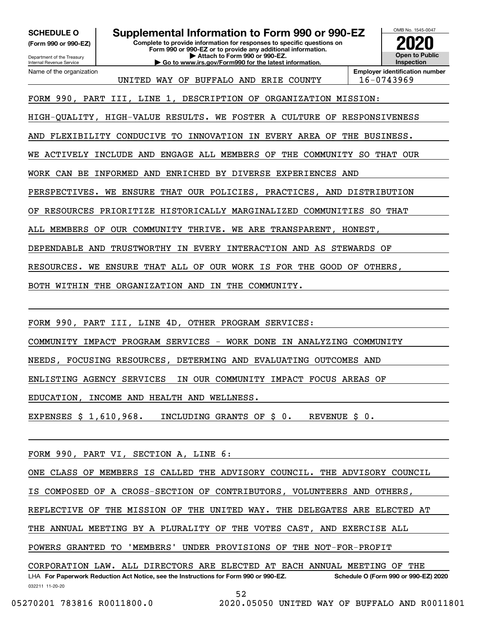**(Form 990 or 990-EZ)**

Department of the Treasury Internal Revenue Service Name of the organization

**Complete to provide information for responses to specific questions on Form 990 or 990-EZ or to provide any additional information. | Attach to Form 990 or 990-EZ. SCHEDULE O Supplemental Information to Form 990 or 990-EZ**

**Open to Public Inspection2020**

OMB No. 1545-0047

**Employer identification number** UNITED WAY OF BUFFALO AND ERIE COUNTY 16-0743969

**| Go to www.irs.gov/Form990 for the latest information.**

FORM 990, PART III, LINE 1, DESCRIPTION OF ORGANIZATION MISSION:

HIGH-QUALITY, HIGH-VALUE RESULTS. WE FOSTER A CULTURE OF RESPONSIVENESS

AND FLEXIBILITY CONDUCIVE TO INNOVATION IN EVERY AREA OF THE BUSINESS.

WE ACTIVELY INCLUDE AND ENGAGE ALL MEMBERS OF THE COMMUNITY SO THAT OUR

WORK CAN BE INFORMED AND ENRICHED BY DIVERSE EXPERIENCES AND

PERSPECTIVES. WE ENSURE THAT OUR POLICIES, PRACTICES, AND DISTRIBUTION

OF RESOURCES PRIORITIZE HISTORICALLY MARGINALIZED COMMUNITIES SO THAT

ALL MEMBERS OF OUR COMMUNITY THRIVE. WE ARE TRANSPARENT, HONEST,

DEPENDABLE AND TRUSTWORTHY IN EVERY INTERACTION AND AS STEWARDS OF

RESOURCES. WE ENSURE THAT ALL OF OUR WORK IS FOR THE GOOD OF OTHERS,

BOTH WITHIN THE ORGANIZATION AND IN THE COMMUNITY.

FORM 990, PART III, LINE 4D, OTHER PROGRAM SERVICES:

COMMUNITY IMPACT PROGRAM SERVICES - WORK DONE IN ANALYZING COMMUNITY

NEEDS, FOCUSING RESOURCES, DETERMING AND EVALUATING OUTCOMES AND

ENLISTING AGENCY SERVICES IN OUR COMMUNITY IMPACT FOCUS AREAS OF

EDUCATION, INCOME AND HEALTH AND WELLNESS.

EXPENSES \$ 1,610,968. INCLUDING GRANTS OF \$ 0. REVENUE \$ 0.

FORM 990, PART VI, SECTION A, LINE 6:

ONE CLASS OF MEMBERS IS CALLED THE ADVISORY COUNCIL. THE ADVISORY COUNCIL

IS COMPOSED OF A CROSS-SECTION OF CONTRIBUTORS, VOLUNTEERS AND OTHERS,

REFLECTIVE OF THE MISSION OF THE UNITED WAY. THE DELEGATES ARE ELECTED AT

THE ANNUAL MEETING BY A PLURALITY OF THE VOTES CAST, AND EXERCISE ALL

POWERS GRANTED TO 'MEMBERS' UNDER PROVISIONS OF THE NOT-FOR-PROFIT

032211 11-20-20 LHA For Paperwork Reduction Act Notice, see the Instructions for Form 990 or 990-EZ. Schedule O (Form 990 or 990-EZ) 2020 CORPORATION LAW. ALL DIRECTORS ARE ELECTED AT EACH ANNUAL MEETING OF THE

```
52
```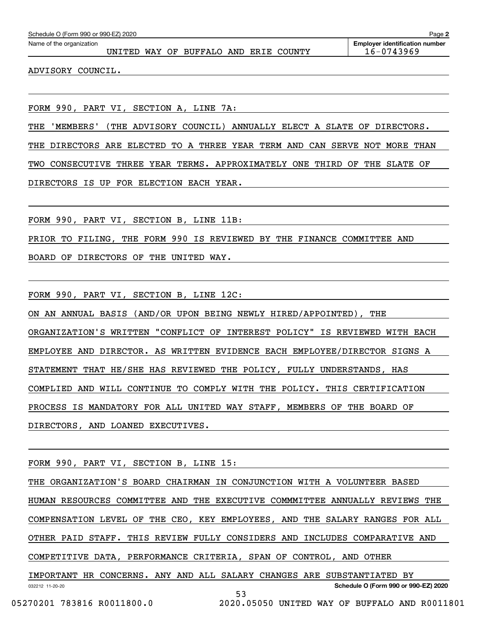| Page 2<br>Schedule O (Form 990 or 990-EZ) 2020 |                                        |                                                     |  |  |  |  |
|------------------------------------------------|----------------------------------------|-----------------------------------------------------|--|--|--|--|
| Name of the organization                       | UNITED WAY OF BUFFALO AND ERIE COUNTY  | <b>Employer identification number</b><br>16-0743969 |  |  |  |  |
| ADVISORY COUNCIL.                              |                                        |                                                     |  |  |  |  |
|                                                | FORM 990, PART VI, SECTION A, LINE 7A: |                                                     |  |  |  |  |

THE 'MEMBERS' (THE ADVISORY COUNCIL) ANNUALLY ELECT A SLATE OF DIRECTORS.

THE DIRECTORS ARE ELECTED TO A THREE YEAR TERM AND CAN SERVE NOT MORE THAN

TWO CONSECUTIVE THREE YEAR TERMS. APPROXIMATELY ONE THIRD OF THE SLATE OF

DIRECTORS IS UP FOR ELECTION EACH YEAR.

FORM 990, PART VI, SECTION B, LINE 11B:

PRIOR TO FILING, THE FORM 990 IS REVIEWED BY THE FINANCE COMMITTEE AND

BOARD OF DIRECTORS OF THE UNITED WAY.

FORM 990, PART VI, SECTION B, LINE 12C:

ON AN ANNUAL BASIS (AND/OR UPON BEING NEWLY HIRED/APPOINTED), THE ORGANIZATION'S WRITTEN "CONFLICT OF INTEREST POLICY" IS REVIEWED WITH EACH EMPLOYEE AND DIRECTOR. AS WRITTEN EVIDENCE EACH EMPLOYEE/DIRECTOR SIGNS A STATEMENT THAT HE/SHE HAS REVIEWED THE POLICY, FULLY UNDERSTANDS, HAS COMPLIED AND WILL CONTINUE TO COMPLY WITH THE POLICY. THIS CERTIFICATION PROCESS IS MANDATORY FOR ALL UNITED WAY STAFF, MEMBERS OF THE BOARD OF DIRECTORS, AND LOANED EXECUTIVES.

FORM 990, PART VI, SECTION B, LINE 15:

032212 11-20-20 **Schedule O (Form 990 or 990-EZ) 2020** THE ORGANIZATION'S BOARD CHAIRMAN IN CONJUNCTION WITH A VOLUNTEER BASED HUMAN RESOURCES COMMITTEE AND THE EXECUTIVE COMMMITTEE ANNUALLY REVIEWS THE COMPENSATION LEVEL OF THE CEO, KEY EMPLOYEES, AND THE SALARY RANGES FOR ALL OTHER PAID STAFF. THIS REVIEW FULLY CONSIDERS AND INCLUDES COMPARATIVE AND COMPETITIVE DATA, PERFORMANCE CRITERIA, SPAN OF CONTROL, AND OTHER IMPORTANT HR CONCERNS. ANY AND ALL SALARY CHANGES ARE SUBSTANTIATED BY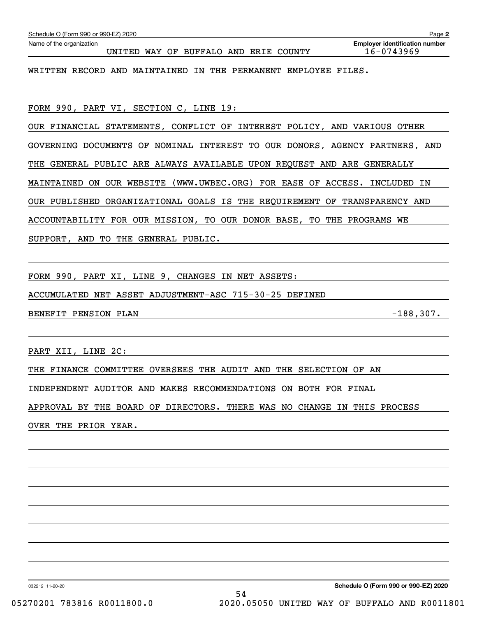| Schedule O (Form 990 or 990-EZ) 2020                                                 | Page 2                                              |
|--------------------------------------------------------------------------------------|-----------------------------------------------------|
| Name of the organization<br>BUFFALO AND ERIE<br>WAY OF<br>UNITED<br>COUNTY           | <b>Employer identification number</b><br>16-0743969 |
| MAINTAINED<br>PERMANENT<br>AND<br>THE<br>EMPLOYEE FILES.<br>WRITTEN<br>RECORD<br>IN  |                                                     |
| FORM 990, PART VI, SECTION C, LINE 19:                                               |                                                     |
| OUR FINANCIAL STATEMENTS, CONFLICT OF INTEREST POLICY, AND VARIOUS OTHER             |                                                     |
| NOMINAL INTEREST TO OUR DONORS, AGENCY PARTNERS, AND<br>GOVERNING<br>DOCUMENTS<br>OF |                                                     |
| GENERAL PUBLIC ARE ALWAYS AVAILABLE UPON REQUEST AND ARE GENERALLY<br>THE            |                                                     |
| (WWW.UWBEC.ORG) FOR EASE OF ACCESS.<br>OUR<br>WEBSITE<br>MAINTAINED<br>ON.           | INCLUDED<br>ΙN                                      |
| OUR PUBLISHED ORGANIZATIONAL GOALS IS THE REOUIREMENT OF                             | TRANSPARENCY<br>AND                                 |

ACCOUNTABILITY FOR OUR MISSION, TO OUR DONOR BASE, TO THE PROGRAMS WE

SUPPORT, AND TO THE GENERAL PUBLIC.

FORM 990, PART XI, LINE 9, CHANGES IN NET ASSETS:

ACCUMULATED NET ASSET ADJUSTMENT-ASC 715-30-25 DEFINED

BENEFIT PENSION PLAN  $-188,307$ .

PART XII, LINE 2C:

THE FINANCE COMMITTEE OVERSEES THE AUDIT AND THE SELECTION OF AN

INDEPENDENT AUDITOR AND MAKES RECOMMENDATIONS ON BOTH FOR FINAL

APPROVAL BY THE BOARD OF DIRECTORS. THERE WAS NO CHANGE IN THIS PROCESS

OVER THE PRIOR YEAR.

032212 11-20-20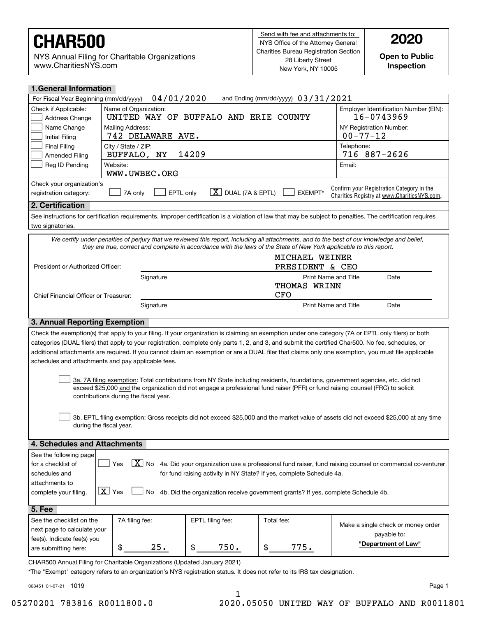NYS Annual Filing for Charitable Organizations www.CharitiesNYS.com

**Open to Public Inspection**

|                                                                                                                                                                                                                                                                                                          | <b>1.General Information</b>                                                                                                                       |  |  |  |  |  |  |
|----------------------------------------------------------------------------------------------------------------------------------------------------------------------------------------------------------------------------------------------------------------------------------------------------------|----------------------------------------------------------------------------------------------------------------------------------------------------|--|--|--|--|--|--|
|                                                                                                                                                                                                                                                                                                          | 04/01/2020<br>and Ending (mm/dd/yyyy) 03/31/2021<br>For Fiscal Year Beginning (mm/dd/yyyy)                                                         |  |  |  |  |  |  |
| Name of Organization:<br>Employer Identification Number (EIN):<br>Check if Applicable:<br>16-0743969<br>UNITED WAY OF BUFFALO AND<br><b>ERIE COUNTY</b><br>Address Change                                                                                                                                |                                                                                                                                                    |  |  |  |  |  |  |
| Name Change<br>NY Registration Number:<br>Mailing Address:<br>$00 - 77 - 12$<br>742 DELAWARE AVE.<br>Initial Filing                                                                                                                                                                                      |                                                                                                                                                    |  |  |  |  |  |  |
| Telephone:<br><b>Final Filing</b><br>City / State / ZIP:<br>14209<br>716<br>$887 - 2626$<br>BUFFALO, NY<br><b>Amended Filing</b>                                                                                                                                                                         |                                                                                                                                                    |  |  |  |  |  |  |
| Reg ID Pending<br>Email:<br>Website:<br>WWW.UWBEC.ORG                                                                                                                                                                                                                                                    |                                                                                                                                                    |  |  |  |  |  |  |
| Check your organization's                                                                                                                                                                                                                                                                                |                                                                                                                                                    |  |  |  |  |  |  |
| Confirm your Registration Category in the<br>$\lfloor \underline{X} \rfloor$ DUAL (7A & EPTL)<br>EPTL only<br>7A only<br>EXEMPT*<br>registration category:<br>Charities Registry at www.CharitiesNYS.com.                                                                                                |                                                                                                                                                    |  |  |  |  |  |  |
| 2. Certification                                                                                                                                                                                                                                                                                         |                                                                                                                                                    |  |  |  |  |  |  |
| See instructions for certification requirements. Improper certification is a violation of law that may be subject to penalties. The certification requires<br>two signatories.                                                                                                                           |                                                                                                                                                    |  |  |  |  |  |  |
| We certify under penalties of perjury that we reviewed this report, including all attachments, and to the best of our knowledge and belief,<br>they are true, correct and complete in accordance with the laws of the State of New York applicable to this report.                                       |                                                                                                                                                    |  |  |  |  |  |  |
| MICHAEL WEINER                                                                                                                                                                                                                                                                                           |                                                                                                                                                    |  |  |  |  |  |  |
| PRESIDENT & CEO<br>President or Authorized Officer:                                                                                                                                                                                                                                                      |                                                                                                                                                    |  |  |  |  |  |  |
| Signature<br><b>Print Name and Title</b><br>Date                                                                                                                                                                                                                                                         |                                                                                                                                                    |  |  |  |  |  |  |
| THOMAS WRINN                                                                                                                                                                                                                                                                                             |                                                                                                                                                    |  |  |  |  |  |  |
| <b>CFO</b><br>Chief Financial Officer or Treasurer:                                                                                                                                                                                                                                                      |                                                                                                                                                    |  |  |  |  |  |  |
| Signature<br><b>Print Name and Title</b><br>Date                                                                                                                                                                                                                                                         |                                                                                                                                                    |  |  |  |  |  |  |
| 3. Annual Reporting Exemption                                                                                                                                                                                                                                                                            |                                                                                                                                                    |  |  |  |  |  |  |
| Check the exemption(s) that apply to your filing. If your organization is claiming an exemption under one category (7A or EPTL only filers) or both                                                                                                                                                      |                                                                                                                                                    |  |  |  |  |  |  |
| categories (DUAL filers) that apply to your registration, complete only parts 1, 2, and 3, and submit the certified Char500. No fee, schedules, or                                                                                                                                                       |                                                                                                                                                    |  |  |  |  |  |  |
|                                                                                                                                                                                                                                                                                                          | additional attachments are required. If you cannot claim an exemption or are a DUAL filer that claims only one exemption, you must file applicable |  |  |  |  |  |  |
| schedules and attachments and pay applicable fees.                                                                                                                                                                                                                                                       |                                                                                                                                                    |  |  |  |  |  |  |
| 3a. 7A filing exemption: Total contributions from NY State including residents, foundations, government agencies, etc. did not<br>exceed \$25,000 and the organization did not engage a professional fund raiser (PFR) or fund raising counsel (FRC) to solicit<br>contributions during the fiscal year. |                                                                                                                                                    |  |  |  |  |  |  |
|                                                                                                                                                                                                                                                                                                          |                                                                                                                                                    |  |  |  |  |  |  |
| 3b. EPTL filing exemption: Gross receipts did not exceed \$25,000 and the market value of assets did not exceed \$25,000 at any time<br>during the fiscal year.                                                                                                                                          |                                                                                                                                                    |  |  |  |  |  |  |
| 4. Schedules and Attachments                                                                                                                                                                                                                                                                             |                                                                                                                                                    |  |  |  |  |  |  |
| See the following page                                                                                                                                                                                                                                                                                   |                                                                                                                                                    |  |  |  |  |  |  |
| $\boxed{\text{X}}$ No<br>Yes<br>4a. Did your organization use a professional fund raiser, fund raising counsel or commercial co-venturer<br>for a checklist of<br>for fund raising activity in NY State? If yes, complete Schedule 4a.<br>schedules and                                                  |                                                                                                                                                    |  |  |  |  |  |  |
| attachments to                                                                                                                                                                                                                                                                                           |                                                                                                                                                    |  |  |  |  |  |  |
| $\boxed{\mathbf{X}}$ Yes<br>No<br>4b. Did the organization receive government grants? If yes, complete Schedule 4b.<br>complete your filing.                                                                                                                                                             |                                                                                                                                                    |  |  |  |  |  |  |
| <b>5. Fee</b>                                                                                                                                                                                                                                                                                            |                                                                                                                                                    |  |  |  |  |  |  |
| See the checklist on the<br>7A filing fee:<br>EPTL filing fee:<br>Total fee:                                                                                                                                                                                                                             |                                                                                                                                                    |  |  |  |  |  |  |
| Make a single check or money order<br>next page to calculate your                                                                                                                                                                                                                                        |                                                                                                                                                    |  |  |  |  |  |  |
| payable to:<br>fee(s). Indicate fee(s) you<br>"Department of Law"<br>\$<br>\$<br>25.<br>750.<br>\$<br>775.<br>are submitting here:                                                                                                                                                                       |                                                                                                                                                    |  |  |  |  |  |  |

CHAR500 Annual Filing for Charitable Organizations (Updated January 2021)

\*The "Exempt" category refers to an organization's NYS registration status. It does not refer to its IRS tax designation.

068451 01-07-21 1019

Page 1

1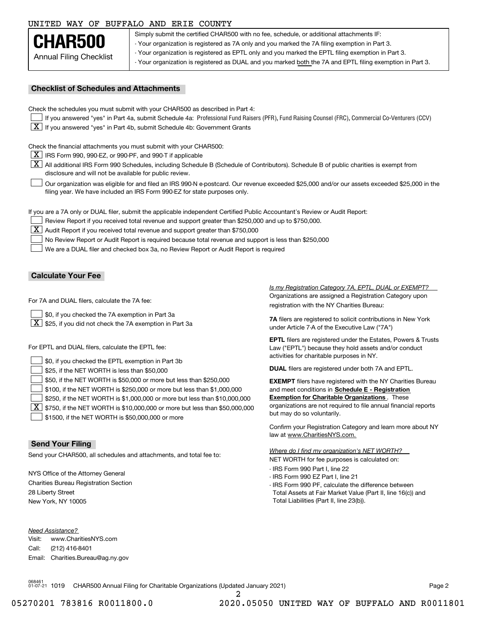### UNITED WAY OF BUFFALO AND ERIE COUNTY

| CHAR500                        |
|--------------------------------|
| <b>Annual Filing Checklist</b> |

Simply submit the certified CHAR500 with no fee, schedule, or additional attachments IF: - Your organization is registered as 7A only and you marked the 7A filing exemption in Part 3.

- Your organization is registered as EPTL only and you marked the EPTL filing exemption in Part 3.

- Your organization is registered as DUAL and you marked both the 7A and EPTL filing exemption in Part 3.

### **Checklist of Schedules and Attachments**

Check the schedules you must submit with your CHAR500 as described in Part 4:

- If you answered "yes" in Part 4a, submit Schedule 4a: Professional Fund Raisers (PFR), Fund Raising Counsel (FRC), Commercial Co-Venturers (CCV)
- $\boxed{\textbf{X}}$  If you answered "yes" in Part 4b, submit Schedule 4b: Government Grants

Check the financial attachments you must submit with your CHAR500:

 $\boxed{\textbf{X}}$  IRS Form 990, 990-EZ, or 990-PF, and 990-T if applicable

 $\boxed{\textbf{X}}$  All additional IRS Form 990 Schedules, including Schedule B (Schedule of Contributors). Schedule B of public charities is exempt from disclosure and will not be available for public review.

Our organization was eligible for and filed an IRS 990-N e-postcard. Our revenue exceeded \$25,000 and/or our assets exceeded \$25,000 in the filing year. We have included an IRS Form 990-EZ for state purposes only.  $\mathcal{L}^{\text{max}}$ 

If you are a 7A only or DUAL filer, submit the applicable independent Certified Public Accountant's Review or Audit Report:

Review Report if you received total revenue and support greater than \$250,000 and up to \$750,000.

 $\boxed{\textbf{X}}$  Audit Report if you received total revenue and support greater than \$750,000

No Review Report or Audit Report is required because total revenue and support is less than \$250,000  $\mathcal{L}^{\text{max}}$ 

We are a DUAL filer and checked box 3a, no Review Report or Audit Report is required  $\mathcal{L}^{\text{max}}$ 

### **Calculate Your Fee**

For 7A and DUAL filers, calculate the 7A fee:

\$0, if you checked the 7A exemption in Part 3a  $\mathcal{L}^{\text{max}}$ 

 $\boxed{\textbf{X}}$  \$25, if you did not check the 7A exemption in Part 3a

For EPTL and DUAL filers, calculate the EPTL fee:

| $\Box$ \$0, if you checked the EPTL exemption in Part 3b                                        | activities for charitable purposes in NY.                         |
|-------------------------------------------------------------------------------------------------|-------------------------------------------------------------------|
| $\vert$ \$25, if the NET WORTH is less than \$50,000                                            | <b>DUAL</b> filers are registered under both 7A and EPTL.         |
| \$50, if the NET WORTH is \$50,000 or more but less than \$250,000                              | <b>EXEMPT</b> filers have registered with the NY Charities Bureau |
| $\vert$ \$100, if the NET WORTH is \$250,000 or more but less than \$1,000,000                  | and meet conditions in Schedule E - Registration                  |
| \$250, if the NET WORTH is \$1,000,000 or more but less than \$10,000,000                       | <b>Exemption for Charitable Organizations.</b> These              |
| $\boxed{\textbf{X}}$ \$750, if the NET WORTH is \$10,000,000 or more but less than \$50,000,000 | organizations are not required to file annual financial reports   |
| \$1500, if the NET WORTH is \$50,000,000 or more                                                | but may do so voluntarily.                                        |

### **Send Your Filing**

Send your CHAR500, all schedules and attachments, and total fee to:

NYS Office of the Attorney General Charities Bureau Registration Section 28 Liberty Street New York, NY 10005

*Need Assistance?*

Visit:Call:Email:Charities.Bureau@ag.ny.gov www.CharitiesNYS.com(212) 416-8401

Organizations are assigned a Registration Category upon registration with the NY Charities Bureau: *Is my Registration Category 7A, EPTL, DUAL or EXEMPT?* 

**7A** filers are registered to solicit contributions in New York under Article 7-A of the Executive Law ("7A")

**EPTL** filers are registered under the Estates, Powers & Trusts Law ("EPTL") because they hold assets and/or conduct activities for charitable purposes in NY.

Confirm your Registration Category and learn more about NY law at www.CharitiesNYS.com.

NET WORTH for fee purposes is calculated on: *Where do I find my organization's NET WORTH?*

- IRS Form 990 Part I, line 22
- IRS Form 990 EZ Part I, line 21
- IRS Form 990 PF, calculate the difference between Total Assets at Fair Market Value (Part II, line 16(c)) and Total Liabilities (Part II, line 23(b)).

068461 01-07-21 1019 CHAR500 Annual Filing for Charitable Organizations (Updated January 2021) Page 2

2